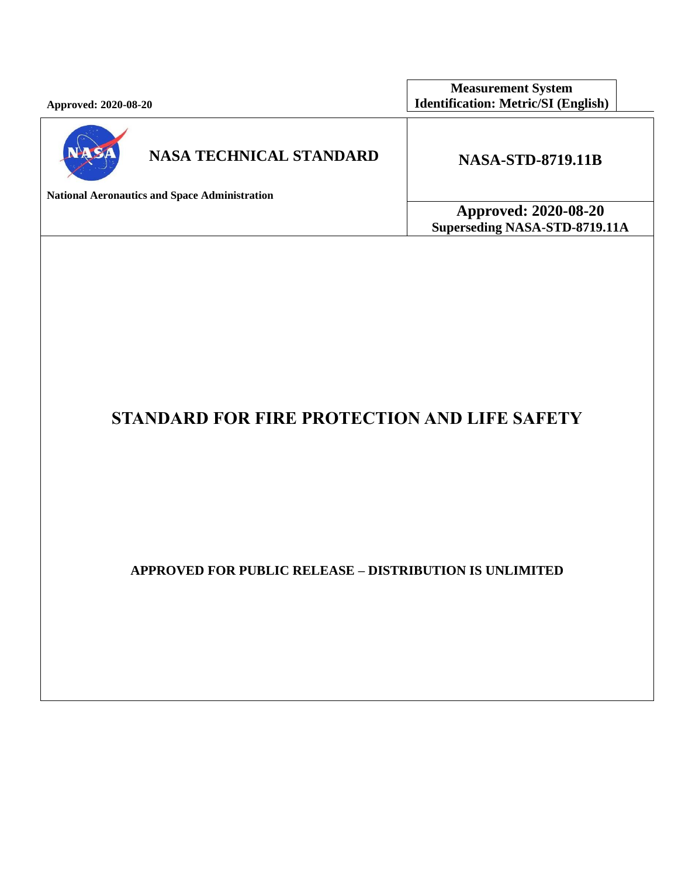**Approved: 2020-08-20**

**Measurement System Identification: Metric/SI (English)**



# **NASA TECHNICAL STANDARD NASA-STD-8719.11B**

**National Aeronautics and Space Administration**

**Approved: 2020-08-20 Superseding NASA-STD-8719.11A**

# **STANDARD FOR FIRE PROTECTION AND LIFE SAFETY**

**APPROVED FOR PUBLIC RELEASE – DISTRIBUTION IS UNLIMITED**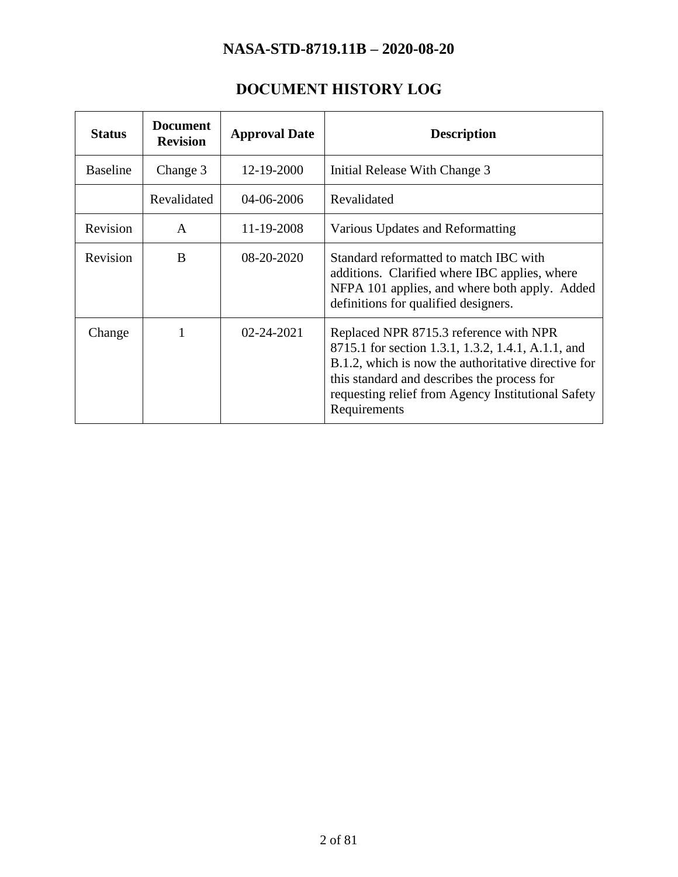# **DOCUMENT HISTORY LOG**

<span id="page-1-0"></span>

| <b>Status</b>   | <b>Document</b><br><b>Revision</b> | <b>Approval Date</b> | <b>Description</b>                                                                                                                                                                                                                                                       |
|-----------------|------------------------------------|----------------------|--------------------------------------------------------------------------------------------------------------------------------------------------------------------------------------------------------------------------------------------------------------------------|
| <b>Baseline</b> | Change 3                           | 12-19-2000           | Initial Release With Change 3                                                                                                                                                                                                                                            |
|                 | Revalidated                        | 04-06-2006           | Revalidated                                                                                                                                                                                                                                                              |
| Revision        | A                                  | 11-19-2008           | Various Updates and Reformatting                                                                                                                                                                                                                                         |
| Revision        | B                                  | 08-20-2020           | Standard reformatted to match IBC with<br>additions. Clarified where IBC applies, where<br>NFPA 101 applies, and where both apply. Added<br>definitions for qualified designers.                                                                                         |
| Change          |                                    | 02-24-2021           | Replaced NPR 8715.3 reference with NPR<br>8715.1 for section 1.3.1, 1.3.2, 1.4.1, A.1.1, and<br>B.1.2, which is now the authoritative directive for<br>this standard and describes the process for<br>requesting relief from Agency Institutional Safety<br>Requirements |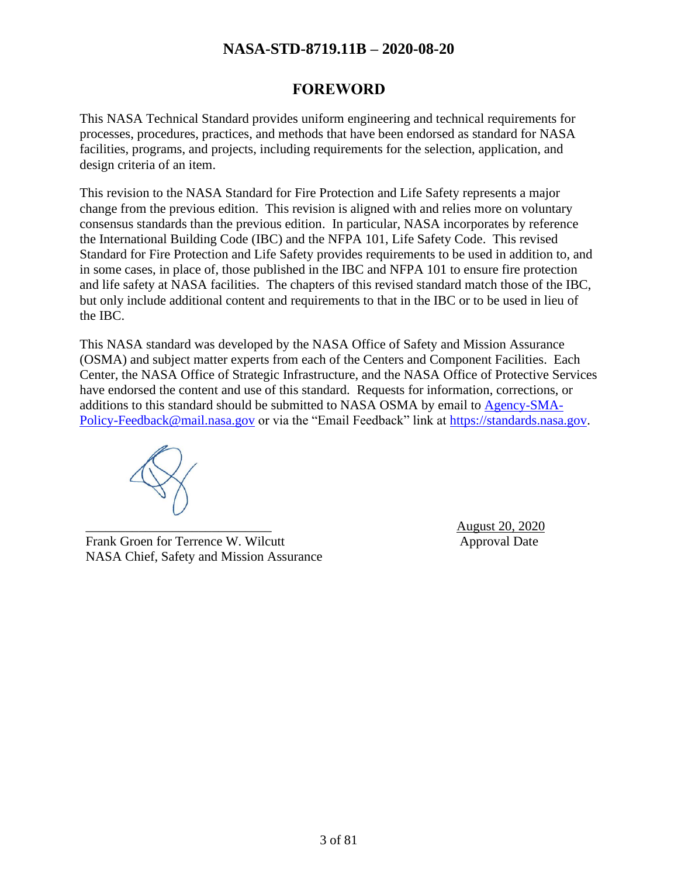### **FOREWORD**

<span id="page-2-0"></span>This NASA Technical Standard provides uniform engineering and technical requirements for processes, procedures, practices, and methods that have been endorsed as standard for NASA facilities, programs, and projects, including requirements for the selection, application, and design criteria of an item.

This revision to the NASA Standard for Fire Protection and Life Safety represents a major change from the previous edition. This revision is aligned with and relies more on voluntary consensus standards than the previous edition. In particular, NASA incorporates by reference the International Building Code (IBC) and the NFPA 101, Life Safety Code. This revised Standard for Fire Protection and Life Safety provides requirements to be used in addition to, and in some cases, in place of, those published in the IBC and NFPA 101 to ensure fire protection and life safety at NASA facilities. The chapters of this revised standard match those of the IBC, but only include additional content and requirements to that in the IBC or to be used in lieu of the IBC.

This NASA standard was developed by the NASA Office of Safety and Mission Assurance (OSMA) and subject matter experts from each of the Centers and Component Facilities. Each Center, the NASA Office of Strategic Infrastructure, and the NASA Office of Protective Services have endorsed the content and use of this standard. Requests for information, corrections, or additions to this standard should be submitted to NASA OSMA by email to [Agency-SMA-](mailto:Agency-SMA-Policy-Feedback@mail.nasa.gov)[Policy-Feedback@mail.nasa.gov](mailto:Agency-SMA-Policy-Feedback@mail.nasa.gov) or via the "Email Feedback" link at [https://standards.nasa.gov.](https://standards.nasa.gov/)

Frank Groen for Terrence W. Wilcutt Approval Date Approval Date NASA Chief, Safety and Mission Assurance

\_\_\_\_\_\_\_\_\_\_\_\_\_\_\_\_\_\_\_\_\_\_\_\_\_\_\_\_ August 20, 2020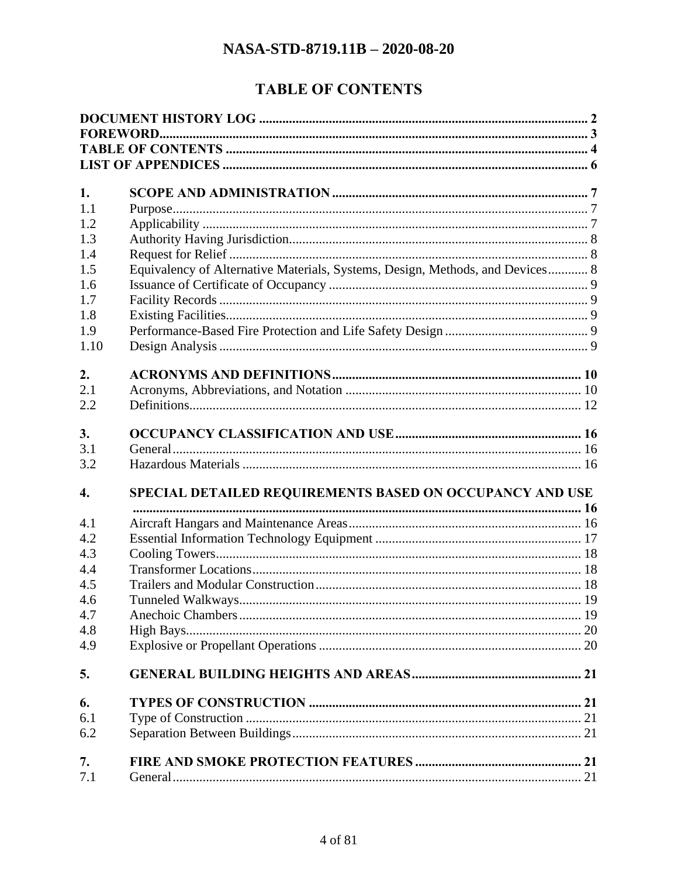# **TABLE OF CONTENTS**

<span id="page-3-0"></span>

| 1.               |                                                                               |  |
|------------------|-------------------------------------------------------------------------------|--|
| 1.1              |                                                                               |  |
| 1.2              |                                                                               |  |
| 1.3              |                                                                               |  |
| 1.4              |                                                                               |  |
| 1.5              | Equivalency of Alternative Materials, Systems, Design, Methods, and Devices 8 |  |
| 1.6              |                                                                               |  |
| 1.7              |                                                                               |  |
| 1.8              |                                                                               |  |
| 1.9              |                                                                               |  |
| 1.10             |                                                                               |  |
| 2.               |                                                                               |  |
| 2.1              |                                                                               |  |
| 2.2              |                                                                               |  |
| 3.               |                                                                               |  |
| 3.1              |                                                                               |  |
| 3.2              |                                                                               |  |
|                  |                                                                               |  |
| $\overline{4}$ . | SPECIAL DETAILED REQUIREMENTS BASED ON OCCUPANCY AND USE                      |  |
| 4.1              |                                                                               |  |
| 4.2              |                                                                               |  |
| 4.3              |                                                                               |  |
| 4.4              |                                                                               |  |
| 4.5              |                                                                               |  |
| 4.6              |                                                                               |  |
| 4.7              |                                                                               |  |
| 4.8              |                                                                               |  |
| 4.9              |                                                                               |  |
| 5.               |                                                                               |  |
| 6.               |                                                                               |  |
| 6.1              |                                                                               |  |
| 6.2              |                                                                               |  |
| 7.               |                                                                               |  |
| 7.1              |                                                                               |  |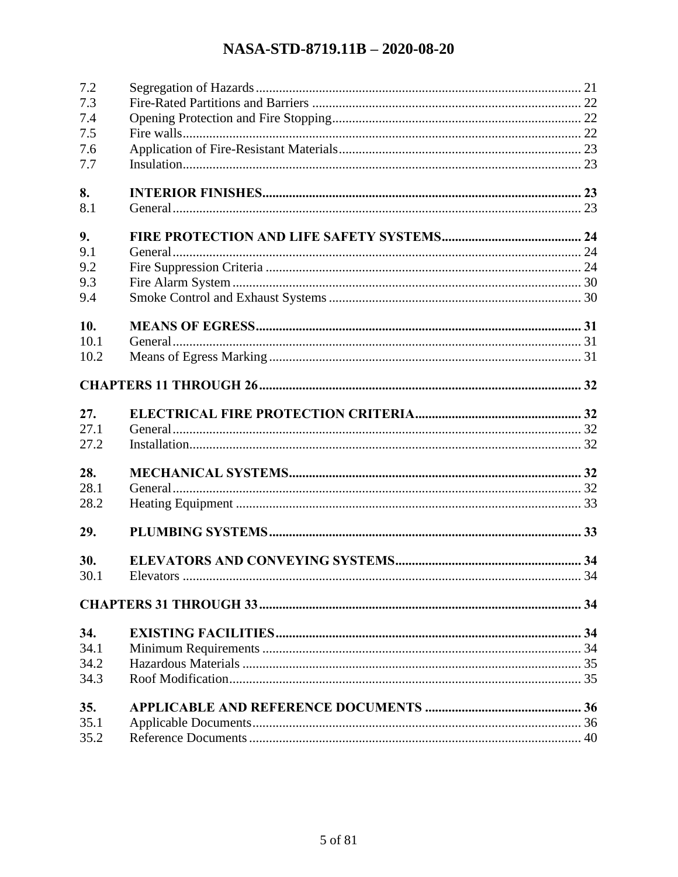| 7.2  |  |
|------|--|
| 7.3  |  |
| 7.4  |  |
| 7.5  |  |
| 7.6  |  |
| 7.7  |  |
| 8.   |  |
| 8.1  |  |
| 9.   |  |
| 9.1  |  |
| 9.2  |  |
| 9.3  |  |
| 9.4  |  |
|      |  |
| 10.  |  |
| 10.1 |  |
| 10.2 |  |
|      |  |
|      |  |
| 27.  |  |
| 27.1 |  |
| 27.2 |  |
| 28.  |  |
| 28.1 |  |
| 28.2 |  |
|      |  |
| 29.  |  |
| 30.  |  |
| 30.1 |  |
|      |  |
| 34.  |  |
| 34.1 |  |
| 34.2 |  |
| 34.3 |  |
| 35.  |  |
| 35.1 |  |
|      |  |
| 35.2 |  |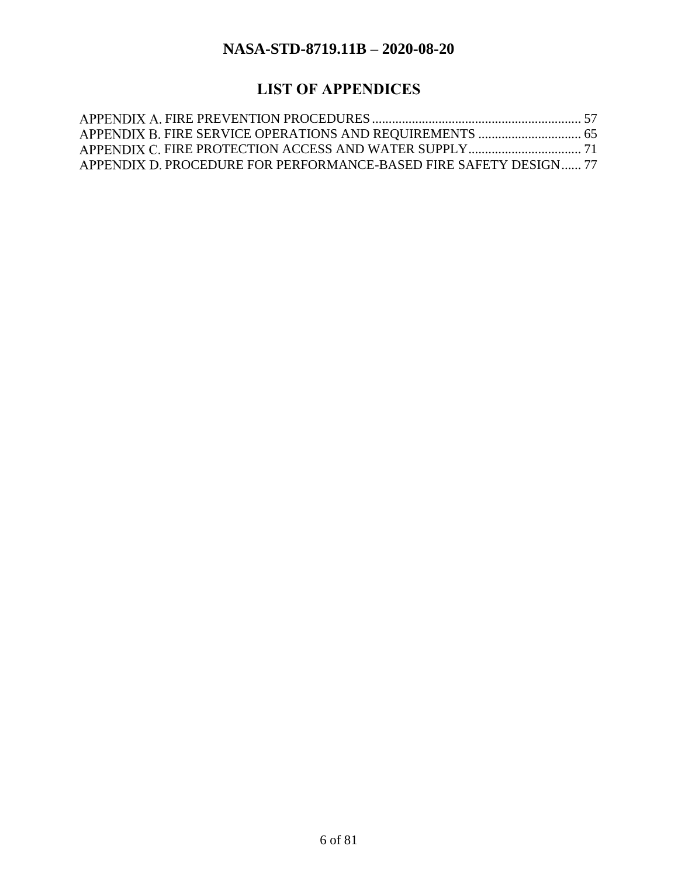# **LIST OF APPENDICES**

<span id="page-5-0"></span>

| APPENDIX D. PROCEDURE FOR PERFORMANCE-BASED FIRE SAFETY DESIGN 77 |  |
|-------------------------------------------------------------------|--|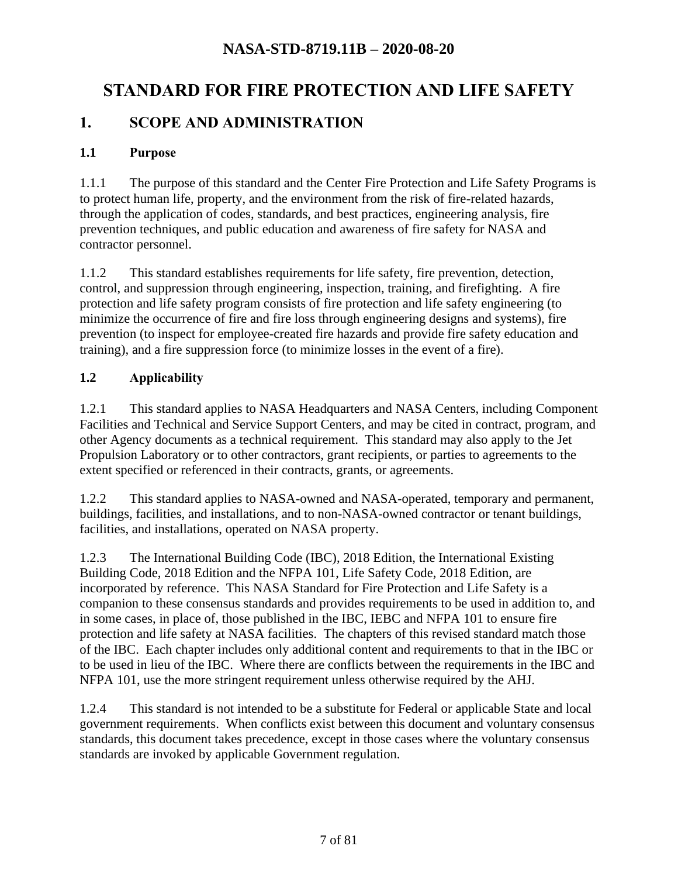# **STANDARD FOR FIRE PROTECTION AND LIFE SAFETY**

# <span id="page-6-0"></span>**1. SCOPE AND ADMINISTRATION**

#### <span id="page-6-1"></span>**1.1 Purpose**

1.1.1 The purpose of this standard and the Center Fire Protection and Life Safety Programs is to protect human life, property, and the environment from the risk of fire-related hazards, through the application of codes, standards, and best practices, engineering analysis, fire prevention techniques, and public education and awareness of fire safety for NASA and contractor personnel.

1.1.2 This standard establishes requirements for life safety, fire prevention, detection, control, and suppression through engineering, inspection, training, and firefighting. A fire protection and life safety program consists of fire protection and life safety engineering (to minimize the occurrence of fire and fire loss through engineering designs and systems), fire prevention (to inspect for employee-created fire hazards and provide fire safety education and training), and a fire suppression force (to minimize losses in the event of a fire).

### <span id="page-6-2"></span>**1.2 Applicability**

1.2.1 This standard applies to NASA Headquarters and NASA Centers, including Component Facilities and Technical and Service Support Centers, and may be cited in contract, program, and other Agency documents as a technical requirement. This standard may also apply to the Jet Propulsion Laboratory or to other contractors, grant recipients, or parties to agreements to the extent specified or referenced in their contracts, grants, or agreements.

1.2.2 This standard applies to NASA-owned and NASA-operated, temporary and permanent, buildings, facilities, and installations, and to non-NASA-owned contractor or tenant buildings, facilities, and installations, operated on NASA property.

1.2.3 The International Building Code (IBC), 2018 Edition, the International Existing Building Code, 2018 Edition and the NFPA 101, Life Safety Code, 2018 Edition, are incorporated by reference. This NASA Standard for Fire Protection and Life Safety is a companion to these consensus standards and provides requirements to be used in addition to, and in some cases, in place of, those published in the IBC, IEBC and NFPA 101 to ensure fire protection and life safety at NASA facilities. The chapters of this revised standard match those of the IBC. Each chapter includes only additional content and requirements to that in the IBC or to be used in lieu of the IBC. Where there are conflicts between the requirements in the IBC and NFPA 101, use the more stringent requirement unless otherwise required by the AHJ.

1.2.4 This standard is not intended to be a substitute for Federal or applicable State and local government requirements. When conflicts exist between this document and voluntary consensus standards, this document takes precedence, except in those cases where the voluntary consensus standards are invoked by applicable Government regulation.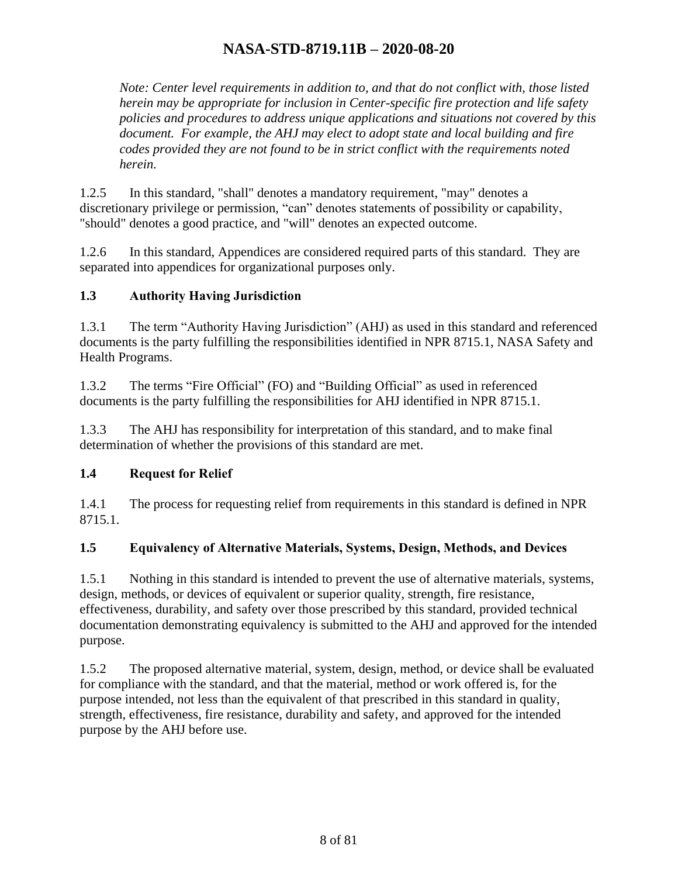*Note: Center level requirements in addition to, and that do not conflict with, those listed herein may be appropriate for inclusion in Center-specific fire protection and life safety policies and procedures to address unique applications and situations not covered by this document. For example, the AHJ may elect to adopt state and local building and fire codes provided they are not found to be in strict conflict with the requirements noted herein.* 

1.2.5 In this standard, "shall" denotes a mandatory requirement, "may" denotes a discretionary privilege or permission, "can" denotes statements of possibility or capability, "should" denotes a good practice, and "will" denotes an expected outcome.

1.2.6 In this standard, Appendices are considered required parts of this standard. They are separated into appendices for organizational purposes only.

#### <span id="page-7-0"></span>**1.3 Authority Having Jurisdiction**

1.3.1 The term "Authority Having Jurisdiction" (AHJ) as used in this standard and referenced documents is the party fulfilling the responsibilities identified in NPR 8715.1, NASA Safety and Health Programs.

1.3.2 The terms "Fire Official" (FO) and "Building Official" as used in referenced documents is the party fulfilling the responsibilities for AHJ identified in NPR 8715.1.

1.3.3 The AHJ has responsibility for interpretation of this standard, and to make final determination of whether the provisions of this standard are met.

#### <span id="page-7-1"></span>**1.4 Request for Relief**

1.4.1 The process for requesting relief from requirements in this standard is defined in NPR 8715.1.

#### <span id="page-7-2"></span>**1.5 Equivalency of Alternative Materials, Systems, Design, Methods, and Devices**

1.5.1 Nothing in this standard is intended to prevent the use of alternative materials, systems, design, methods, or devices of equivalent or superior quality, strength, fire resistance, effectiveness, durability, and safety over those prescribed by this standard, provided technical documentation demonstrating equivalency is submitted to the AHJ and approved for the intended purpose.

1.5.2 The proposed alternative material, system, design, method, or device shall be evaluated for compliance with the standard, and that the material, method or work offered is, for the purpose intended, not less than the equivalent of that prescribed in this standard in quality, strength, effectiveness, fire resistance, durability and safety, and approved for the intended purpose by the AHJ before use.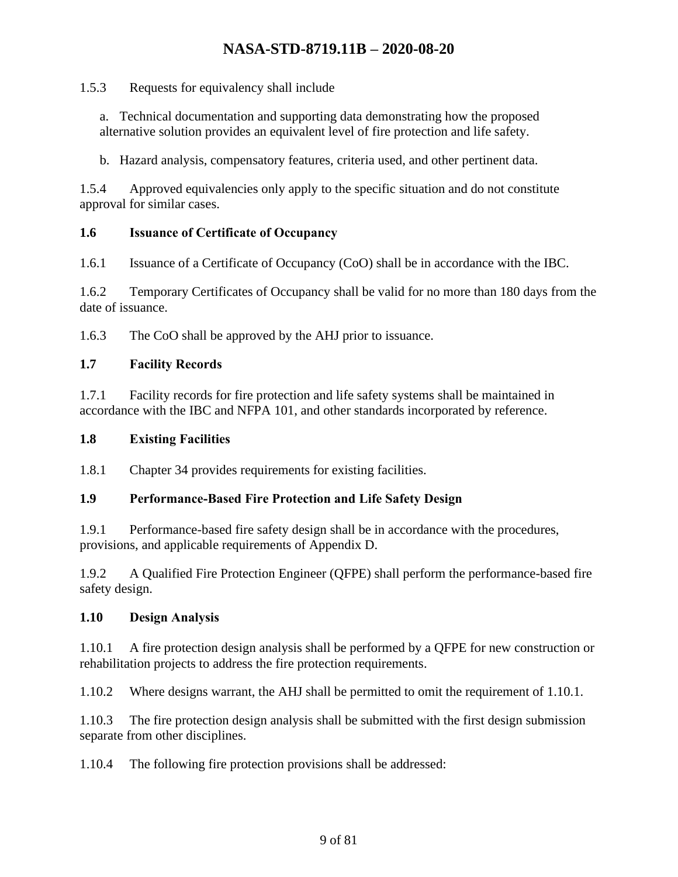1.5.3 Requests for equivalency shall include

a. Technical documentation and supporting data demonstrating how the proposed alternative solution provides an equivalent level of fire protection and life safety.

b. Hazard analysis, compensatory features, criteria used, and other pertinent data.

1.5.4 Approved equivalencies only apply to the specific situation and do not constitute approval for similar cases.

#### <span id="page-8-0"></span>**1.6 Issuance of Certificate of Occupancy**

1.6.1 Issuance of a Certificate of Occupancy (CoO) shall be in accordance with the IBC.

1.6.2 Temporary Certificates of Occupancy shall be valid for no more than 180 days from the date of issuance.

1.6.3 The CoO shall be approved by the AHJ prior to issuance.

#### <span id="page-8-1"></span>**1.7 Facility Records**

1.7.1 Facility records for fire protection and life safety systems shall be maintained in accordance with the IBC and NFPA 101, and other standards incorporated by reference.

#### <span id="page-8-2"></span>**1.8 Existing Facilities**

1.8.1 Chapter 34 provides requirements for existing facilities.

### <span id="page-8-3"></span>**1.9 Performance-Based Fire Protection and Life Safety Design**

1.9.1 Performance-based fire safety design shall be in accordance with the procedures, provisions, and applicable requirements of Appendix D.

1.9.2 A Qualified Fire Protection Engineer (QFPE) shall perform the performance-based fire safety design.

#### <span id="page-8-4"></span>**1.10 Design Analysis**

1.10.1 A fire protection design analysis shall be performed by a QFPE for new construction or rehabilitation projects to address the fire protection requirements.

1.10.2 Where designs warrant, the AHJ shall be permitted to omit the requirement of 1.10.1.

1.10.3 The fire protection design analysis shall be submitted with the first design submission separate from other disciplines.

1.10.4 The following fire protection provisions shall be addressed: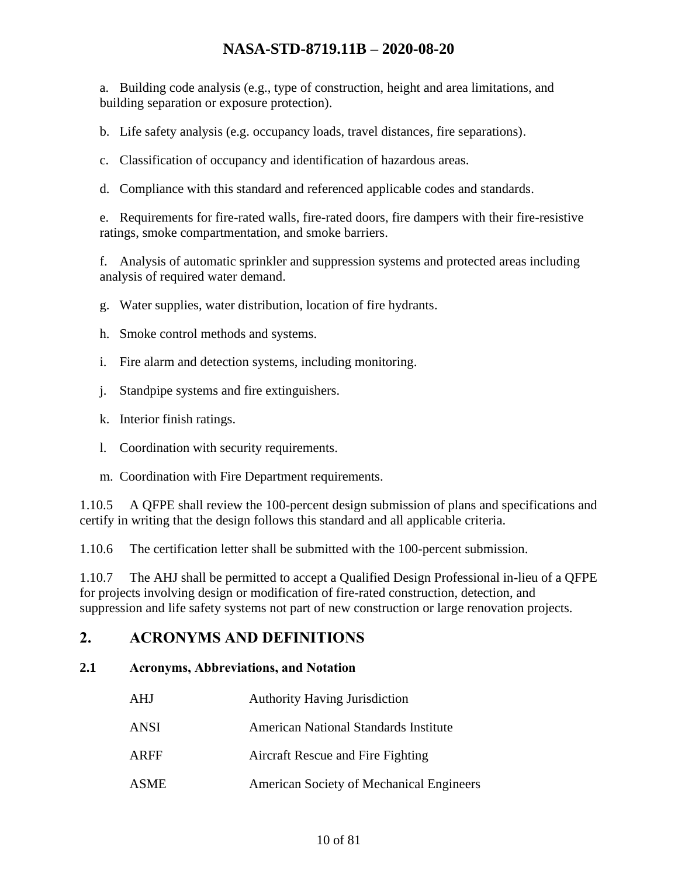a. Building code analysis (e.g., type of construction, height and area limitations, and building separation or exposure protection).

b. Life safety analysis (e.g. occupancy loads, travel distances, fire separations).

c. Classification of occupancy and identification of hazardous areas.

d. Compliance with this standard and referenced applicable codes and standards.

e. Requirements for fire-rated walls, fire-rated doors, fire dampers with their fire-resistive ratings, smoke compartmentation, and smoke barriers.

f. Analysis of automatic sprinkler and suppression systems and protected areas including analysis of required water demand.

g. Water supplies, water distribution, location of fire hydrants.

- h. Smoke control methods and systems.
- i. Fire alarm and detection systems, including monitoring.
- j. Standpipe systems and fire extinguishers.
- k. Interior finish ratings.
- l. Coordination with security requirements.
- m. Coordination with Fire Department requirements.

1.10.5 A QFPE shall review the 100-percent design submission of plans and specifications and certify in writing that the design follows this standard and all applicable criteria.

1.10.6 The certification letter shall be submitted with the 100-percent submission.

1.10.7 The AHJ shall be permitted to accept a Qualified Design Professional in-lieu of a QFPE for projects involving design or modification of fire-rated construction, detection, and suppression and life safety systems not part of new construction or large renovation projects.

### <span id="page-9-0"></span>**2. ACRONYMS AND DEFINITIONS**

#### <span id="page-9-1"></span>**2.1 Acronyms, Abbreviations, and Notation**

| AHJ  | <b>Authority Having Jurisdiction</b>         |
|------|----------------------------------------------|
| ANSI | <b>American National Standards Institute</b> |
| ARFF | Aircraft Rescue and Fire Fighting            |
| ASME | American Society of Mechanical Engineers     |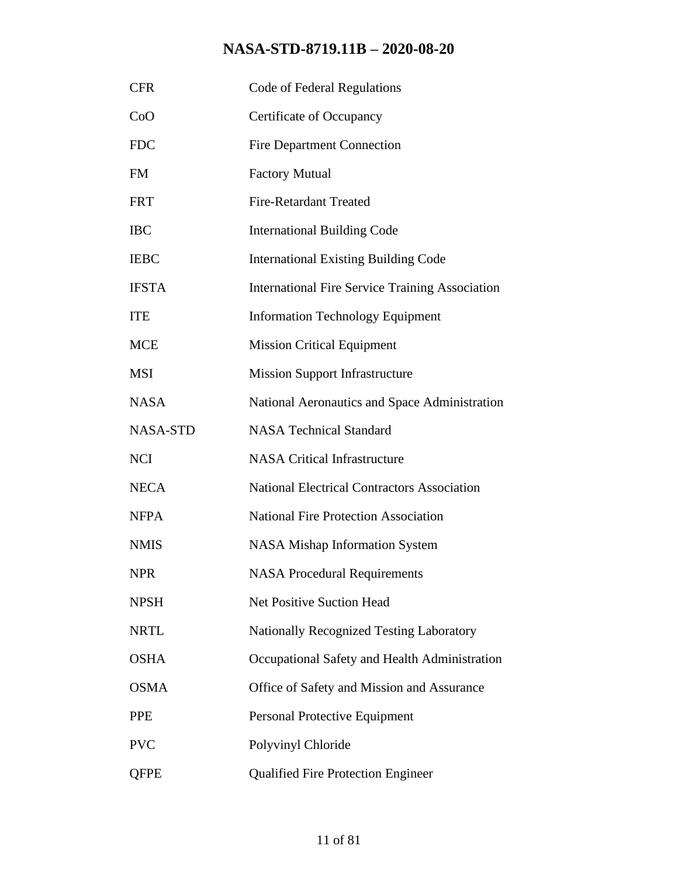| <b>CFR</b>      | Code of Federal Regulations                            |
|-----------------|--------------------------------------------------------|
| CoO             | Certificate of Occupancy                               |
| <b>FDC</b>      | <b>Fire Department Connection</b>                      |
| <b>FM</b>       | <b>Factory Mutual</b>                                  |
| <b>FRT</b>      | <b>Fire-Retardant Treated</b>                          |
| <b>IBC</b>      | <b>International Building Code</b>                     |
| <b>IEBC</b>     | <b>International Existing Building Code</b>            |
| <b>IFSTA</b>    | <b>International Fire Service Training Association</b> |
| <b>ITE</b>      | <b>Information Technology Equipment</b>                |
| <b>MCE</b>      | <b>Mission Critical Equipment</b>                      |
| <b>MSI</b>      | <b>Mission Support Infrastructure</b>                  |
| <b>NASA</b>     | National Aeronautics and Space Administration          |
| <b>NASA-STD</b> | <b>NASA Technical Standard</b>                         |
| <b>NCI</b>      | <b>NASA Critical Infrastructure</b>                    |
| <b>NECA</b>     | <b>National Electrical Contractors Association</b>     |
| <b>NFPA</b>     | <b>National Fire Protection Association</b>            |
| <b>NMIS</b>     | <b>NASA Mishap Information System</b>                  |
| <b>NPR</b>      | <b>NASA Procedural Requirements</b>                    |
| <b>NPSH</b>     | <b>Net Positive Suction Head</b>                       |
| <b>NRTL</b>     | <b>Nationally Recognized Testing Laboratory</b>        |
| <b>OSHA</b>     | Occupational Safety and Health Administration          |
| <b>OSMA</b>     | Office of Safety and Mission and Assurance             |
| <b>PPE</b>      | Personal Protective Equipment                          |
| <b>PVC</b>      | Polyvinyl Chloride                                     |
| <b>QFPE</b>     | <b>Qualified Fire Protection Engineer</b>              |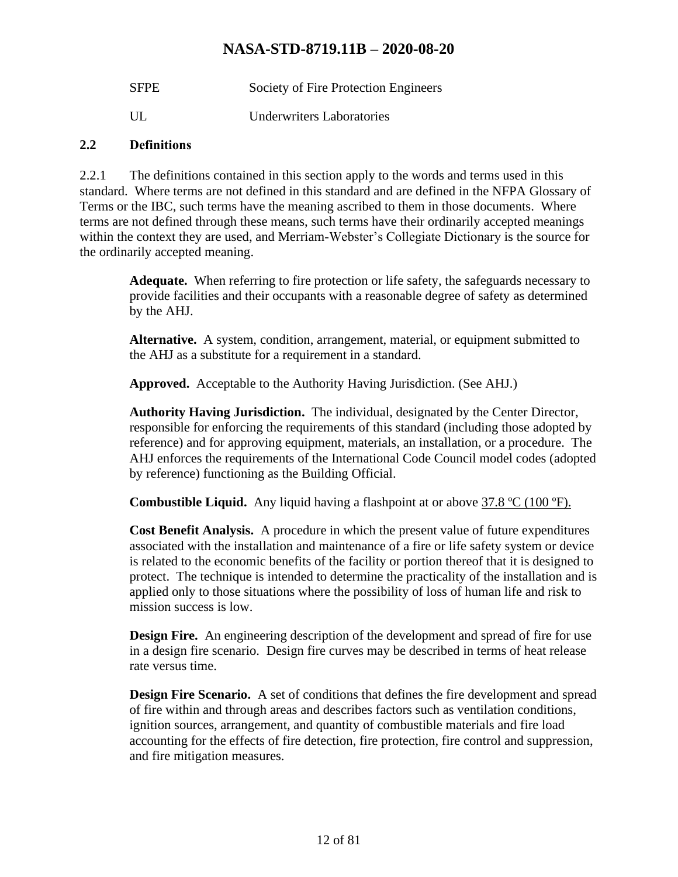| <b>SFPE</b> | Society of Fire Protection Engineers |
|-------------|--------------------------------------|
| UL.         | Underwriters Laboratories            |

#### <span id="page-11-0"></span>**2.2 Definitions**

2.2.1 The definitions contained in this section apply to the words and terms used in this standard. Where terms are not defined in this standard and are defined in the NFPA Glossary of Terms or the IBC, such terms have the meaning ascribed to them in those documents. Where terms are not defined through these means, such terms have their ordinarily accepted meanings within the context they are used, and Merriam-Webster's Collegiate Dictionary is the source for the ordinarily accepted meaning.

**Adequate.** When referring to fire protection or life safety, the safeguards necessary to provide facilities and their occupants with a reasonable degree of safety as determined by the AHJ.

**Alternative.** A system, condition, arrangement, material, or equipment submitted to the AHJ as a substitute for a requirement in a standard.

**Approved.** Acceptable to the Authority Having Jurisdiction. (See AHJ.)

**Authority Having Jurisdiction.** The individual, designated by the Center Director, responsible for enforcing the requirements of this standard (including those adopted by reference) and for approving equipment, materials, an installation, or a procedure. The AHJ enforces the requirements of the International Code Council model codes (adopted by reference) functioning as the Building Official.

**Combustible Liquid.** Any liquid having a flashpoint at or above 37.8 ºC (100 ºF).

**Cost Benefit Analysis.** A procedure in which the present value of future expenditures associated with the installation and maintenance of a fire or life safety system or device is related to the economic benefits of the facility or portion thereof that it is designed to protect. The technique is intended to determine the practicality of the installation and is applied only to those situations where the possibility of loss of human life and risk to mission success is low.

**Design Fire.** An engineering description of the development and spread of fire for use in a design fire scenario. Design fire curves may be described in terms of heat release rate versus time.

**Design Fire Scenario.** A set of conditions that defines the fire development and spread of fire within and through areas and describes factors such as ventilation conditions, ignition sources, arrangement, and quantity of combustible materials and fire load accounting for the effects of fire detection, fire protection, fire control and suppression, and fire mitigation measures.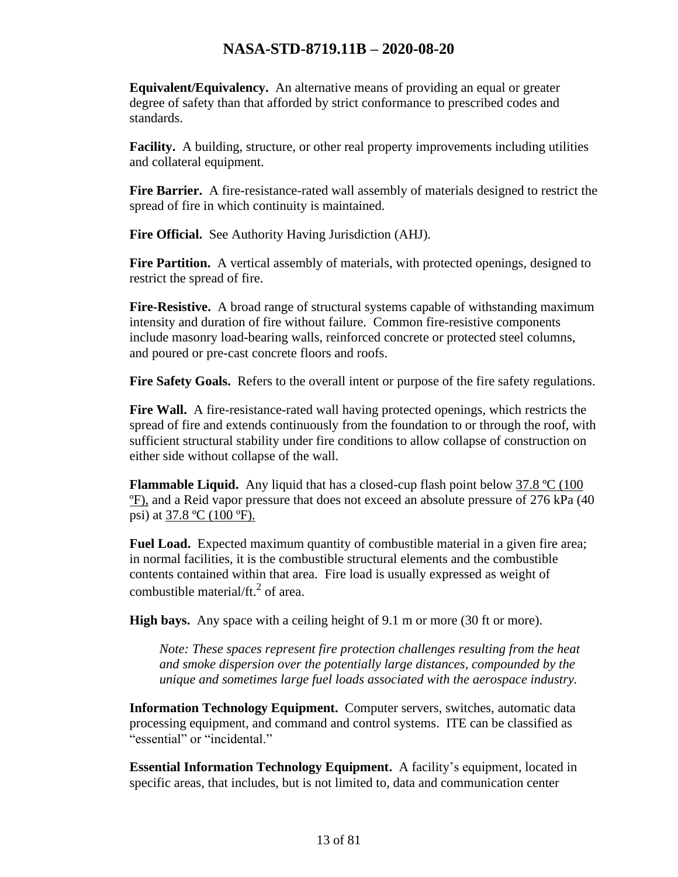**Equivalent/Equivalency.** An alternative means of providing an equal or greater degree of safety than that afforded by strict conformance to prescribed codes and standards.

**Facility.** A building, structure, or other real property improvements including utilities and collateral equipment.

**Fire Barrier.** A fire-resistance-rated wall assembly of materials designed to restrict the spread of fire in which continuity is maintained.

**Fire Official.** See Authority Having Jurisdiction (AHJ).

**Fire Partition.** A vertical assembly of materials, with protected openings, designed to restrict the spread of fire.

**Fire-Resistive.** A broad range of structural systems capable of withstanding maximum intensity and duration of fire without failure. Common fire-resistive components include masonry load-bearing walls, reinforced concrete or protected steel columns, and poured or pre-cast concrete floors and roofs.

**Fire Safety Goals.** Refers to the overall intent or purpose of the fire safety regulations.

**Fire Wall.** A fire-resistance-rated wall having protected openings, which restricts the spread of fire and extends continuously from the foundation to or through the roof, with sufficient structural stability under fire conditions to allow collapse of construction on either side without collapse of the wall.

**Flammable Liquid.** Any liquid that has a closed-cup flash point below 37.8 °C (100) ºF), and a Reid vapor pressure that does not exceed an absolute pressure of 276 kPa (40 psi) at  $37.8 \text{ °C}$  (100 °F).

**Fuel Load.** Expected maximum quantity of combustible material in a given fire area; in normal facilities, it is the combustible structural elements and the combustible contents contained within that area. Fire load is usually expressed as weight of combustible material/ft. $^{2}$  of area.

**High bays.** Any space with a ceiling height of 9.1 m or more (30 ft or more).

*Note: These spaces represent fire protection challenges resulting from the heat and smoke dispersion over the potentially large distances, compounded by the unique and sometimes large fuel loads associated with the aerospace industry.*

**Information Technology Equipment.** Computer servers, switches, automatic data processing equipment, and command and control systems. ITE can be classified as "essential" or "incidental."

**Essential Information Technology Equipment.** A facility's equipment, located in specific areas, that includes, but is not limited to, data and communication center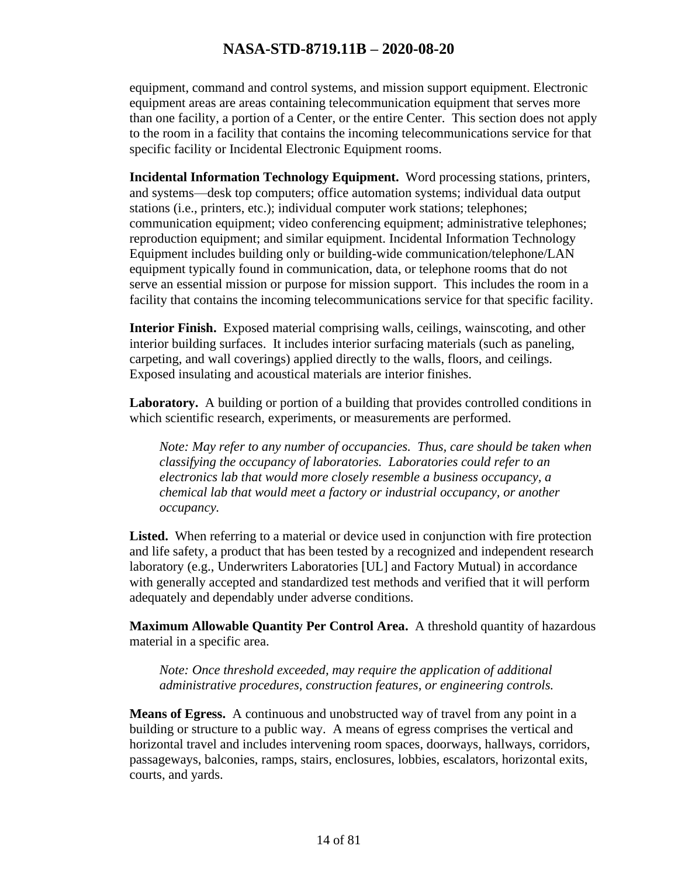equipment, command and control systems, and mission support equipment. Electronic equipment areas are areas containing telecommunication equipment that serves more than one facility, a portion of a Center, or the entire Center. This section does not apply to the room in a facility that contains the incoming telecommunications service for that specific facility or Incidental Electronic Equipment rooms.

**Incidental Information Technology Equipment.** Word processing stations, printers, and systems—desk top computers; office automation systems; individual data output stations (i.e., printers, etc.); individual computer work stations; telephones; communication equipment; video conferencing equipment; administrative telephones; reproduction equipment; and similar equipment. Incidental Information Technology Equipment includes building only or building-wide communication/telephone/LAN equipment typically found in communication, data, or telephone rooms that do not serve an essential mission or purpose for mission support. This includes the room in a facility that contains the incoming telecommunications service for that specific facility.

**Interior Finish.** Exposed material comprising walls, ceilings, wainscoting, and other interior building surfaces. It includes interior surfacing materials (such as paneling, carpeting, and wall coverings) applied directly to the walls, floors, and ceilings. Exposed insulating and acoustical materials are interior finishes.

**Laboratory.** A building or portion of a building that provides controlled conditions in which scientific research, experiments, or measurements are performed.

*Note: May refer to any number of occupancies. Thus, care should be taken when classifying the occupancy of laboratories. Laboratories could refer to an electronics lab that would more closely resemble a business occupancy, a chemical lab that would meet a factory or industrial occupancy, or another occupancy.*

Listed. When referring to a material or device used in conjunction with fire protection and life safety, a product that has been tested by a recognized and independent research laboratory (e.g., Underwriters Laboratories [UL] and Factory Mutual) in accordance with generally accepted and standardized test methods and verified that it will perform adequately and dependably under adverse conditions.

**Maximum Allowable Quantity Per Control Area.** A threshold quantity of hazardous material in a specific area.

*Note: Once threshold exceeded, may require the application of additional administrative procedures, construction features, or engineering controls.*

**Means of Egress.** A continuous and unobstructed way of travel from any point in a building or structure to a public way. A means of egress comprises the vertical and horizontal travel and includes intervening room spaces, doorways, hallways, corridors, passageways, balconies, ramps, stairs, enclosures, lobbies, escalators, horizontal exits, courts, and yards.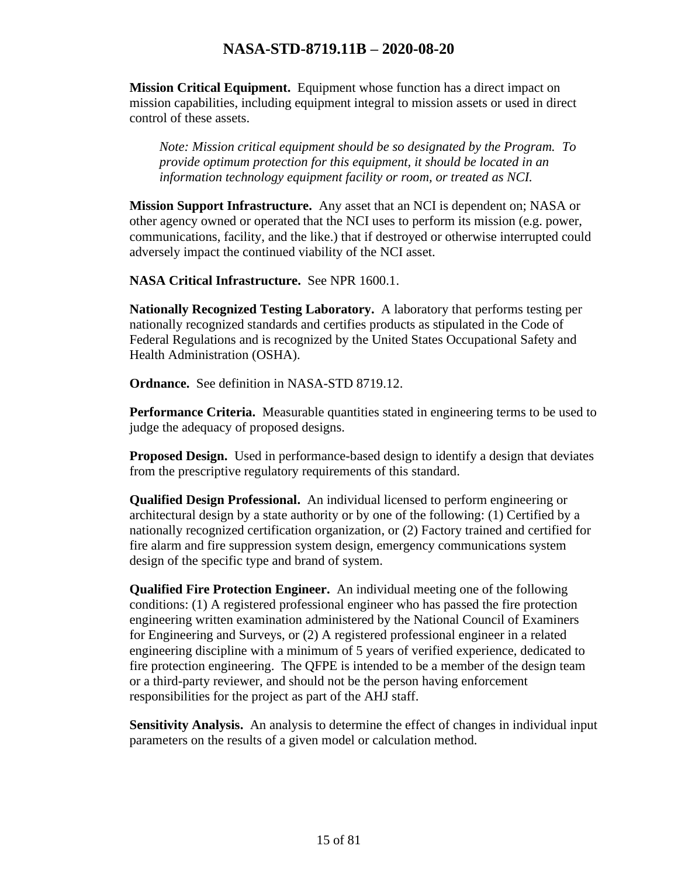**Mission Critical Equipment.** Equipment whose function has a direct impact on mission capabilities, including equipment integral to mission assets or used in direct control of these assets.

*Note: Mission critical equipment should be so designated by the Program. To provide optimum protection for this equipment, it should be located in an information technology equipment facility or room, or treated as NCI.*

**Mission Support Infrastructure.** Any asset that an NCI is dependent on; NASA or other agency owned or operated that the NCI uses to perform its mission (e.g. power, communications, facility, and the like.) that if destroyed or otherwise interrupted could adversely impact the continued viability of the NCI asset.

**NASA Critical Infrastructure.** See NPR 1600.1.

**Nationally Recognized Testing Laboratory.** A laboratory that performs testing per nationally recognized standards and certifies products as stipulated in the Code of Federal Regulations and is recognized by the United States Occupational Safety and Health Administration (OSHA).

**Ordnance.** See definition in NASA-STD 8719.12.

**Performance Criteria.** Measurable quantities stated in engineering terms to be used to judge the adequacy of proposed designs.

**Proposed Design.** Used in performance-based design to identify a design that deviates from the prescriptive regulatory requirements of this standard.

**Qualified Design Professional.** An individual licensed to perform engineering or architectural design by a state authority or by one of the following: (1) Certified by a nationally recognized certification organization, or (2) Factory trained and certified for fire alarm and fire suppression system design, emergency communications system design of the specific type and brand of system.

**Qualified Fire Protection Engineer.** An individual meeting one of the following conditions: (1) A registered professional engineer who has passed the fire protection engineering written examination administered by the National Council of Examiners for Engineering and Surveys, or (2) A registered professional engineer in a related engineering discipline with a minimum of 5 years of verified experience, dedicated to fire protection engineering. The QFPE is intended to be a member of the design team or a third-party reviewer, and should not be the person having enforcement responsibilities for the project as part of the AHJ staff.

**Sensitivity Analysis.** An analysis to determine the effect of changes in individual input parameters on the results of a given model or calculation method.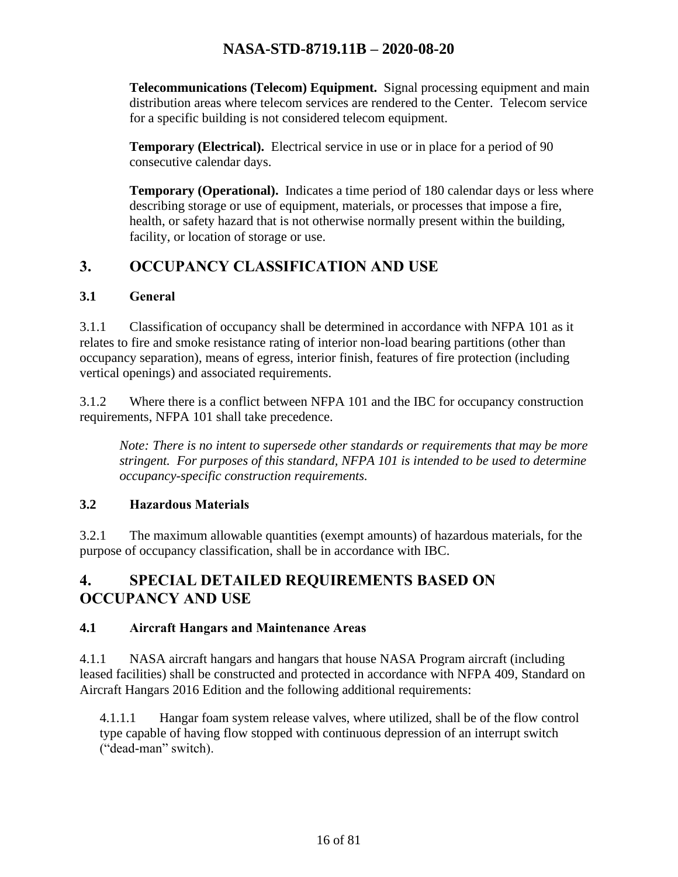**Telecommunications (Telecom) Equipment.** Signal processing equipment and main distribution areas where telecom services are rendered to the Center. Telecom service for a specific building is not considered telecom equipment.

**Temporary (Electrical).** Electrical service in use or in place for a period of 90 consecutive calendar days.

**Temporary (Operational).** Indicates a time period of 180 calendar days or less where describing storage or use of equipment, materials, or processes that impose a fire, health, or safety hazard that is not otherwise normally present within the building, facility, or location of storage or use.

## <span id="page-15-0"></span>**3. OCCUPANCY CLASSIFICATION AND USE**

#### <span id="page-15-1"></span>**3.1 General**

3.1.1 Classification of occupancy shall be determined in accordance with NFPA 101 as it relates to fire and smoke resistance rating of interior non-load bearing partitions (other than occupancy separation), means of egress, interior finish, features of fire protection (including vertical openings) and associated requirements.

3.1.2 Where there is a conflict between NFPA 101 and the IBC for occupancy construction requirements, NFPA 101 shall take precedence.

*Note: There is no intent to supersede other standards or requirements that may be more stringent. For purposes of this standard, NFPA 101 is intended to be used to determine occupancy-specific construction requirements.* 

#### <span id="page-15-2"></span>**3.2 Hazardous Materials**

3.2.1 The maximum allowable quantities (exempt amounts) of hazardous materials, for the purpose of occupancy classification, shall be in accordance with IBC.

# <span id="page-15-3"></span>**4. SPECIAL DETAILED REQUIREMENTS BASED ON OCCUPANCY AND USE**

#### <span id="page-15-4"></span>**4.1 Aircraft Hangars and Maintenance Areas**

4.1.1 NASA aircraft hangars and hangars that house NASA Program aircraft (including leased facilities) shall be constructed and protected in accordance with NFPA 409, Standard on Aircraft Hangars 2016 Edition and the following additional requirements:

4.1.1.1 Hangar foam system release valves, where utilized, shall be of the flow control type capable of having flow stopped with continuous depression of an interrupt switch ("dead-man" switch).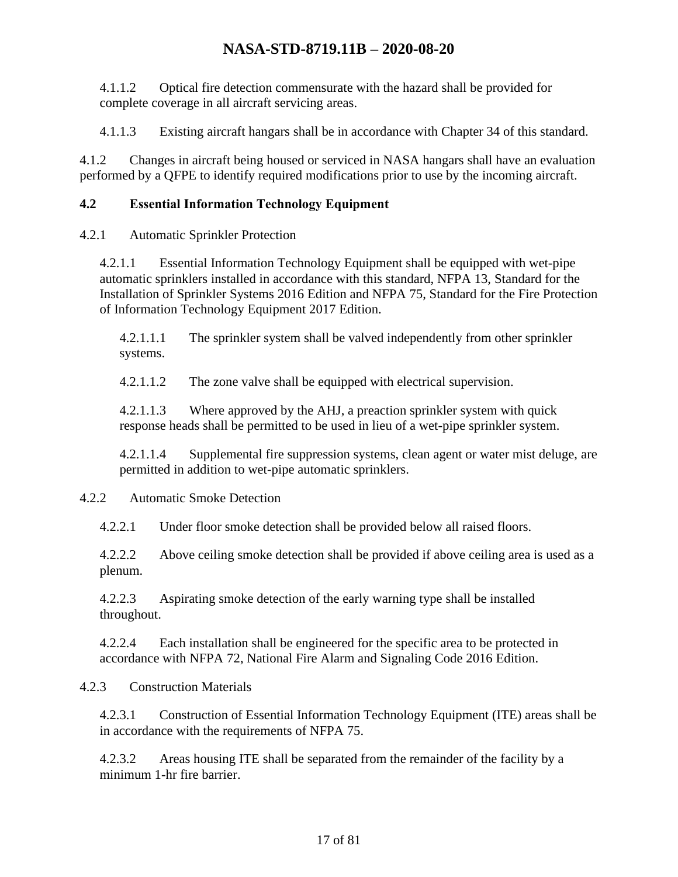4.1.1.2 Optical fire detection commensurate with the hazard shall be provided for complete coverage in all aircraft servicing areas.

4.1.1.3 Existing aircraft hangars shall be in accordance with Chapter 34 of this standard.

4.1.2 Changes in aircraft being housed or serviced in NASA hangars shall have an evaluation performed by a QFPE to identify required modifications prior to use by the incoming aircraft.

#### <span id="page-16-0"></span>**4.2 Essential Information Technology Equipment**

4.2.1 Automatic Sprinkler Protection

4.2.1.1 Essential Information Technology Equipment shall be equipped with wet-pipe automatic sprinklers installed in accordance with this standard, NFPA 13, Standard for the Installation of Sprinkler Systems 2016 Edition and NFPA 75, Standard for the Fire Protection of Information Technology Equipment 2017 Edition.

4.2.1.1.1 The sprinkler system shall be valved independently from other sprinkler systems.

4.2.1.1.2 The zone valve shall be equipped with electrical supervision.

4.2.1.1.3 Where approved by the AHJ, a preaction sprinkler system with quick response heads shall be permitted to be used in lieu of a wet-pipe sprinkler system.

4.2.1.1.4 Supplemental fire suppression systems, clean agent or water mist deluge, are permitted in addition to wet-pipe automatic sprinklers.

#### 4.2.2 Automatic Smoke Detection

4.2.2.1 Under floor smoke detection shall be provided below all raised floors.

4.2.2.2 Above ceiling smoke detection shall be provided if above ceiling area is used as a plenum.

4.2.2.3 Aspirating smoke detection of the early warning type shall be installed throughout.

4.2.2.4 Each installation shall be engineered for the specific area to be protected in accordance with NFPA 72, National Fire Alarm and Signaling Code 2016 Edition.

#### 4.2.3 Construction Materials

4.2.3.1 Construction of Essential Information Technology Equipment (ITE) areas shall be in accordance with the requirements of NFPA 75.

4.2.3.2 Areas housing ITE shall be separated from the remainder of the facility by a minimum 1-hr fire barrier.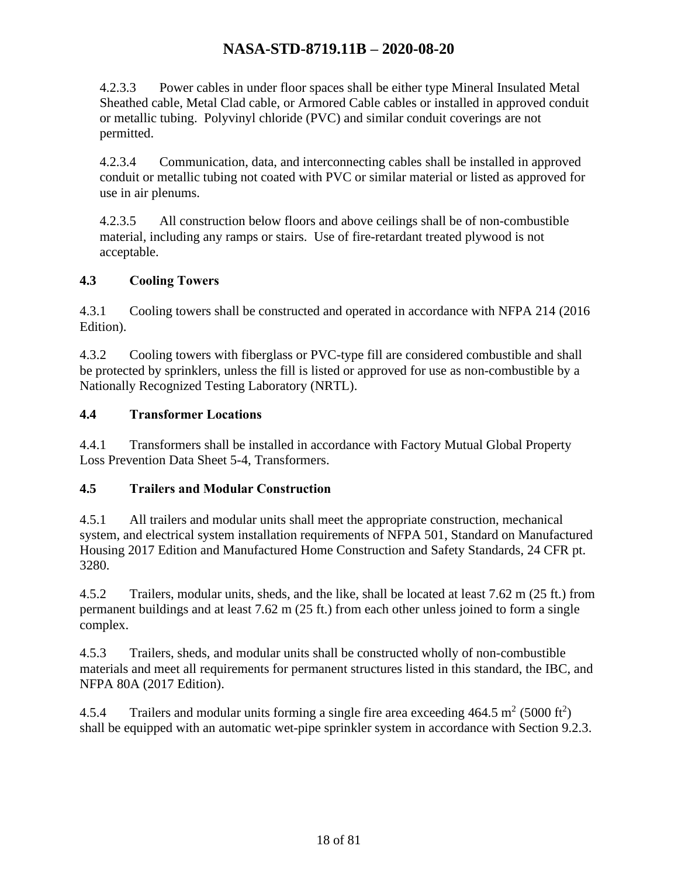4.2.3.3 Power cables in under floor spaces shall be either type Mineral Insulated Metal Sheathed cable, Metal Clad cable, or Armored Cable cables or installed in approved conduit or metallic tubing. Polyvinyl chloride (PVC) and similar conduit coverings are not permitted.

4.2.3.4 Communication, data, and interconnecting cables shall be installed in approved conduit or metallic tubing not coated with PVC or similar material or listed as approved for use in air plenums.

4.2.3.5 All construction below floors and above ceilings shall be of non-combustible material, including any ramps or stairs. Use of fire-retardant treated plywood is not acceptable.

#### <span id="page-17-0"></span>**4.3 Cooling Towers**

4.3.1 Cooling towers shall be constructed and operated in accordance with NFPA 214 (2016 Edition).

4.3.2 Cooling towers with fiberglass or PVC-type fill are considered combustible and shall be protected by sprinklers, unless the fill is listed or approved for use as non-combustible by a Nationally Recognized Testing Laboratory (NRTL).

#### <span id="page-17-1"></span>**4.4 Transformer Locations**

4.4.1 Transformers shall be installed in accordance with Factory Mutual Global Property Loss Prevention Data Sheet 5-4, Transformers.

#### <span id="page-17-2"></span>**4.5 Trailers and Modular Construction**

4.5.1 All trailers and modular units shall meet the appropriate construction, mechanical system, and electrical system installation requirements of NFPA 501, Standard on Manufactured Housing 2017 Edition and Manufactured Home Construction and Safety Standards, 24 CFR pt. 3280.

4.5.2 Trailers, modular units, sheds, and the like, shall be located at least 7.62 m (25 ft.) from permanent buildings and at least 7.62 m (25 ft.) from each other unless joined to form a single complex.

4.5.3 Trailers, sheds, and modular units shall be constructed wholly of non-combustible materials and meet all requirements for permanent structures listed in this standard, the IBC, and NFPA 80A (2017 Edition).

4.5.4 Trailers and modular units forming a single fire area exceeding  $464.5 \text{ m}^2$  (5000 ft<sup>2</sup>) shall be equipped with an automatic wet-pipe sprinkler system in accordance with Section 9.2.3.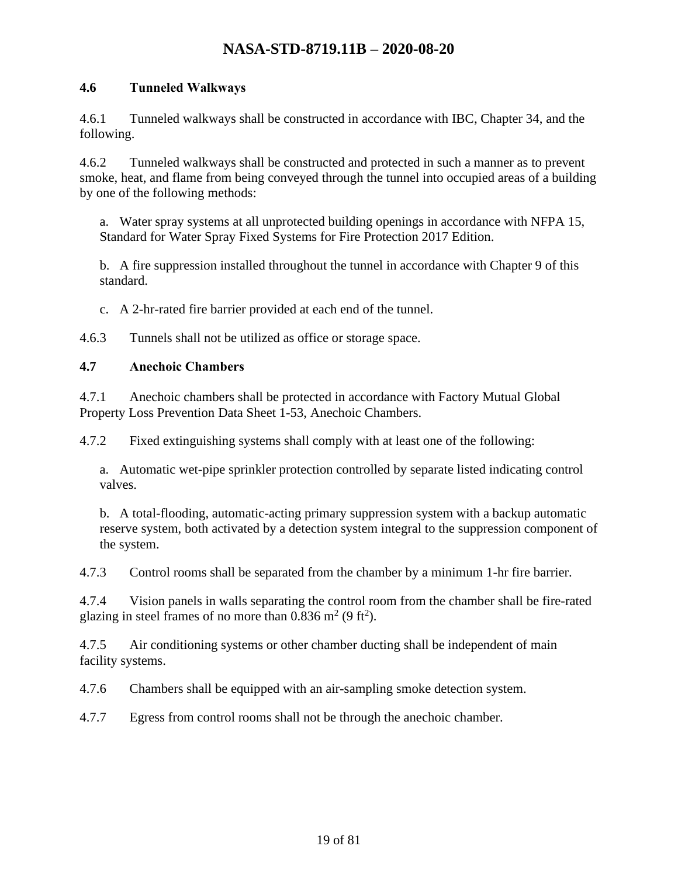#### <span id="page-18-0"></span>**4.6 Tunneled Walkways**

4.6.1 Tunneled walkways shall be constructed in accordance with IBC, Chapter 34, and the following.

4.6.2 Tunneled walkways shall be constructed and protected in such a manner as to prevent smoke, heat, and flame from being conveyed through the tunnel into occupied areas of a building by one of the following methods:

a. Water spray systems at all unprotected building openings in accordance with NFPA 15, Standard for Water Spray Fixed Systems for Fire Protection 2017 Edition.

b. A fire suppression installed throughout the tunnel in accordance with Chapter 9 of this standard.

c. A 2-hr-rated fire barrier provided at each end of the tunnel.

4.6.3 Tunnels shall not be utilized as office or storage space.

#### <span id="page-18-1"></span>**4.7 Anechoic Chambers**

4.7.1 Anechoic chambers shall be protected in accordance with Factory Mutual Global Property Loss Prevention Data Sheet 1-53, Anechoic Chambers.

4.7.2 Fixed extinguishing systems shall comply with at least one of the following:

a. Automatic wet-pipe sprinkler protection controlled by separate listed indicating control valves.

b. A total-flooding, automatic-acting primary suppression system with a backup automatic reserve system, both activated by a detection system integral to the suppression component of the system.

4.7.3 Control rooms shall be separated from the chamber by a minimum 1-hr fire barrier.

4.7.4 Vision panels in walls separating the control room from the chamber shall be fire-rated glazing in steel frames of no more than  $0.836$  m<sup>2</sup> (9 ft<sup>2</sup>).

4.7.5 Air conditioning systems or other chamber ducting shall be independent of main facility systems.

4.7.6 Chambers shall be equipped with an air-sampling smoke detection system.

4.7.7 Egress from control rooms shall not be through the anechoic chamber.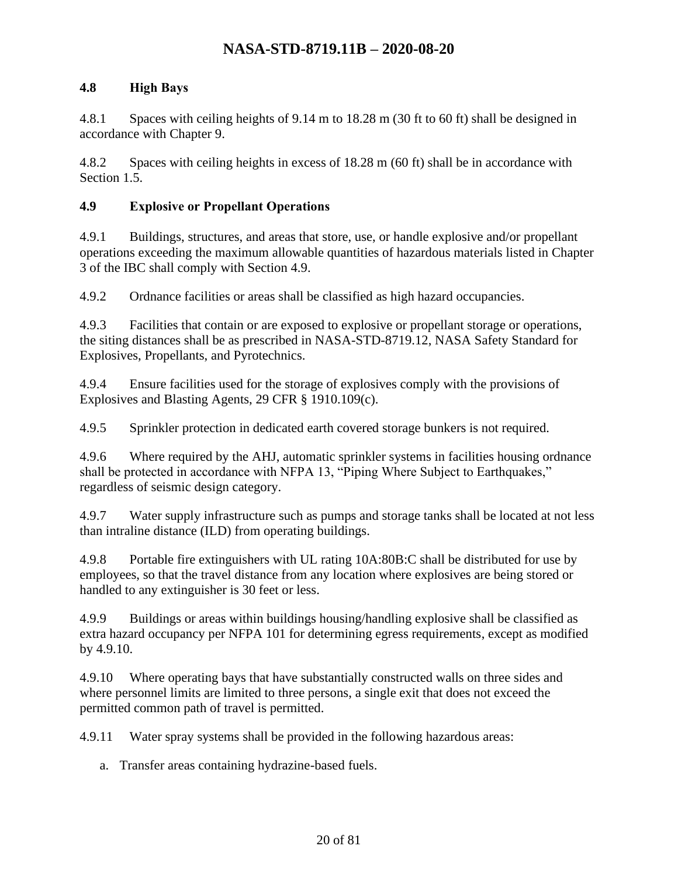#### <span id="page-19-0"></span>**4.8 High Bays**

4.8.1 Spaces with ceiling heights of 9.14 m to 18.28 m (30 ft to 60 ft) shall be designed in accordance with Chapter 9.

4.8.2 Spaces with ceiling heights in excess of 18.28 m (60 ft) shall be in accordance with Section 1.5.

#### <span id="page-19-1"></span>**4.9 Explosive or Propellant Operations**

4.9.1 Buildings, structures, and areas that store, use, or handle explosive and/or propellant operations exceeding the maximum allowable quantities of hazardous materials listed in Chapter 3 of the IBC shall comply with Section 4.9.

4.9.2 Ordnance facilities or areas shall be classified as high hazard occupancies.

4.9.3 Facilities that contain or are exposed to explosive or propellant storage or operations, the siting distances shall be as prescribed in NASA-STD-8719.12, NASA Safety Standard for Explosives, Propellants, and Pyrotechnics.

4.9.4 Ensure facilities used for the storage of explosives comply with the provisions of Explosives and Blasting Agents, 29 CFR § 1910.109(c).

4.9.5 Sprinkler protection in dedicated earth covered storage bunkers is not required.

4.9.6 Where required by the AHJ, automatic sprinkler systems in facilities housing ordnance shall be protected in accordance with NFPA 13, "Piping Where Subject to Earthquakes," regardless of seismic design category.

4.9.7 Water supply infrastructure such as pumps and storage tanks shall be located at not less than intraline distance (ILD) from operating buildings.

4.9.8 Portable fire extinguishers with UL rating 10A:80B:C shall be distributed for use by employees, so that the travel distance from any location where explosives are being stored or handled to any extinguisher is 30 feet or less.

4.9.9 Buildings or areas within buildings housing/handling explosive shall be classified as extra hazard occupancy per NFPA 101 for determining egress requirements, except as modified by 4.9.10.

4.9.10 Where operating bays that have substantially constructed walls on three sides and where personnel limits are limited to three persons, a single exit that does not exceed the permitted common path of travel is permitted.

4.9.11 Water spray systems shall be provided in the following hazardous areas:

a. Transfer areas containing hydrazine-based fuels.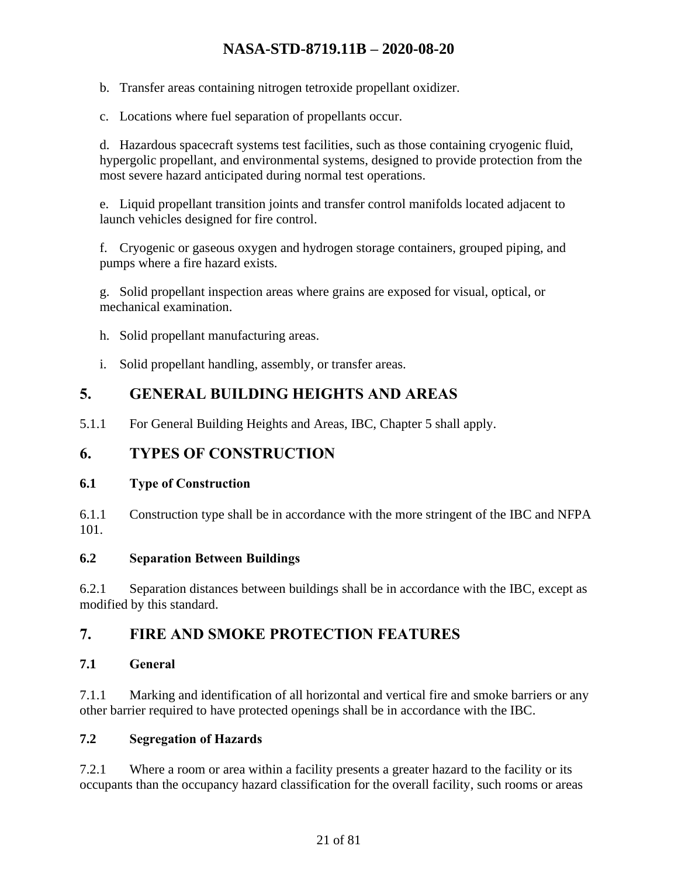b. Transfer areas containing nitrogen tetroxide propellant oxidizer.

c. Locations where fuel separation of propellants occur.

d. Hazardous spacecraft systems test facilities, such as those containing cryogenic fluid, hypergolic propellant, and environmental systems, designed to provide protection from the most severe hazard anticipated during normal test operations.

e. Liquid propellant transition joints and transfer control manifolds located adjacent to launch vehicles designed for fire control.

f. Cryogenic or gaseous oxygen and hydrogen storage containers, grouped piping, and pumps where a fire hazard exists.

g. Solid propellant inspection areas where grains are exposed for visual, optical, or mechanical examination.

- h. Solid propellant manufacturing areas.
- i. Solid propellant handling, assembly, or transfer areas.

# <span id="page-20-0"></span>**5. GENERAL BUILDING HEIGHTS AND AREAS**

5.1.1 For General Building Heights and Areas, IBC, Chapter 5 shall apply.

### <span id="page-20-1"></span>**6. TYPES OF CONSTRUCTION**

#### <span id="page-20-2"></span>**6.1 Type of Construction**

6.1.1 Construction type shall be in accordance with the more stringent of the IBC and NFPA 101.

#### <span id="page-20-3"></span>**6.2 Separation Between Buildings**

6.2.1 Separation distances between buildings shall be in accordance with the IBC, except as modified by this standard.

## <span id="page-20-4"></span>**7. FIRE AND SMOKE PROTECTION FEATURES**

### <span id="page-20-5"></span>**7.1 General**

7.1.1 Marking and identification of all horizontal and vertical fire and smoke barriers or any other barrier required to have protected openings shall be in accordance with the IBC.

### <span id="page-20-6"></span>**7.2 Segregation of Hazards**

7.2.1 Where a room or area within a facility presents a greater hazard to the facility or its occupants than the occupancy hazard classification for the overall facility, such rooms or areas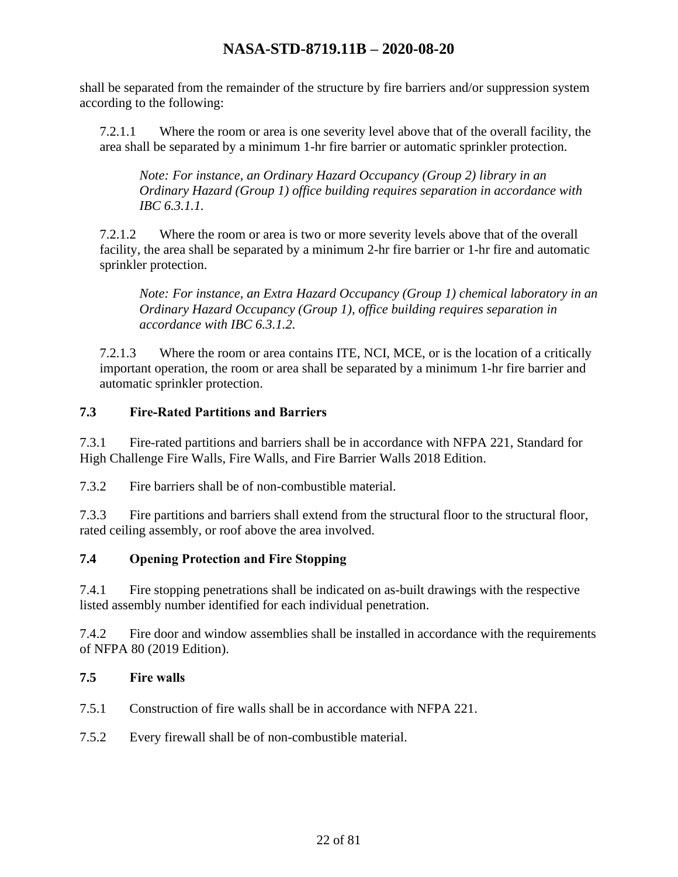shall be separated from the remainder of the structure by fire barriers and/or suppression system according to the following:

7.2.1.1 Where the room or area is one severity level above that of the overall facility, the area shall be separated by a minimum 1-hr fire barrier or automatic sprinkler protection.

*Note: For instance, an Ordinary Hazard Occupancy (Group 2) library in an Ordinary Hazard (Group 1) office building requires separation in accordance with IBC 6.3.1.1.*

7.2.1.2 Where the room or area is two or more severity levels above that of the overall facility, the area shall be separated by a minimum 2-hr fire barrier or 1-hr fire and automatic sprinkler protection.

*Note: For instance, an Extra Hazard Occupancy (Group 1) chemical laboratory in an Ordinary Hazard Occupancy (Group 1), office building requires separation in accordance with IBC 6.3.1.2.*

7.2.1.3 Where the room or area contains ITE, NCI, MCE, or is the location of a critically important operation, the room or area shall be separated by a minimum 1-hr fire barrier and automatic sprinkler protection.

#### <span id="page-21-0"></span>**7.3 Fire-Rated Partitions and Barriers**

7.3.1 Fire-rated partitions and barriers shall be in accordance with NFPA 221, Standard for High Challenge Fire Walls, Fire Walls, and Fire Barrier Walls 2018 Edition.

7.3.2 Fire barriers shall be of non-combustible material.

7.3.3 Fire partitions and barriers shall extend from the structural floor to the structural floor, rated ceiling assembly, or roof above the area involved.

### <span id="page-21-1"></span>**7.4 Opening Protection and Fire Stopping**

7.4.1 Fire stopping penetrations shall be indicated on as-built drawings with the respective listed assembly number identified for each individual penetration.

7.4.2 Fire door and window assemblies shall be installed in accordance with the requirements of NFPA 80 (2019 Edition).

#### <span id="page-21-2"></span>**7.5 Fire walls**

- 7.5.1 Construction of fire walls shall be in accordance with NFPA 221.
- 7.5.2 Every firewall shall be of non-combustible material.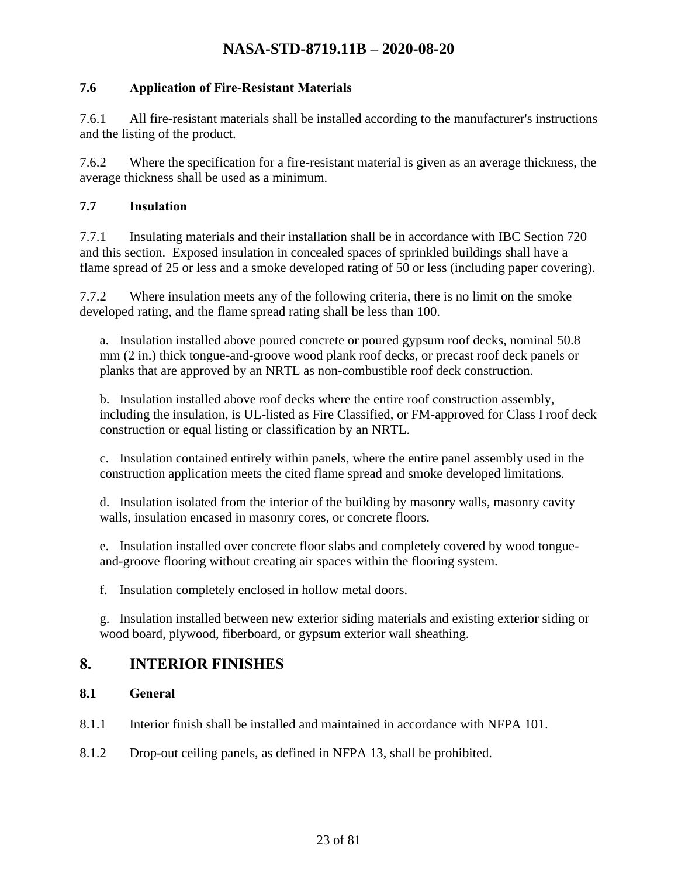#### <span id="page-22-0"></span>**7.6 Application of Fire-Resistant Materials**

7.6.1 All fire-resistant materials shall be installed according to the manufacturer's instructions and the listing of the product.

7.6.2 Where the specification for a fire-resistant material is given as an average thickness, the average thickness shall be used as a minimum.

#### <span id="page-22-1"></span>**7.7 Insulation**

7.7.1 Insulating materials and their installation shall be in accordance with IBC Section 720 and this section. Exposed insulation in concealed spaces of sprinkled buildings shall have a flame spread of 25 or less and a smoke developed rating of 50 or less (including paper covering).

7.7.2 Where insulation meets any of the following criteria, there is no limit on the smoke developed rating, and the flame spread rating shall be less than 100.

a. Insulation installed above poured concrete or poured gypsum roof decks, nominal 50.8 mm (2 in.) thick tongue-and-groove wood plank roof decks, or precast roof deck panels or planks that are approved by an NRTL as non-combustible roof deck construction.

b. Insulation installed above roof decks where the entire roof construction assembly, including the insulation, is UL-listed as Fire Classified, or FM-approved for Class I roof deck construction or equal listing or classification by an NRTL.

c. Insulation contained entirely within panels, where the entire panel assembly used in the construction application meets the cited flame spread and smoke developed limitations.

d. Insulation isolated from the interior of the building by masonry walls, masonry cavity walls, insulation encased in masonry cores, or concrete floors.

e. Insulation installed over concrete floor slabs and completely covered by wood tongueand-groove flooring without creating air spaces within the flooring system.

f. Insulation completely enclosed in hollow metal doors.

g. Insulation installed between new exterior siding materials and existing exterior siding or wood board, plywood, fiberboard, or gypsum exterior wall sheathing.

### <span id="page-22-2"></span>**8. INTERIOR FINISHES**

#### <span id="page-22-3"></span>**8.1 General**

- 8.1.1 Interior finish shall be installed and maintained in accordance with NFPA 101.
- 8.1.2 Drop-out ceiling panels, as defined in NFPA 13, shall be prohibited.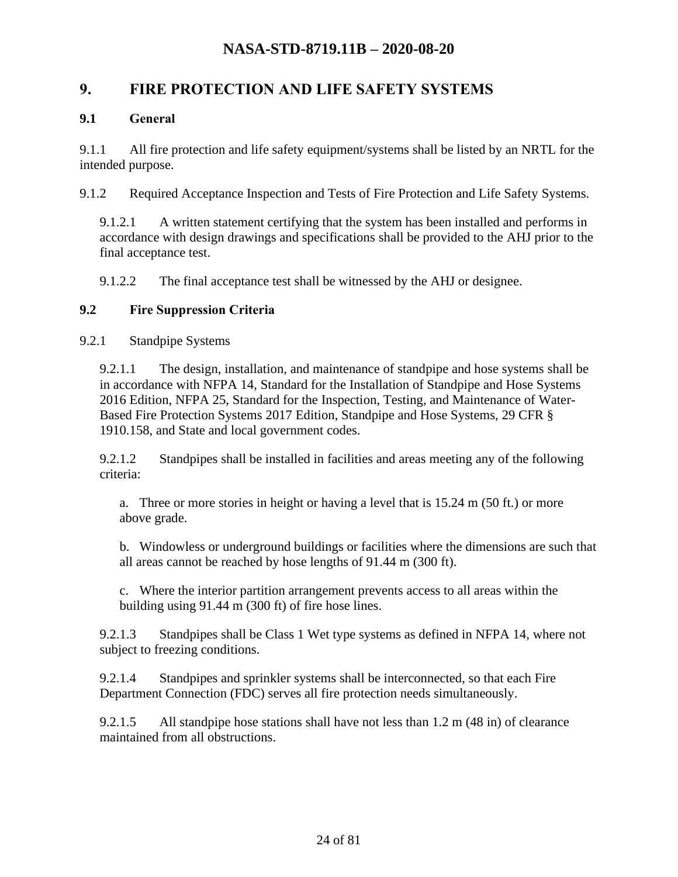### <span id="page-23-0"></span>**9. FIRE PROTECTION AND LIFE SAFETY SYSTEMS**

#### <span id="page-23-1"></span>**9.1 General**

9.1.1 All fire protection and life safety equipment/systems shall be listed by an NRTL for the intended purpose.

9.1.2 Required Acceptance Inspection and Tests of Fire Protection and Life Safety Systems.

9.1.2.1 A written statement certifying that the system has been installed and performs in accordance with design drawings and specifications shall be provided to the AHJ prior to the final acceptance test.

9.1.2.2 The final acceptance test shall be witnessed by the AHJ or designee.

#### <span id="page-23-2"></span>**9.2 Fire Suppression Criteria**

9.2.1 Standpipe Systems

9.2.1.1 The design, installation, and maintenance of standpipe and hose systems shall be in accordance with NFPA 14, Standard for the Installation of Standpipe and Hose Systems 2016 Edition, NFPA 25, Standard for the Inspection, Testing, and Maintenance of Water-Based Fire Protection Systems 2017 Edition, Standpipe and Hose Systems, 29 CFR § 1910.158, and State and local government codes.

9.2.1.2 Standpipes shall be installed in facilities and areas meeting any of the following criteria:

a. Three or more stories in height or having a level that is 15.24 m (50 ft.) or more above grade.

b. Windowless or underground buildings or facilities where the dimensions are such that all areas cannot be reached by hose lengths of 91.44 m (300 ft).

c. Where the interior partition arrangement prevents access to all areas within the building using 91.44 m (300 ft) of fire hose lines.

9.2.1.3 Standpipes shall be Class 1 Wet type systems as defined in NFPA 14, where not subject to freezing conditions.

9.2.1.4 Standpipes and sprinkler systems shall be interconnected, so that each Fire Department Connection (FDC) serves all fire protection needs simultaneously.

9.2.1.5 All standpipe hose stations shall have not less than 1.2 m (48 in) of clearance maintained from all obstructions.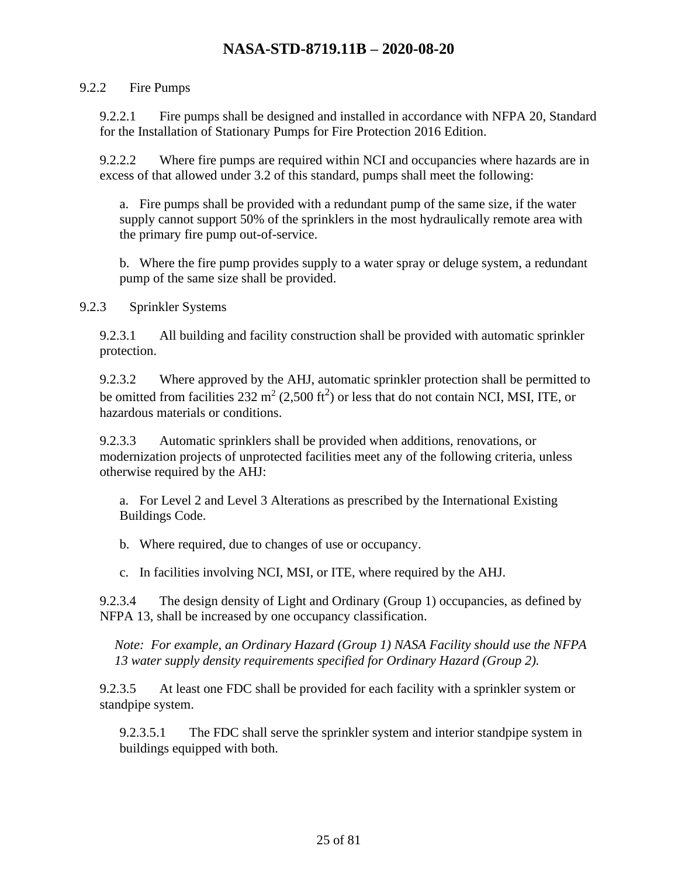#### 9.2.2 Fire Pumps

9.2.2.1 Fire pumps shall be designed and installed in accordance with NFPA 20, Standard for the Installation of Stationary Pumps for Fire Protection 2016 Edition.

9.2.2.2 Where fire pumps are required within NCI and occupancies where hazards are in excess of that allowed under 3.2 of this standard, pumps shall meet the following:

a. Fire pumps shall be provided with a redundant pump of the same size, if the water supply cannot support 50% of the sprinklers in the most hydraulically remote area with the primary fire pump out-of-service.

b. Where the fire pump provides supply to a water spray or deluge system, a redundant pump of the same size shall be provided.

9.2.3 Sprinkler Systems

9.2.3.1 All building and facility construction shall be provided with automatic sprinkler protection.

9.2.3.2 Where approved by the AHJ, automatic sprinkler protection shall be permitted to be omitted from facilities 232  $m^2$  (2,500 ft<sup>2</sup>) or less that do not contain NCI, MSI, ITE, or hazardous materials or conditions.

9.2.3.3 Automatic sprinklers shall be provided when additions, renovations, or modernization projects of unprotected facilities meet any of the following criteria, unless otherwise required by the AHJ:

a. For Level 2 and Level 3 Alterations as prescribed by the International Existing Buildings Code.

b. Where required, due to changes of use or occupancy.

c. In facilities involving NCI, MSI, or ITE, where required by the AHJ.

9.2.3.4 The design density of Light and Ordinary (Group 1) occupancies, as defined by NFPA 13, shall be increased by one occupancy classification.

*Note: For example, an Ordinary Hazard (Group 1) NASA Facility should use the NFPA 13 water supply density requirements specified for Ordinary Hazard (Group 2).*

9.2.3.5 At least one FDC shall be provided for each facility with a sprinkler system or standpipe system.

9.2.3.5.1 The FDC shall serve the sprinkler system and interior standpipe system in buildings equipped with both.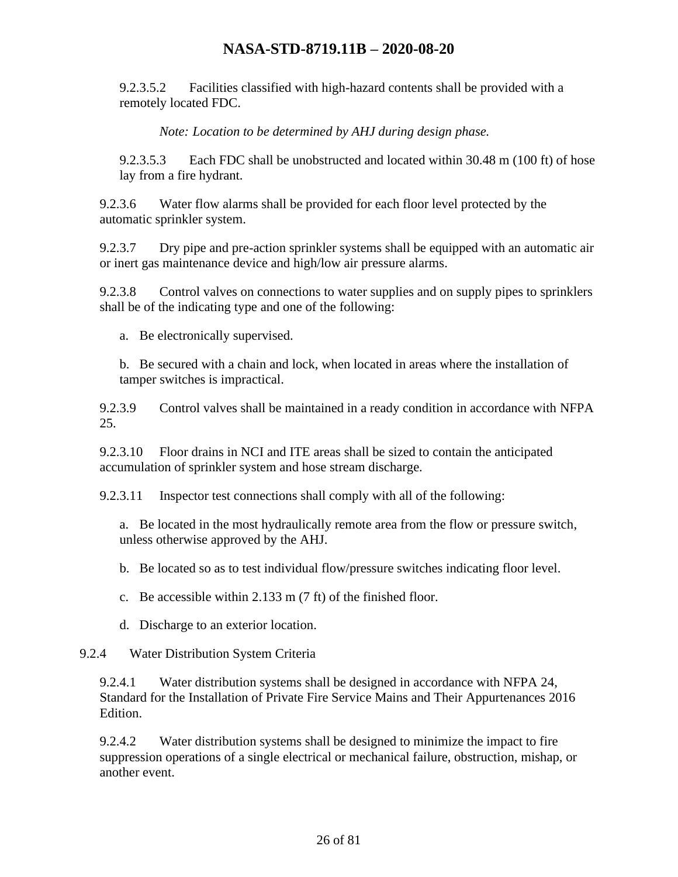9.2.3.5.2 Facilities classified with high-hazard contents shall be provided with a remotely located FDC.

*Note: Location to be determined by AHJ during design phase.*

9.2.3.5.3 Each FDC shall be unobstructed and located within 30.48 m (100 ft) of hose lay from a fire hydrant.

9.2.3.6 Water flow alarms shall be provided for each floor level protected by the automatic sprinkler system.

9.2.3.7 Dry pipe and pre-action sprinkler systems shall be equipped with an automatic air or inert gas maintenance device and high/low air pressure alarms.

9.2.3.8 Control valves on connections to water supplies and on supply pipes to sprinklers shall be of the indicating type and one of the following:

a. Be electronically supervised.

b. Be secured with a chain and lock, when located in areas where the installation of tamper switches is impractical.

9.2.3.9 Control valves shall be maintained in a ready condition in accordance with NFPA 25.

9.2.3.10 Floor drains in NCI and ITE areas shall be sized to contain the anticipated accumulation of sprinkler system and hose stream discharge.

9.2.3.11 Inspector test connections shall comply with all of the following:

a. Be located in the most hydraulically remote area from the flow or pressure switch, unless otherwise approved by the AHJ.

b. Be located so as to test individual flow/pressure switches indicating floor level.

c. Be accessible within 2.133 m (7 ft) of the finished floor.

d. Discharge to an exterior location.

#### 9.2.4 Water Distribution System Criteria

9.2.4.1 Water distribution systems shall be designed in accordance with NFPA 24, Standard for the Installation of Private Fire Service Mains and Their Appurtenances 2016 Edition.

9.2.4.2 Water distribution systems shall be designed to minimize the impact to fire suppression operations of a single electrical or mechanical failure, obstruction, mishap, or another event.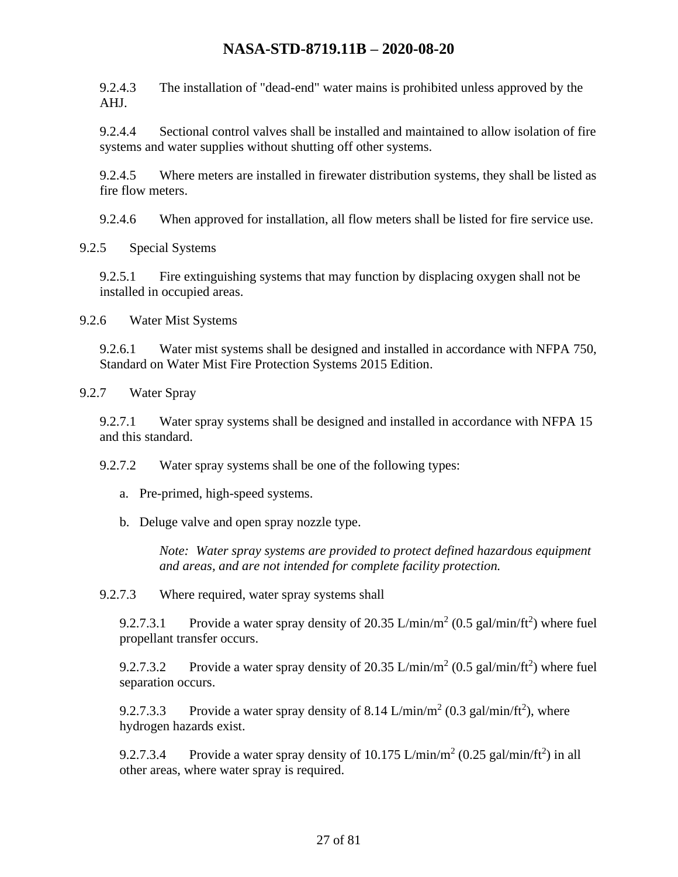9.2.4.3 The installation of "dead-end" water mains is prohibited unless approved by the AHJ.

9.2.4.4 Sectional control valves shall be installed and maintained to allow isolation of fire systems and water supplies without shutting off other systems.

9.2.4.5 Where meters are installed in firewater distribution systems, they shall be listed as fire flow meters.

9.2.4.6 When approved for installation, all flow meters shall be listed for fire service use.

9.2.5 Special Systems

9.2.5.1 Fire extinguishing systems that may function by displacing oxygen shall not be installed in occupied areas.

9.2.6 Water Mist Systems

9.2.6.1 Water mist systems shall be designed and installed in accordance with NFPA 750, Standard on Water Mist Fire Protection Systems 2015 Edition.

9.2.7 Water Spray

9.2.7.1 Water spray systems shall be designed and installed in accordance with NFPA 15 and this standard.

9.2.7.2 Water spray systems shall be one of the following types:

- a. Pre-primed, high-speed systems.
- b. Deluge valve and open spray nozzle type.

*Note: Water spray systems are provided to protect defined hazardous equipment and areas, and are not intended for complete facility protection.*

9.2.7.3 Where required, water spray systems shall

9.2.7.3.1 Provide a water spray density of 20.35 L/min/m<sup>2</sup> (0.5 gal/min/ft<sup>2</sup>) where fuel propellant transfer occurs.

9.2.7.3.2 Provide a water spray density of 20.35 L/min/m<sup>2</sup> (0.5 gal/min/ft<sup>2</sup>) where fuel separation occurs.

9.2.7.3.3 Provide a water spray density of 8.14 L/min/m<sup>2</sup> (0.3 gal/min/ft<sup>2</sup>), where hydrogen hazards exist.

9.2.7.3.4 Provide a water spray density of  $10.175 \text{ L/min/m}^2$  (0.25 gal/min/ft<sup>2</sup>) in all other areas, where water spray is required.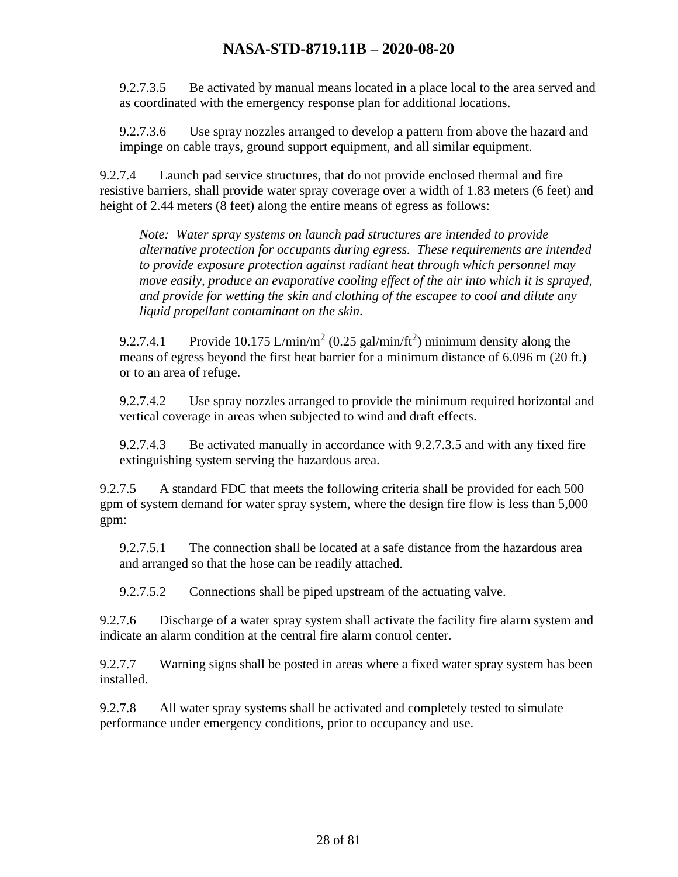9.2.7.3.5 Be activated by manual means located in a place local to the area served and as coordinated with the emergency response plan for additional locations.

9.2.7.3.6 Use spray nozzles arranged to develop a pattern from above the hazard and impinge on cable trays, ground support equipment, and all similar equipment.

9.2.7.4 Launch pad service structures, that do not provide enclosed thermal and fire resistive barriers, shall provide water spray coverage over a width of 1.83 meters (6 feet) and height of 2.44 meters (8 feet) along the entire means of egress as follows:

*Note: Water spray systems on launch pad structures are intended to provide alternative protection for occupants during egress. These requirements are intended to provide exposure protection against radiant heat through which personnel may move easily, produce an evaporative cooling effect of the air into which it is sprayed, and provide for wetting the skin and clothing of the escapee to cool and dilute any liquid propellant contaminant on the skin.*

9.2.7.4.1 Provide 10.175 L/min/m<sup>2</sup> (0.25 gal/min/ft<sup>2</sup>) minimum density along the means of egress beyond the first heat barrier for a minimum distance of 6.096 m (20 ft.) or to an area of refuge.

9.2.7.4.2 Use spray nozzles arranged to provide the minimum required horizontal and vertical coverage in areas when subjected to wind and draft effects.

9.2.7.4.3 Be activated manually in accordance with 9.2.7.3.5 and with any fixed fire extinguishing system serving the hazardous area.

9.2.7.5 A standard FDC that meets the following criteria shall be provided for each 500 gpm of system demand for water spray system, where the design fire flow is less than 5,000 gpm:

9.2.7.5.1 The connection shall be located at a safe distance from the hazardous area and arranged so that the hose can be readily attached.

9.2.7.5.2 Connections shall be piped upstream of the actuating valve.

9.2.7.6 Discharge of a water spray system shall activate the facility fire alarm system and indicate an alarm condition at the central fire alarm control center.

9.2.7.7 Warning signs shall be posted in areas where a fixed water spray system has been installed.

9.2.7.8 All water spray systems shall be activated and completely tested to simulate performance under emergency conditions, prior to occupancy and use.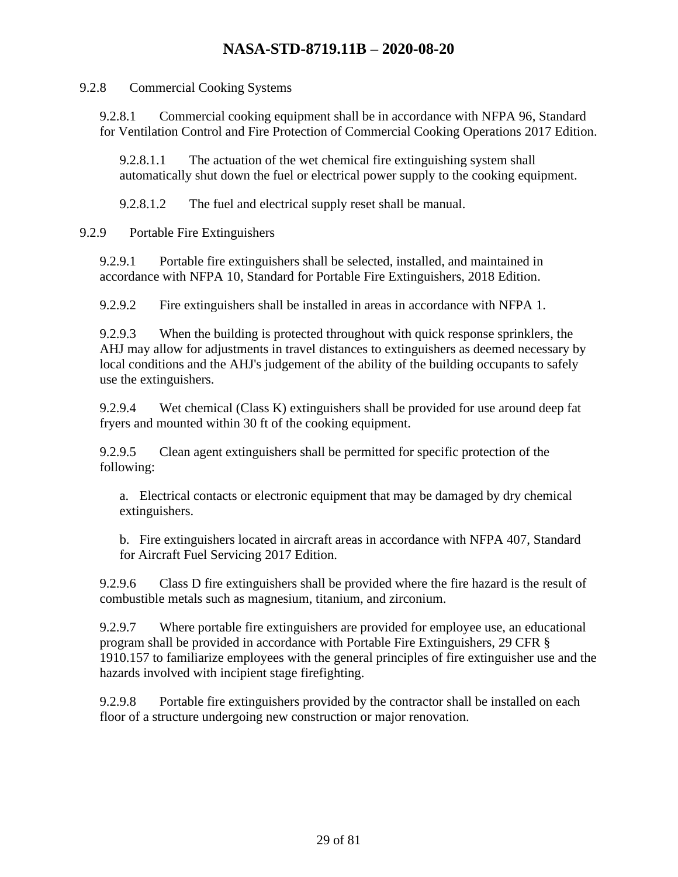9.2.8 Commercial Cooking Systems

9.2.8.1 Commercial cooking equipment shall be in accordance with NFPA 96, Standard for Ventilation Control and Fire Protection of Commercial Cooking Operations 2017 Edition.

9.2.8.1.1 The actuation of the wet chemical fire extinguishing system shall automatically shut down the fuel or electrical power supply to the cooking equipment.

9.2.8.1.2 The fuel and electrical supply reset shall be manual.

9.2.9 Portable Fire Extinguishers

9.2.9.1 Portable fire extinguishers shall be selected, installed, and maintained in accordance with NFPA 10, Standard for Portable Fire Extinguishers, 2018 Edition.

9.2.9.2 Fire extinguishers shall be installed in areas in accordance with NFPA 1.

9.2.9.3 When the building is protected throughout with quick response sprinklers, the AHJ may allow for adjustments in travel distances to extinguishers as deemed necessary by local conditions and the AHJ's judgement of the ability of the building occupants to safely use the extinguishers.

9.2.9.4 Wet chemical (Class K) extinguishers shall be provided for use around deep fat fryers and mounted within 30 ft of the cooking equipment.

9.2.9.5 Clean agent extinguishers shall be permitted for specific protection of the following:

a. Electrical contacts or electronic equipment that may be damaged by dry chemical extinguishers.

b. Fire extinguishers located in aircraft areas in accordance with NFPA 407, Standard for Aircraft Fuel Servicing 2017 Edition.

9.2.9.6 Class D fire extinguishers shall be provided where the fire hazard is the result of combustible metals such as magnesium, titanium, and zirconium.

9.2.9.7 Where portable fire extinguishers are provided for employee use, an educational program shall be provided in accordance with Portable Fire Extinguishers, 29 CFR § 1910.157 to familiarize employees with the general principles of fire extinguisher use and the hazards involved with incipient stage firefighting.

9.2.9.8 Portable fire extinguishers provided by the contractor shall be installed on each floor of a structure undergoing new construction or major renovation.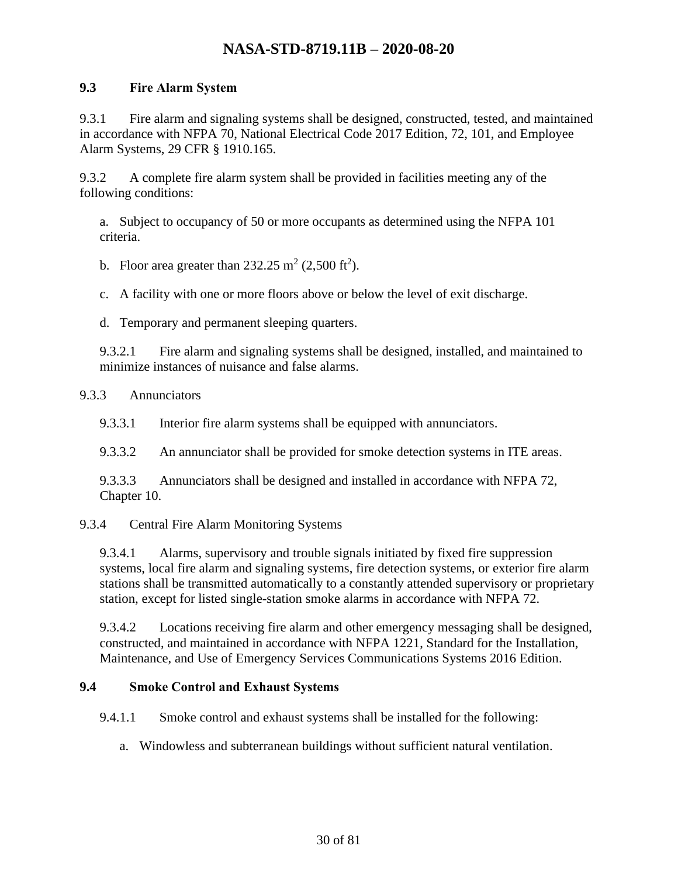#### <span id="page-29-0"></span>**9.3 Fire Alarm System**

9.3.1 Fire alarm and signaling systems shall be designed, constructed, tested, and maintained in accordance with NFPA 70, National Electrical Code 2017 Edition, 72, 101, and Employee Alarm Systems, 29 CFR § 1910.165.

9.3.2 A complete fire alarm system shall be provided in facilities meeting any of the following conditions:

a. Subject to occupancy of 50 or more occupants as determined using the NFPA 101 criteria.

b. Floor area greater than  $232.25 \text{ m}^2 (2,500 \text{ ft}^2)$ .

c. A facility with one or more floors above or below the level of exit discharge.

d. Temporary and permanent sleeping quarters.

9.3.2.1 Fire alarm and signaling systems shall be designed, installed, and maintained to minimize instances of nuisance and false alarms.

#### 9.3.3 Annunciators

9.3.3.1 Interior fire alarm systems shall be equipped with annunciators.

9.3.3.2 An annunciator shall be provided for smoke detection systems in ITE areas.

9.3.3.3 Annunciators shall be designed and installed in accordance with NFPA 72, Chapter 10.

#### 9.3.4 Central Fire Alarm Monitoring Systems

9.3.4.1 Alarms, supervisory and trouble signals initiated by fixed fire suppression systems, local fire alarm and signaling systems, fire detection systems, or exterior fire alarm stations shall be transmitted automatically to a constantly attended supervisory or proprietary station, except for listed single-station smoke alarms in accordance with NFPA 72.

9.3.4.2 Locations receiving fire alarm and other emergency messaging shall be designed, constructed, and maintained in accordance with NFPA 1221, Standard for the Installation, Maintenance, and Use of Emergency Services Communications Systems 2016 Edition.

#### <span id="page-29-1"></span>**9.4 Smoke Control and Exhaust Systems**

9.4.1.1 Smoke control and exhaust systems shall be installed for the following:

a. Windowless and subterranean buildings without sufficient natural ventilation.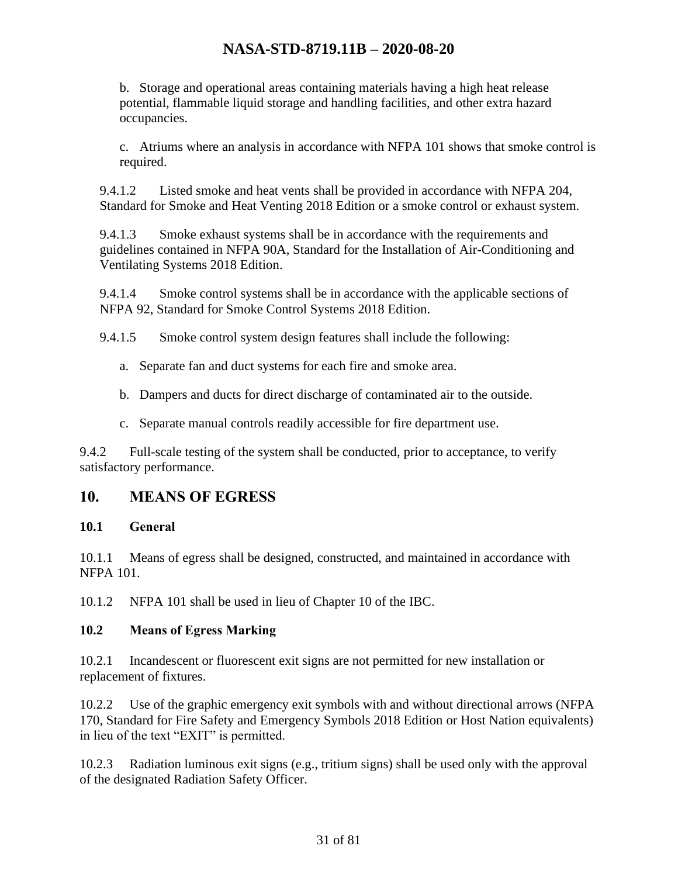b. Storage and operational areas containing materials having a high heat release potential, flammable liquid storage and handling facilities, and other extra hazard occupancies.

c. Atriums where an analysis in accordance with NFPA 101 shows that smoke control is required.

9.4.1.2 Listed smoke and heat vents shall be provided in accordance with NFPA 204, Standard for Smoke and Heat Venting 2018 Edition or a smoke control or exhaust system.

9.4.1.3 Smoke exhaust systems shall be in accordance with the requirements and guidelines contained in NFPA 90A, Standard for the Installation of Air-Conditioning and Ventilating Systems 2018 Edition.

9.4.1.4 Smoke control systems shall be in accordance with the applicable sections of NFPA 92, Standard for Smoke Control Systems 2018 Edition.

9.4.1.5 Smoke control system design features shall include the following:

- a. Separate fan and duct systems for each fire and smoke area.
- b. Dampers and ducts for direct discharge of contaminated air to the outside.
- c. Separate manual controls readily accessible for fire department use.

9.4.2 Full-scale testing of the system shall be conducted, prior to acceptance, to verify satisfactory performance.

### <span id="page-30-0"></span>**10. MEANS OF EGRESS**

#### <span id="page-30-1"></span>**10.1 General**

10.1.1 Means of egress shall be designed, constructed, and maintained in accordance with NFPA 101.

10.1.2 NFPA 101 shall be used in lieu of Chapter 10 of the IBC.

### <span id="page-30-2"></span>**10.2 Means of Egress Marking**

10.2.1 Incandescent or fluorescent exit signs are not permitted for new installation or replacement of fixtures.

10.2.2 Use of the graphic emergency exit symbols with and without directional arrows (NFPA 170, Standard for Fire Safety and Emergency Symbols 2018 Edition or Host Nation equivalents) in lieu of the text "EXIT" is permitted.

10.2.3 Radiation luminous exit signs (e.g., tritium signs) shall be used only with the approval of the designated Radiation Safety Officer.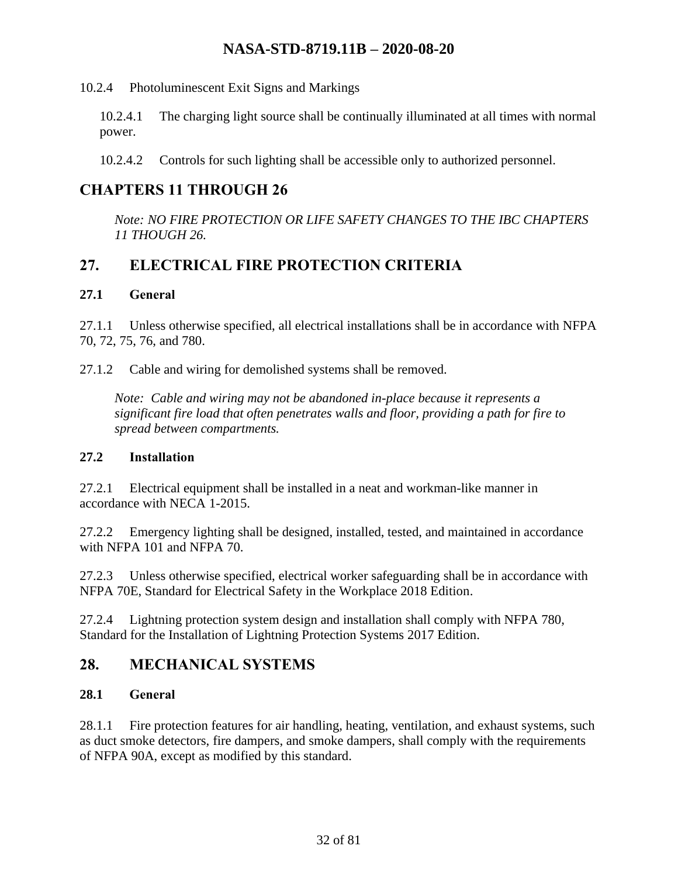10.2.4 Photoluminescent Exit Signs and Markings

10.2.4.1 The charging light source shall be continually illuminated at all times with normal power.

10.2.4.2 Controls for such lighting shall be accessible only to authorized personnel.

### <span id="page-31-0"></span>**CHAPTERS 11 THROUGH 26**

*Note: NO FIRE PROTECTION OR LIFE SAFETY CHANGES TO THE IBC CHAPTERS 11 THOUGH 26.*

### <span id="page-31-1"></span>**27. ELECTRICAL FIRE PROTECTION CRITERIA**

#### <span id="page-31-2"></span>**27.1 General**

27.1.1 Unless otherwise specified, all electrical installations shall be in accordance with NFPA 70, 72, 75, 76, and 780.

27.1.2 Cable and wiring for demolished systems shall be removed.

*Note: Cable and wiring may not be abandoned in-place because it represents a significant fire load that often penetrates walls and floor, providing a path for fire to spread between compartments.*

#### <span id="page-31-3"></span>**27.2 Installation**

27.2.1 Electrical equipment shall be installed in a neat and workman-like manner in accordance with NECA 1-2015.

27.2.2 Emergency lighting shall be designed, installed, tested, and maintained in accordance with NFPA 101 and NFPA 70.

27.2.3 Unless otherwise specified, electrical worker safeguarding shall be in accordance with NFPA 70E, Standard for Electrical Safety in the Workplace 2018 Edition.

27.2.4 Lightning protection system design and installation shall comply with NFPA 780, Standard for the Installation of Lightning Protection Systems 2017 Edition.

### <span id="page-31-4"></span>**28. MECHANICAL SYSTEMS**

#### <span id="page-31-5"></span>**28.1 General**

28.1.1 Fire protection features for air handling, heating, ventilation, and exhaust systems, such as duct smoke detectors, fire dampers, and smoke dampers, shall comply with the requirements of NFPA 90A, except as modified by this standard.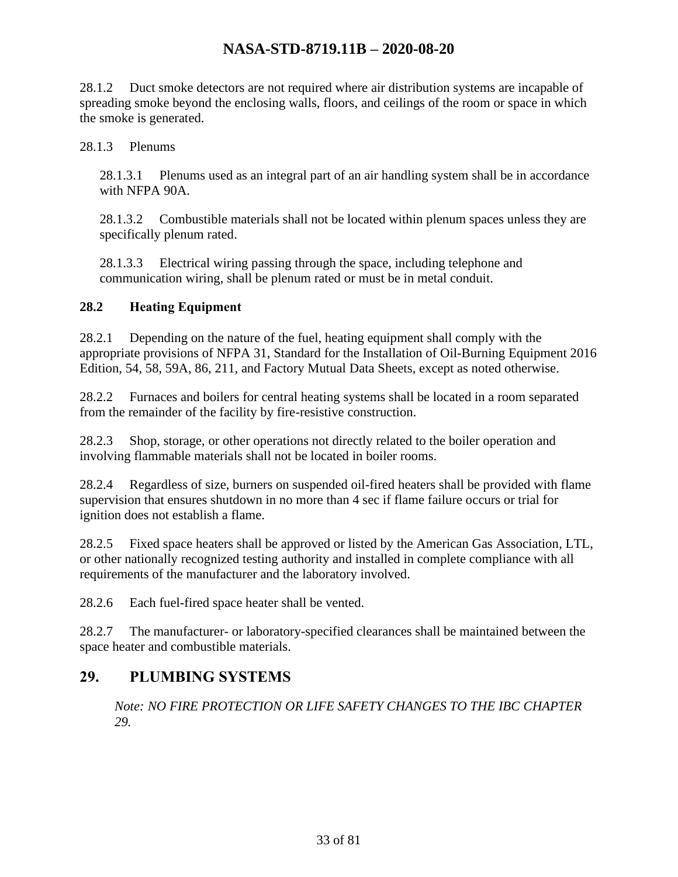28.1.2 Duct smoke detectors are not required where air distribution systems are incapable of spreading smoke beyond the enclosing walls, floors, and ceilings of the room or space in which the smoke is generated.

28.1.3 Plenums

28.1.3.1 Plenums used as an integral part of an air handling system shall be in accordance with NFPA 90A.

28.1.3.2 Combustible materials shall not be located within plenum spaces unless they are specifically plenum rated.

28.1.3.3 Electrical wiring passing through the space, including telephone and communication wiring, shall be plenum rated or must be in metal conduit.

#### <span id="page-32-0"></span>**28.2 Heating Equipment**

28.2.1 Depending on the nature of the fuel, heating equipment shall comply with the appropriate provisions of NFPA 31, Standard for the Installation of Oil-Burning Equipment 2016 Edition, 54, 58, 59A, 86, 211, and Factory Mutual Data Sheets, except as noted otherwise.

28.2.2 Furnaces and boilers for central heating systems shall be located in a room separated from the remainder of the facility by fire-resistive construction.

28.2.3 Shop, storage, or other operations not directly related to the boiler operation and involving flammable materials shall not be located in boiler rooms.

28.2.4 Regardless of size, burners on suspended oil-fired heaters shall be provided with flame supervision that ensures shutdown in no more than 4 sec if flame failure occurs or trial for ignition does not establish a flame.

28.2.5 Fixed space heaters shall be approved or listed by the American Gas Association, LTL, or other nationally recognized testing authority and installed in complete compliance with all requirements of the manufacturer and the laboratory involved.

28.2.6 Each fuel-fired space heater shall be vented.

28.2.7 The manufacturer- or laboratory-specified clearances shall be maintained between the space heater and combustible materials.

### <span id="page-32-1"></span>**29. PLUMBING SYSTEMS**

*Note: NO FIRE PROTECTION OR LIFE SAFETY CHANGES TO THE IBC CHAPTER 29.*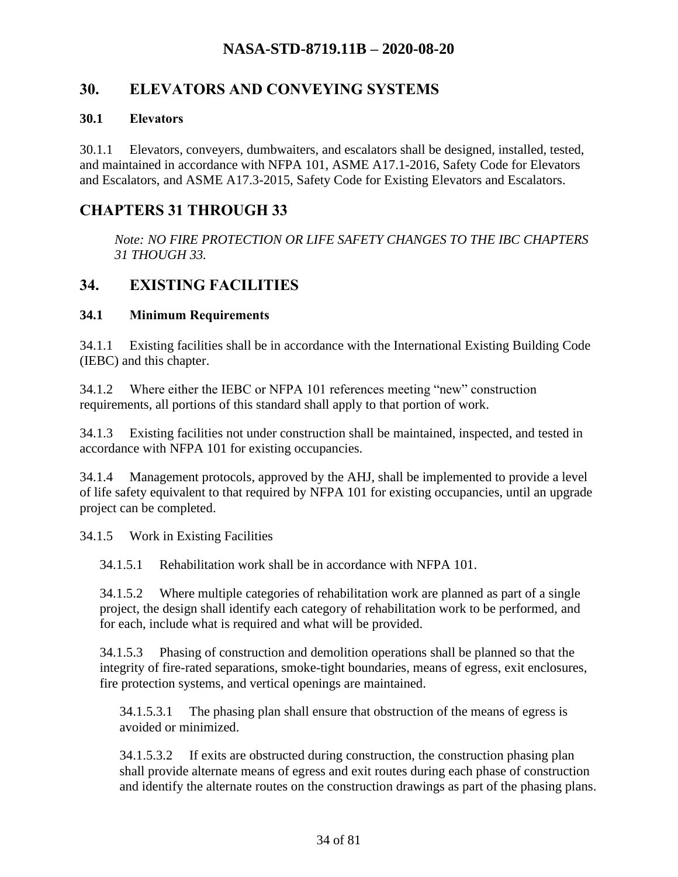### <span id="page-33-0"></span>**30. ELEVATORS AND CONVEYING SYSTEMS**

#### <span id="page-33-1"></span>**30.1 Elevators**

30.1.1 Elevators, conveyers, dumbwaiters, and escalators shall be designed, installed, tested, and maintained in accordance with NFPA 101, ASME A17.1-2016, Safety Code for Elevators and Escalators, and ASME A17.3-2015, Safety Code for Existing Elevators and Escalators.

### <span id="page-33-2"></span>**CHAPTERS 31 THROUGH 33**

*Note: NO FIRE PROTECTION OR LIFE SAFETY CHANGES TO THE IBC CHAPTERS 31 THOUGH 33.*

### <span id="page-33-3"></span>**34. EXISTING FACILITIES**

#### <span id="page-33-4"></span>**34.1 Minimum Requirements**

34.1.1 Existing facilities shall be in accordance with the International Existing Building Code (IEBC) and this chapter.

34.1.2 Where either the IEBC or NFPA 101 references meeting "new" construction requirements, all portions of this standard shall apply to that portion of work.

34.1.3 Existing facilities not under construction shall be maintained, inspected, and tested in accordance with NFPA 101 for existing occupancies.

34.1.4 Management protocols, approved by the AHJ, shall be implemented to provide a level of life safety equivalent to that required by NFPA 101 for existing occupancies, until an upgrade project can be completed.

34.1.5 Work in Existing Facilities

34.1.5.1 Rehabilitation work shall be in accordance with NFPA 101.

34.1.5.2 Where multiple categories of rehabilitation work are planned as part of a single project, the design shall identify each category of rehabilitation work to be performed, and for each, include what is required and what will be provided.

34.1.5.3 Phasing of construction and demolition operations shall be planned so that the integrity of fire-rated separations, smoke-tight boundaries, means of egress, exit enclosures, fire protection systems, and vertical openings are maintained.

34.1.5.3.1 The phasing plan shall ensure that obstruction of the means of egress is avoided or minimized.

34.1.5.3.2 If exits are obstructed during construction, the construction phasing plan shall provide alternate means of egress and exit routes during each phase of construction and identify the alternate routes on the construction drawings as part of the phasing plans.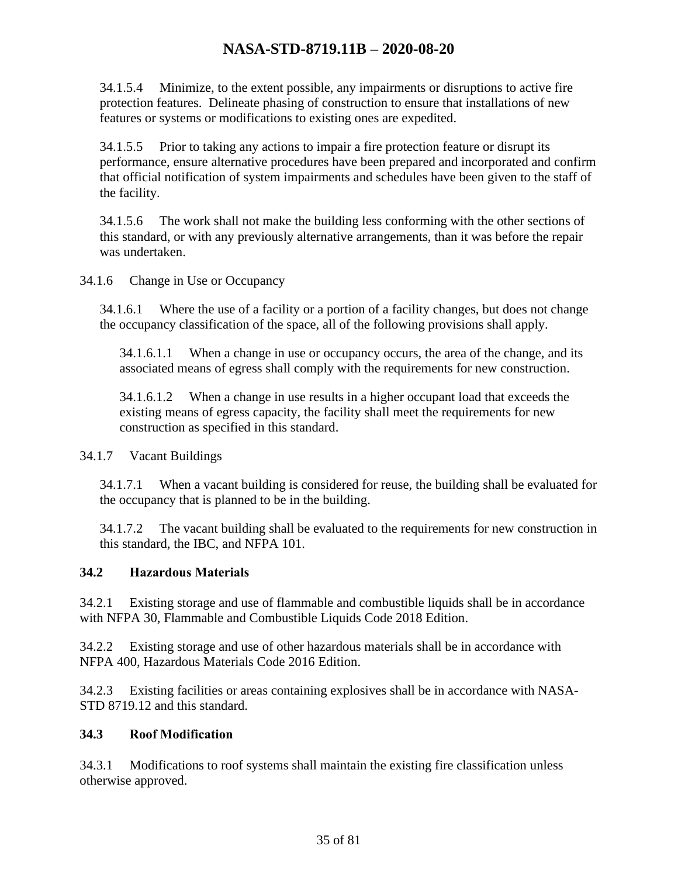34.1.5.4 Minimize, to the extent possible, any impairments or disruptions to active fire protection features. Delineate phasing of construction to ensure that installations of new features or systems or modifications to existing ones are expedited.

34.1.5.5 Prior to taking any actions to impair a fire protection feature or disrupt its performance, ensure alternative procedures have been prepared and incorporated and confirm that official notification of system impairments and schedules have been given to the staff of the facility.

34.1.5.6 The work shall not make the building less conforming with the other sections of this standard, or with any previously alternative arrangements, than it was before the repair was undertaken.

34.1.6 Change in Use or Occupancy

34.1.6.1 Where the use of a facility or a portion of a facility changes, but does not change the occupancy classification of the space, all of the following provisions shall apply.

34.1.6.1.1 When a change in use or occupancy occurs, the area of the change, and its associated means of egress shall comply with the requirements for new construction.

34.1.6.1.2 When a change in use results in a higher occupant load that exceeds the existing means of egress capacity, the facility shall meet the requirements for new construction as specified in this standard.

34.1.7 Vacant Buildings

34.1.7.1 When a vacant building is considered for reuse, the building shall be evaluated for the occupancy that is planned to be in the building.

34.1.7.2 The vacant building shall be evaluated to the requirements for new construction in this standard, the IBC, and NFPA 101.

#### <span id="page-34-0"></span>**34.2 Hazardous Materials**

34.2.1 Existing storage and use of flammable and combustible liquids shall be in accordance with NFPA 30, Flammable and Combustible Liquids Code 2018 Edition.

34.2.2 Existing storage and use of other hazardous materials shall be in accordance with NFPA 400, Hazardous Materials Code 2016 Edition.

34.2.3 Existing facilities or areas containing explosives shall be in accordance with NASA-STD 8719.12 and this standard.

#### <span id="page-34-1"></span>**34.3 Roof Modification**

34.3.1 Modifications to roof systems shall maintain the existing fire classification unless otherwise approved.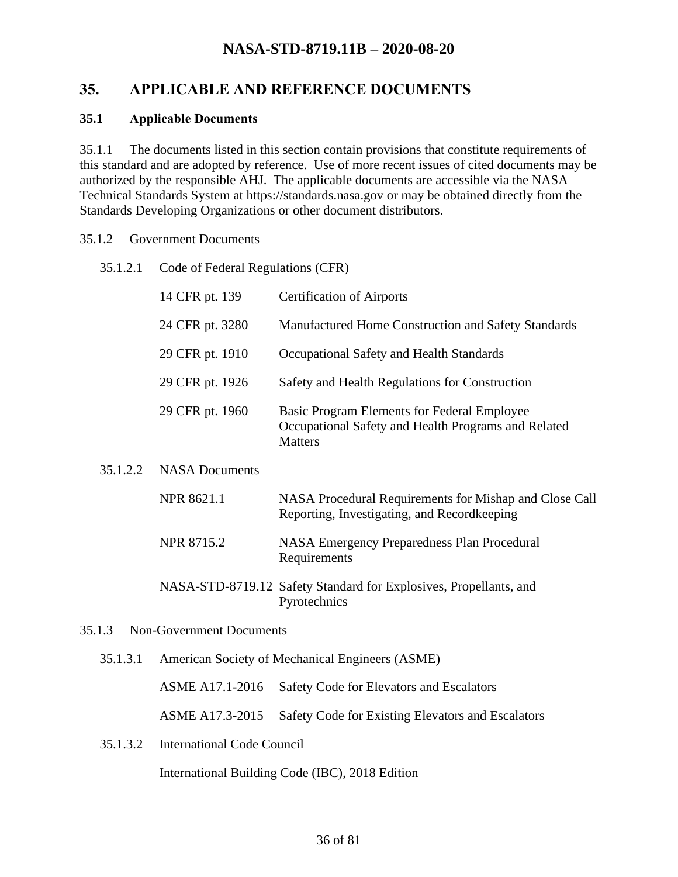### <span id="page-35-0"></span>**35. APPLICABLE AND REFERENCE DOCUMENTS**

#### <span id="page-35-1"></span>**35.1 Applicable Documents**

35.1.1 The documents listed in this section contain provisions that constitute requirements of this standard and are adopted by reference. Use of more recent issues of cited documents may be authorized by the responsible AHJ. The applicable documents are accessible via the NASA Technical Standards System at https://standards.nasa.gov or may be obtained directly from the Standards Developing Organizations or other document distributors.

#### 35.1.2 Government Documents

35.1.2.1 Code of Federal Regulations (CFR)

|          | 14 CFR pt. 139        | <b>Certification of Airports</b>                                                                                     |
|----------|-----------------------|----------------------------------------------------------------------------------------------------------------------|
|          | 24 CFR pt. 3280       | Manufactured Home Construction and Safety Standards                                                                  |
|          | 29 CFR pt. 1910       | Occupational Safety and Health Standards                                                                             |
|          | 29 CFR pt. 1926       | Safety and Health Regulations for Construction                                                                       |
|          | 29 CFR pt. 1960       | Basic Program Elements for Federal Employee<br>Occupational Safety and Health Programs and Related<br><b>Matters</b> |
| 35.1.2.2 | <b>NASA</b> Documents |                                                                                                                      |
|          | <b>NPR 8621.1</b>     | NASA Procedural Requirements for Mishap and Close Call<br>Reporting, Investigating, and Recordkeeping                |

NPR 8715.2 NASA Emergency Preparedness Plan Procedural Requirements

#### NASA-STD-8719.12 Safety Standard for Explosives, Propellants, and Pyrotechnics

#### 35.1.3 Non-Government Documents

35.1.3.1 American Society of Mechanical Engineers (ASME)

ASME A17.1-2016 Safety Code for Elevators and Escalators

ASME A17.3-2015 Safety Code for Existing Elevators and Escalators

35.1.3.2 International Code Council

International Building Code (IBC), 2018 Edition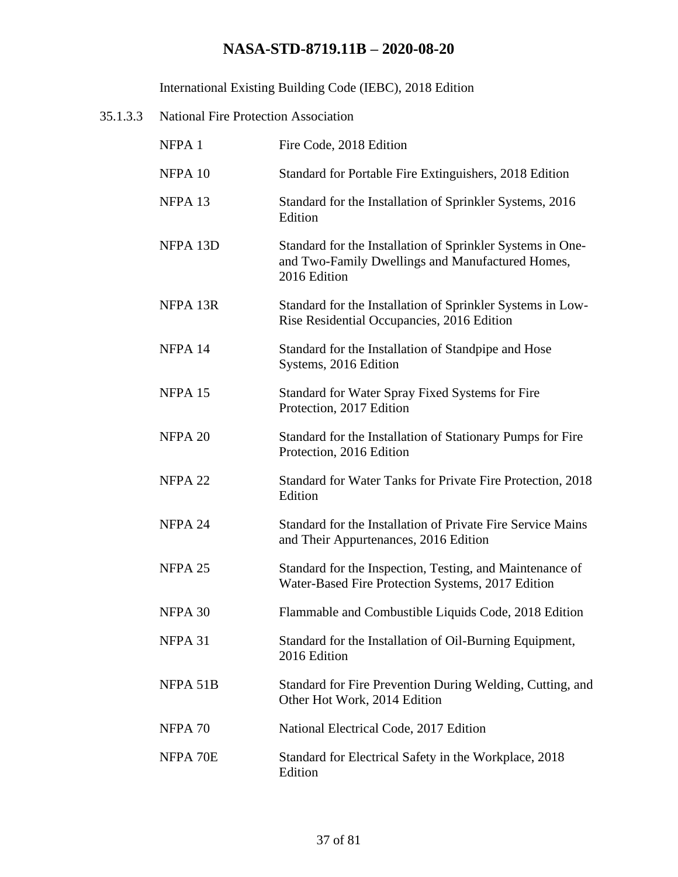International Existing Building Code (IEBC), 2018 Edition

| 35.1.3.3 | <b>National Fire Protection Association</b> |                                                                                                                                |
|----------|---------------------------------------------|--------------------------------------------------------------------------------------------------------------------------------|
|          | NFPA 1                                      | Fire Code, 2018 Edition                                                                                                        |
|          | NFPA 10                                     | Standard for Portable Fire Extinguishers, 2018 Edition                                                                         |
|          | NFPA <sub>13</sub>                          | Standard for the Installation of Sprinkler Systems, 2016<br>Edition                                                            |
|          | NFPA 13D                                    | Standard for the Installation of Sprinkler Systems in One-<br>and Two-Family Dwellings and Manufactured Homes,<br>2016 Edition |
|          | NFPA 13R                                    | Standard for the Installation of Sprinkler Systems in Low-<br>Rise Residential Occupancies, 2016 Edition                       |
|          | NFPA 14                                     | Standard for the Installation of Standpipe and Hose<br>Systems, 2016 Edition                                                   |
|          | NFPA 15                                     | Standard for Water Spray Fixed Systems for Fire<br>Protection, 2017 Edition                                                    |
|          | NFPA 20                                     | Standard for the Installation of Stationary Pumps for Fire<br>Protection, 2016 Edition                                         |
|          | NFPA 22                                     | Standard for Water Tanks for Private Fire Protection, 2018<br>Edition                                                          |
|          | NFPA 24                                     | Standard for the Installation of Private Fire Service Mains<br>and Their Appurtenances, 2016 Edition                           |
|          | NFPA 25                                     | Standard for the Inspection, Testing, and Maintenance of<br>Water-Based Fire Protection Systems, 2017 Edition                  |
|          | NFPA 30                                     | Flammable and Combustible Liquids Code, 2018 Edition                                                                           |
|          | NFPA 31                                     | Standard for the Installation of Oil-Burning Equipment,<br>2016 Edition                                                        |
|          | NFPA 51B                                    | Standard for Fire Prevention During Welding, Cutting, and<br>Other Hot Work, 2014 Edition                                      |
|          | NFPA 70                                     | National Electrical Code, 2017 Edition                                                                                         |
|          | NFPA 70E                                    | Standard for Electrical Safety in the Workplace, 2018<br>Edition                                                               |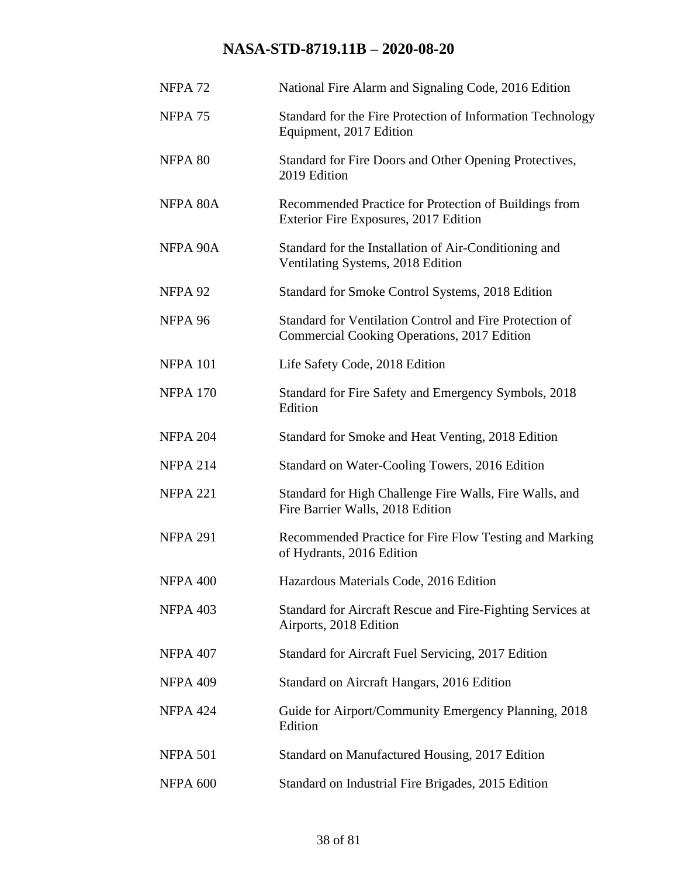| NFPA <sub>72</sub> | National Fire Alarm and Signaling Code, 2016 Edition                                                   |
|--------------------|--------------------------------------------------------------------------------------------------------|
| NFPA <sub>75</sub> | Standard for the Fire Protection of Information Technology<br>Equipment, 2017 Edition                  |
| NFPA 80            | Standard for Fire Doors and Other Opening Protectives,<br>2019 Edition                                 |
| NFPA 80A           | Recommended Practice for Protection of Buildings from<br>Exterior Fire Exposures, 2017 Edition         |
| NFPA 90A           | Standard for the Installation of Air-Conditioning and<br>Ventilating Systems, 2018 Edition             |
| NFPA 92            | Standard for Smoke Control Systems, 2018 Edition                                                       |
| NFPA 96            | Standard for Ventilation Control and Fire Protection of<br>Commercial Cooking Operations, 2017 Edition |
| <b>NFPA 101</b>    | Life Safety Code, 2018 Edition                                                                         |
| <b>NFPA 170</b>    | Standard for Fire Safety and Emergency Symbols, 2018<br>Edition                                        |
| <b>NFPA 204</b>    | Standard for Smoke and Heat Venting, 2018 Edition                                                      |
| <b>NFPA 214</b>    | Standard on Water-Cooling Towers, 2016 Edition                                                         |
| <b>NFPA 221</b>    | Standard for High Challenge Fire Walls, Fire Walls, and<br>Fire Barrier Walls, 2018 Edition            |
| <b>NFPA 291</b>    | Recommended Practice for Fire Flow Testing and Marking<br>of Hydrants, 2016 Edition                    |
| <b>NFPA 400</b>    | Hazardous Materials Code, 2016 Edition                                                                 |
| <b>NFPA 403</b>    | Standard for Aircraft Rescue and Fire-Fighting Services at<br>Airports, 2018 Edition                   |
| <b>NFPA 407</b>    | Standard for Aircraft Fuel Servicing, 2017 Edition                                                     |
| <b>NFPA 409</b>    | Standard on Aircraft Hangars, 2016 Edition                                                             |
| NFPA 424           | Guide for Airport/Community Emergency Planning, 2018<br>Edition                                        |
| <b>NFPA 501</b>    | Standard on Manufactured Housing, 2017 Edition                                                         |
| NFPA 600           | Standard on Industrial Fire Brigades, 2015 Edition                                                     |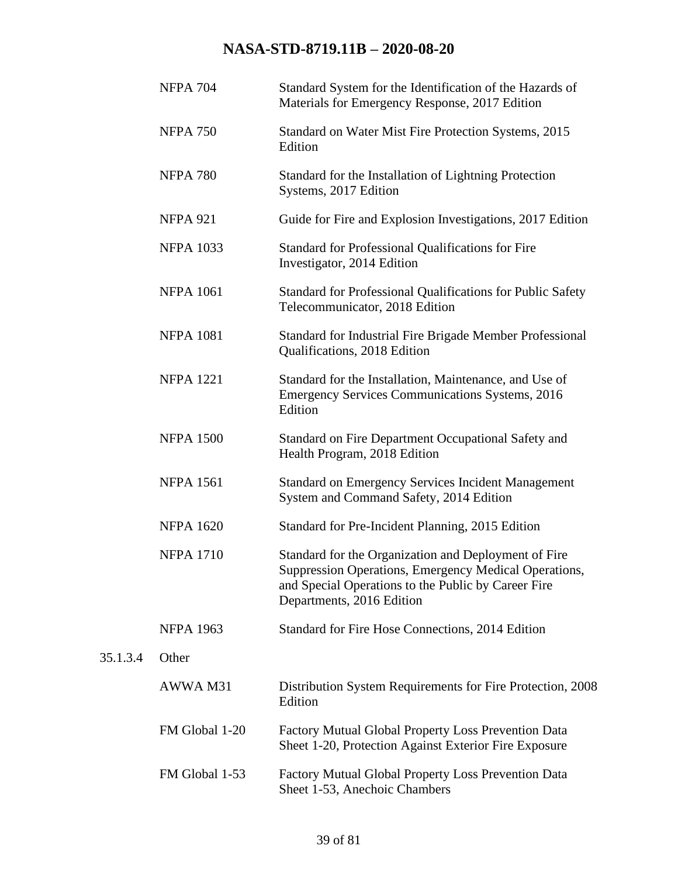|          | <b>NFPA 704</b>  | Standard System for the Identification of the Hazards of<br>Materials for Emergency Response, 2017 Edition                                                                                        |
|----------|------------------|---------------------------------------------------------------------------------------------------------------------------------------------------------------------------------------------------|
|          | <b>NFPA 750</b>  | Standard on Water Mist Fire Protection Systems, 2015<br>Edition                                                                                                                                   |
|          | <b>NFPA 780</b>  | Standard for the Installation of Lightning Protection<br>Systems, 2017 Edition                                                                                                                    |
|          | <b>NFPA 921</b>  | Guide for Fire and Explosion Investigations, 2017 Edition                                                                                                                                         |
|          | <b>NFPA 1033</b> | Standard for Professional Qualifications for Fire<br>Investigator, 2014 Edition                                                                                                                   |
|          | <b>NFPA 1061</b> | Standard for Professional Qualifications for Public Safety<br>Telecommunicator, 2018 Edition                                                                                                      |
|          | <b>NFPA 1081</b> | Standard for Industrial Fire Brigade Member Professional<br>Qualifications, 2018 Edition                                                                                                          |
|          | <b>NFPA 1221</b> | Standard for the Installation, Maintenance, and Use of<br><b>Emergency Services Communications Systems, 2016</b><br>Edition                                                                       |
|          | <b>NFPA 1500</b> | Standard on Fire Department Occupational Safety and<br>Health Program, 2018 Edition                                                                                                               |
|          | <b>NFPA 1561</b> | <b>Standard on Emergency Services Incident Management</b><br>System and Command Safety, 2014 Edition                                                                                              |
|          | <b>NFPA 1620</b> | Standard for Pre-Incident Planning, 2015 Edition                                                                                                                                                  |
|          | <b>NFPA 1710</b> | Standard for the Organization and Deployment of Fire<br>Suppression Operations, Emergency Medical Operations,<br>and Special Operations to the Public by Career Fire<br>Departments, 2016 Edition |
|          | <b>NFPA 1963</b> | Standard for Fire Hose Connections, 2014 Edition                                                                                                                                                  |
| 35.1.3.4 | Other            |                                                                                                                                                                                                   |
|          | AWWA M31         | Distribution System Requirements for Fire Protection, 2008<br>Edition                                                                                                                             |
|          | FM Global 1-20   | Factory Mutual Global Property Loss Prevention Data<br>Sheet 1-20, Protection Against Exterior Fire Exposure                                                                                      |
|          | FM Global 1-53   | Factory Mutual Global Property Loss Prevention Data<br>Sheet 1-53, Anechoic Chambers                                                                                                              |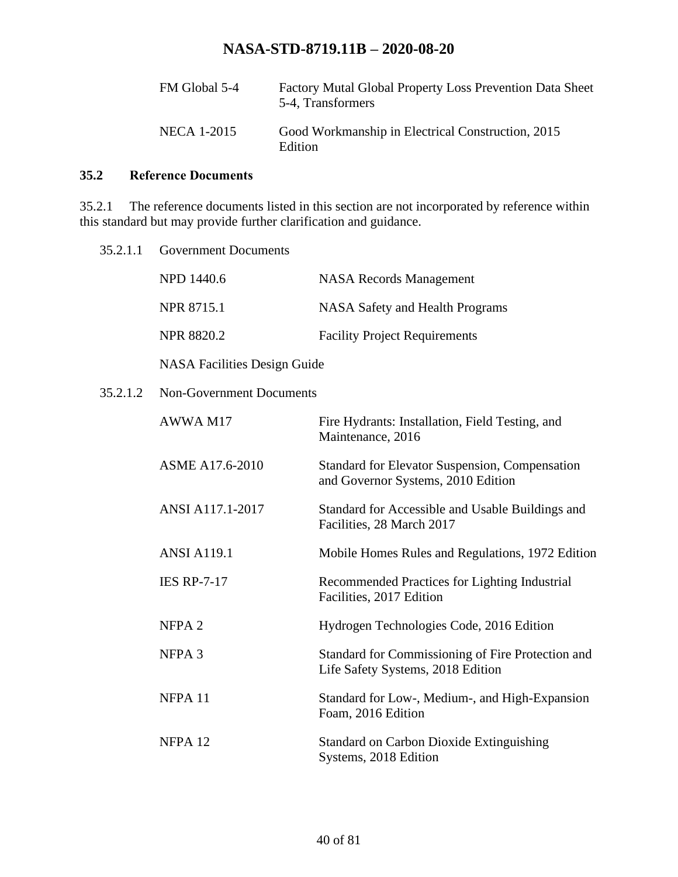| FM Global 5-4 | Factory Mutal Global Property Loss Prevention Data Sheet<br>5-4, Transformers |
|---------------|-------------------------------------------------------------------------------|
| NECA 1-2015   | Good Workmanship in Electrical Construction, 2015<br>Edition                  |

### **35.2 Reference Documents**

35.2.1 The reference documents listed in this section are not incorporated by reference within this standard but may provide further clarification and guidance.

| 35.2.1.1 | <b>Government Documents</b>         |                                                                                        |
|----------|-------------------------------------|----------------------------------------------------------------------------------------|
|          | NPD 1440.6                          | <b>NASA Records Management</b>                                                         |
|          | <b>NPR 8715.1</b>                   | <b>NASA Safety and Health Programs</b>                                                 |
|          | <b>NPR 8820.2</b>                   | <b>Facility Project Requirements</b>                                                   |
|          | <b>NASA Facilities Design Guide</b> |                                                                                        |
| 35.2.1.2 | <b>Non-Government Documents</b>     |                                                                                        |
|          | AWWA M17                            | Fire Hydrants: Installation, Field Testing, and<br>Maintenance, 2016                   |
|          | ASME A17.6-2010                     | Standard for Elevator Suspension, Compensation<br>and Governor Systems, 2010 Edition   |
|          | ANSI A117.1-2017                    | Standard for Accessible and Usable Buildings and<br>Facilities, 28 March 2017          |
|          | <b>ANSI A119.1</b>                  | Mobile Homes Rules and Regulations, 1972 Edition                                       |
|          | <b>IES RP-7-17</b>                  | Recommended Practices for Lighting Industrial<br>Facilities, 2017 Edition              |
|          | NFPA <sub>2</sub>                   | Hydrogen Technologies Code, 2016 Edition                                               |
|          | NFPA <sub>3</sub>                   | Standard for Commissioning of Fire Protection and<br>Life Safety Systems, 2018 Edition |
|          | NFPA 11                             | Standard for Low-, Medium-, and High-Expansion<br>Foam, 2016 Edition                   |
|          | NFPA <sub>12</sub>                  | <b>Standard on Carbon Dioxide Extinguishing</b>                                        |

Systems, 2018 Edition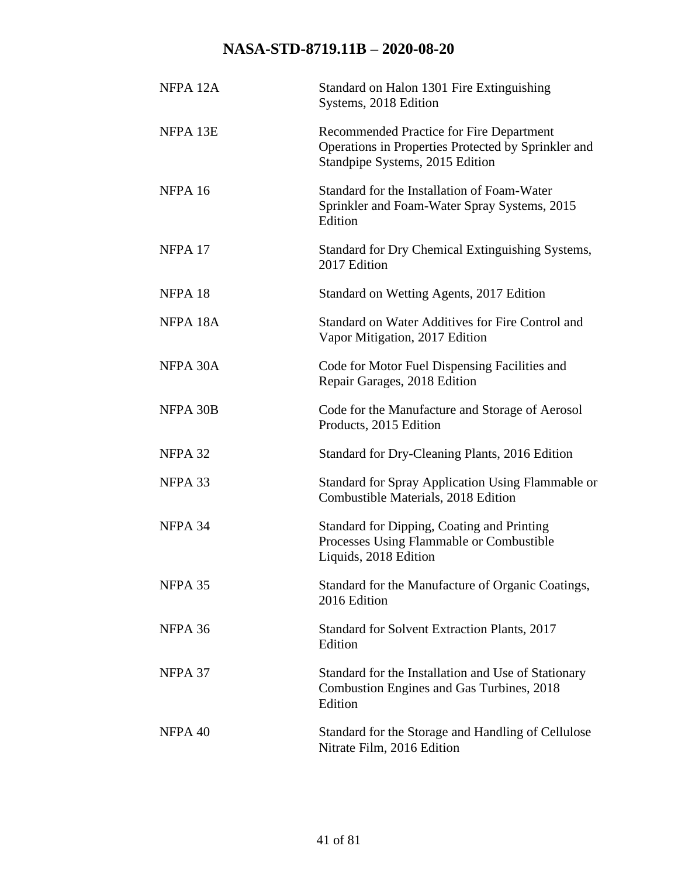| NFPA <sub>12A</sub>  | Standard on Halon 1301 Fire Extinguishing<br>Systems, 2018 Edition                                                                 |
|----------------------|------------------------------------------------------------------------------------------------------------------------------------|
| NFPA 13E             | Recommended Practice for Fire Department<br>Operations in Properties Protected by Sprinkler and<br>Standpipe Systems, 2015 Edition |
| NFPA 16              | Standard for the Installation of Foam-Water<br>Sprinkler and Foam-Water Spray Systems, 2015<br>Edition                             |
| NFPA <sub>17</sub>   | Standard for Dry Chemical Extinguishing Systems,<br>2017 Edition                                                                   |
| NFPA <sub>18</sub>   | Standard on Wetting Agents, 2017 Edition                                                                                           |
| NFPA <sub>18</sub> A | Standard on Water Additives for Fire Control and<br>Vapor Mitigation, 2017 Edition                                                 |
| NFPA 30A             | Code for Motor Fuel Dispensing Facilities and<br>Repair Garages, 2018 Edition                                                      |
| NFPA 30B             | Code for the Manufacture and Storage of Aerosol<br>Products, 2015 Edition                                                          |
| NFPA 32              | Standard for Dry-Cleaning Plants, 2016 Edition                                                                                     |
| NFPA 33              | <b>Standard for Spray Application Using Flammable or</b><br>Combustible Materials, 2018 Edition                                    |
| NFPA 34              | <b>Standard for Dipping, Coating and Printing</b><br>Processes Using Flammable or Combustible<br>Liquids, 2018 Edition             |
| NFPA 35              | Standard for the Manufacture of Organic Coatings,<br>2016 Edition                                                                  |
| NFPA 36              | <b>Standard for Solvent Extraction Plants, 2017</b><br>Edition                                                                     |
| NFPA 37              | Standard for the Installation and Use of Stationary<br>Combustion Engines and Gas Turbines, 2018<br>Edition                        |
| NFPA 40              | Standard for the Storage and Handling of Cellulose<br>Nitrate Film, 2016 Edition                                                   |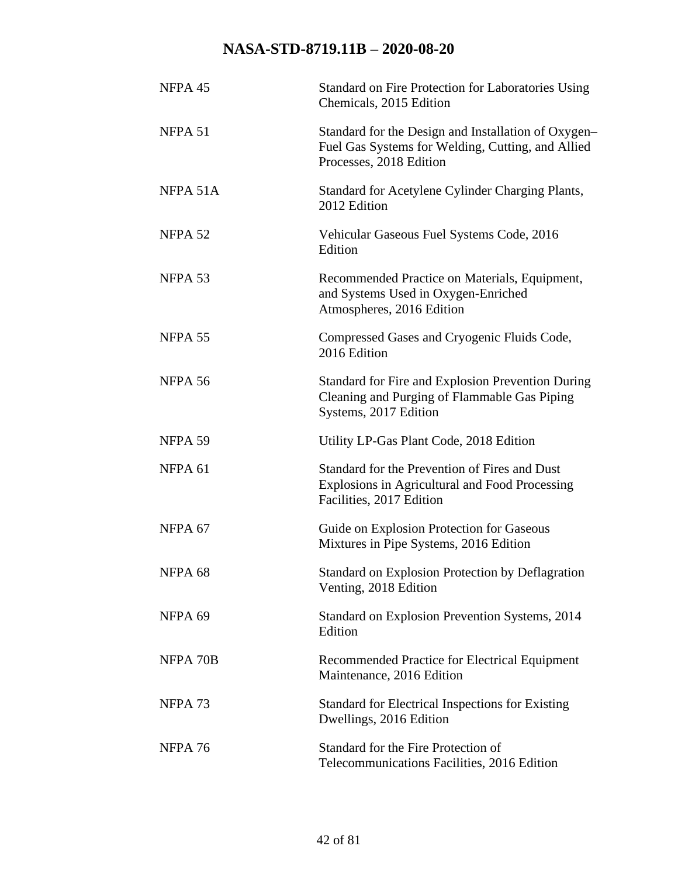| NFPA 45            | Standard on Fire Protection for Laboratories Using<br>Chemicals, 2015 Edition                                                       |
|--------------------|-------------------------------------------------------------------------------------------------------------------------------------|
| NFPA 51            | Standard for the Design and Installation of Oxygen-<br>Fuel Gas Systems for Welding, Cutting, and Allied<br>Processes, 2018 Edition |
| NFPA 51A           | Standard for Acetylene Cylinder Charging Plants,<br>2012 Edition                                                                    |
| NFPA 52            | Vehicular Gaseous Fuel Systems Code, 2016<br>Edition                                                                                |
| NFPA 53            | Recommended Practice on Materials, Equipment,<br>and Systems Used in Oxygen-Enriched<br>Atmospheres, 2016 Edition                   |
| NFPA 55            | Compressed Gases and Cryogenic Fluids Code,<br>2016 Edition                                                                         |
| NFPA 56            | <b>Standard for Fire and Explosion Prevention During</b><br>Cleaning and Purging of Flammable Gas Piping<br>Systems, 2017 Edition   |
| NFPA 59            | Utility LP-Gas Plant Code, 2018 Edition                                                                                             |
| NFPA <sub>61</sub> | Standard for the Prevention of Fires and Dust<br>Explosions in Agricultural and Food Processing<br>Facilities, 2017 Edition         |
| NFPA <sub>67</sub> | Guide on Explosion Protection for Gaseous<br>Mixtures in Pipe Systems, 2016 Edition                                                 |
| NFPA <sub>68</sub> | Standard on Explosion Protection by Deflagration<br>Venting, 2018 Edition                                                           |
| NFPA 69            | Standard on Explosion Prevention Systems, 2014<br>Edition                                                                           |
| NFPA 70B           | Recommended Practice for Electrical Equipment<br>Maintenance, 2016 Edition                                                          |
| NFPA <sub>73</sub> | <b>Standard for Electrical Inspections for Existing</b><br>Dwellings, 2016 Edition                                                  |
| NFPA 76            | Standard for the Fire Protection of<br>Telecommunications Facilities, 2016 Edition                                                  |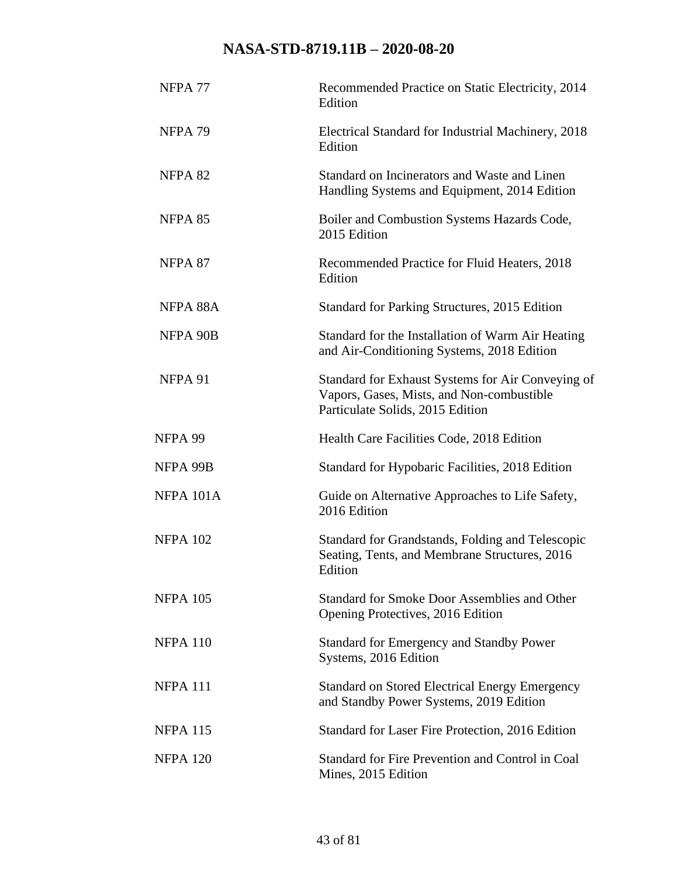| NFPA <sub>77</sub> | Recommended Practice on Static Electricity, 2014<br>Edition                                                                        |
|--------------------|------------------------------------------------------------------------------------------------------------------------------------|
| NFPA <sub>79</sub> | Electrical Standard for Industrial Machinery, 2018<br>Edition                                                                      |
| NFPA 82            | Standard on Incinerators and Waste and Linen<br>Handling Systems and Equipment, 2014 Edition                                       |
| NFPA 85            | Boiler and Combustion Systems Hazards Code,<br>2015 Edition                                                                        |
| NFPA 87            | Recommended Practice for Fluid Heaters, 2018<br>Edition                                                                            |
| NFPA 88A           | Standard for Parking Structures, 2015 Edition                                                                                      |
| NFPA 90B           | Standard for the Installation of Warm Air Heating<br>and Air-Conditioning Systems, 2018 Edition                                    |
| NFPA 91            | Standard for Exhaust Systems for Air Conveying of<br>Vapors, Gases, Mists, and Non-combustible<br>Particulate Solids, 2015 Edition |
| NFPA 99            | Health Care Facilities Code, 2018 Edition                                                                                          |
| NFPA 99B           | Standard for Hypobaric Facilities, 2018 Edition                                                                                    |
| NFPA 101A          | Guide on Alternative Approaches to Life Safety,<br>2016 Edition                                                                    |
| <b>NFPA 102</b>    | Standard for Grandstands, Folding and Telescopic<br>Seating, Tents, and Membrane Structures, 2016<br>Edition                       |
| <b>NFPA 105</b>    | Standard for Smoke Door Assemblies and Other<br>Opening Protectives, 2016 Edition                                                  |
| <b>NFPA 110</b>    | <b>Standard for Emergency and Standby Power</b><br>Systems, 2016 Edition                                                           |
| <b>NFPA 111</b>    | <b>Standard on Stored Electrical Energy Emergency</b><br>and Standby Power Systems, 2019 Edition                                   |
| <b>NFPA 115</b>    | Standard for Laser Fire Protection, 2016 Edition                                                                                   |
| <b>NFPA 120</b>    | Standard for Fire Prevention and Control in Coal<br>Mines, 2015 Edition                                                            |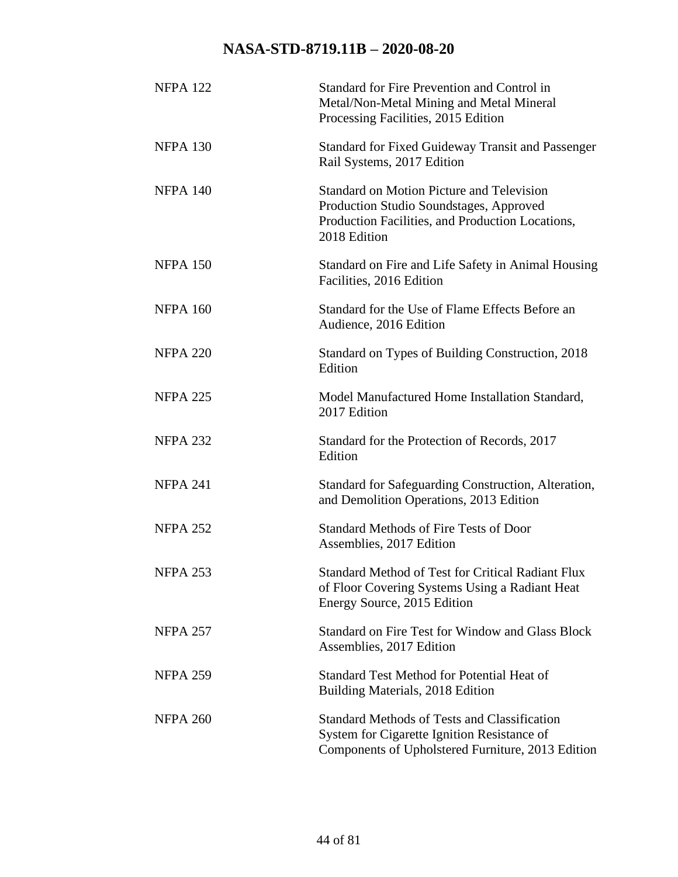| <b>NFPA 122</b> | Standard for Fire Prevention and Control in<br>Metal/Non-Metal Mining and Metal Mineral<br>Processing Facilities, 2015 Edition                                  |
|-----------------|-----------------------------------------------------------------------------------------------------------------------------------------------------------------|
| <b>NFPA 130</b> | <b>Standard for Fixed Guideway Transit and Passenger</b><br>Rail Systems, 2017 Edition                                                                          |
| <b>NFPA 140</b> | <b>Standard on Motion Picture and Television</b><br>Production Studio Soundstages, Approved<br>Production Facilities, and Production Locations,<br>2018 Edition |
| <b>NFPA 150</b> | Standard on Fire and Life Safety in Animal Housing<br>Facilities, 2016 Edition                                                                                  |
| <b>NFPA 160</b> | Standard for the Use of Flame Effects Before an<br>Audience, 2016 Edition                                                                                       |
| <b>NFPA 220</b> | Standard on Types of Building Construction, 2018<br>Edition                                                                                                     |
| <b>NFPA 225</b> | Model Manufactured Home Installation Standard,<br>2017 Edition                                                                                                  |
| <b>NFPA 232</b> | Standard for the Protection of Records, 2017<br>Edition                                                                                                         |
| <b>NFPA 241</b> | Standard for Safeguarding Construction, Alteration,<br>and Demolition Operations, 2013 Edition                                                                  |
| <b>NFPA 252</b> | <b>Standard Methods of Fire Tests of Door</b><br>Assemblies, 2017 Edition                                                                                       |
| <b>NFPA 253</b> | <b>Standard Method of Test for Critical Radiant Flux</b><br>of Floor Covering Systems Using a Radiant Heat<br>Energy Source, 2015 Edition                       |
| <b>NFPA 257</b> | <b>Standard on Fire Test for Window and Glass Block</b><br>Assemblies, 2017 Edition                                                                             |
| <b>NFPA 259</b> | <b>Standard Test Method for Potential Heat of</b><br>Building Materials, 2018 Edition                                                                           |
| <b>NFPA 260</b> | <b>Standard Methods of Tests and Classification</b><br>System for Cigarette Ignition Resistance of<br>Components of Upholstered Furniture, 2013 Edition         |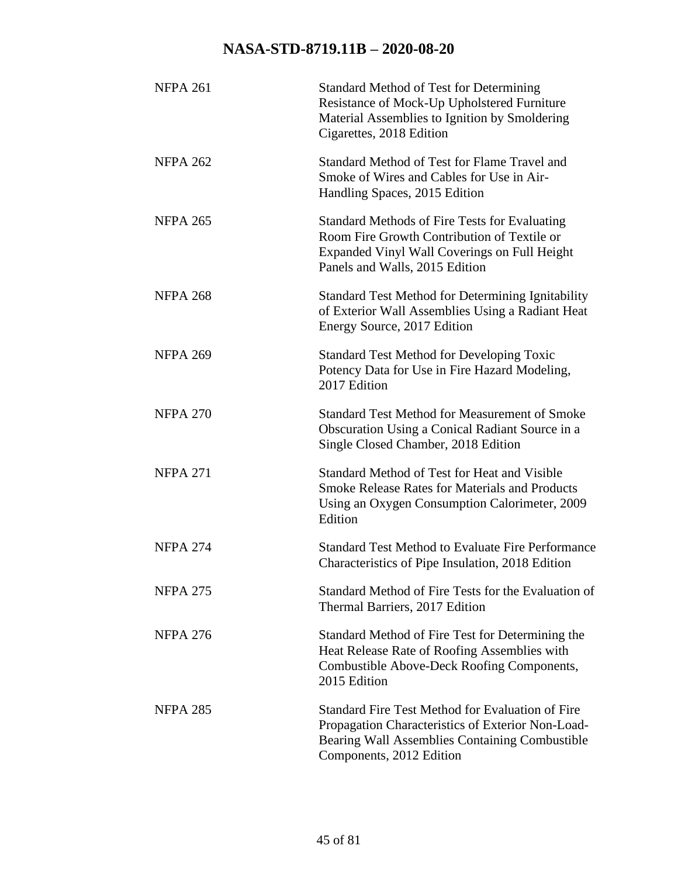| <b>NFPA 261</b> | <b>Standard Method of Test for Determining</b><br>Resistance of Mock-Up Upholstered Furniture<br>Material Assemblies to Ignition by Smoldering<br>Cigarettes, 2018 Edition                 |
|-----------------|--------------------------------------------------------------------------------------------------------------------------------------------------------------------------------------------|
| <b>NFPA 262</b> | Standard Method of Test for Flame Travel and<br>Smoke of Wires and Cables for Use in Air-<br>Handling Spaces, 2015 Edition                                                                 |
| <b>NFPA 265</b> | <b>Standard Methods of Fire Tests for Evaluating</b><br>Room Fire Growth Contribution of Textile or<br>Expanded Vinyl Wall Coverings on Full Height<br>Panels and Walls, 2015 Edition      |
| <b>NFPA 268</b> | <b>Standard Test Method for Determining Ignitability</b><br>of Exterior Wall Assemblies Using a Radiant Heat<br>Energy Source, 2017 Edition                                                |
| <b>NFPA 269</b> | <b>Standard Test Method for Developing Toxic</b><br>Potency Data for Use in Fire Hazard Modeling,<br>2017 Edition                                                                          |
| <b>NFPA 270</b> | <b>Standard Test Method for Measurement of Smoke</b><br>Obscuration Using a Conical Radiant Source in a<br>Single Closed Chamber, 2018 Edition                                             |
| <b>NFPA 271</b> | Standard Method of Test for Heat and Visible<br><b>Smoke Release Rates for Materials and Products</b><br>Using an Oxygen Consumption Calorimeter, 2009<br>Edition                          |
| <b>NFPA 274</b> | <b>Standard Test Method to Evaluate Fire Performance</b><br>Characteristics of Pipe Insulation, 2018 Edition                                                                               |
| <b>NFPA 275</b> | Standard Method of Fire Tests for the Evaluation of<br>Thermal Barriers, 2017 Edition                                                                                                      |
| <b>NFPA 276</b> | Standard Method of Fire Test for Determining the<br>Heat Release Rate of Roofing Assemblies with<br>Combustible Above-Deck Roofing Components,<br>2015 Edition                             |
| <b>NFPA 285</b> | <b>Standard Fire Test Method for Evaluation of Fire</b><br>Propagation Characteristics of Exterior Non-Load-<br>Bearing Wall Assemblies Containing Combustible<br>Components, 2012 Edition |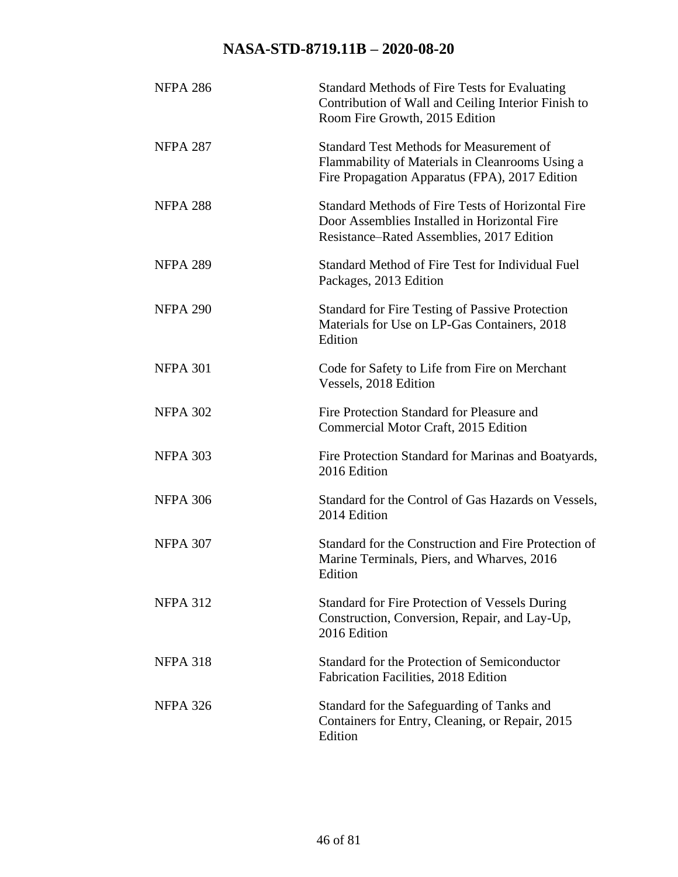| <b>NFPA 286</b> | <b>Standard Methods of Fire Tests for Evaluating</b><br>Contribution of Wall and Ceiling Interior Finish to<br>Room Fire Growth, 2015 Edition        |
|-----------------|------------------------------------------------------------------------------------------------------------------------------------------------------|
| <b>NFPA 287</b> | <b>Standard Test Methods for Measurement of</b><br>Flammability of Materials in Cleanrooms Using a<br>Fire Propagation Apparatus (FPA), 2017 Edition |
| <b>NFPA 288</b> | Standard Methods of Fire Tests of Horizontal Fire<br>Door Assemblies Installed in Horizontal Fire<br>Resistance–Rated Assemblies, 2017 Edition       |
| <b>NFPA 289</b> | Standard Method of Fire Test for Individual Fuel<br>Packages, 2013 Edition                                                                           |
| <b>NFPA 290</b> | <b>Standard for Fire Testing of Passive Protection</b><br>Materials for Use on LP-Gas Containers, 2018<br>Edition                                    |
| <b>NFPA 301</b> | Code for Safety to Life from Fire on Merchant<br>Vessels, 2018 Edition                                                                               |
| <b>NFPA 302</b> | Fire Protection Standard for Pleasure and<br>Commercial Motor Craft, 2015 Edition                                                                    |
| <b>NFPA 303</b> | Fire Protection Standard for Marinas and Boatyards,<br>2016 Edition                                                                                  |
| <b>NFPA 306</b> | Standard for the Control of Gas Hazards on Vessels,<br>2014 Edition                                                                                  |
| <b>NFPA 307</b> | Standard for the Construction and Fire Protection of<br>Marine Terminals, Piers, and Wharves, 2016<br>Edition                                        |
| <b>NFPA 312</b> | <b>Standard for Fire Protection of Vessels During</b><br>Construction, Conversion, Repair, and Lay-Up,<br>2016 Edition                               |
| <b>NFPA 318</b> | Standard for the Protection of Semiconductor<br>Fabrication Facilities, 2018 Edition                                                                 |
| <b>NFPA 326</b> | Standard for the Safeguarding of Tanks and<br>Containers for Entry, Cleaning, or Repair, 2015<br>Edition                                             |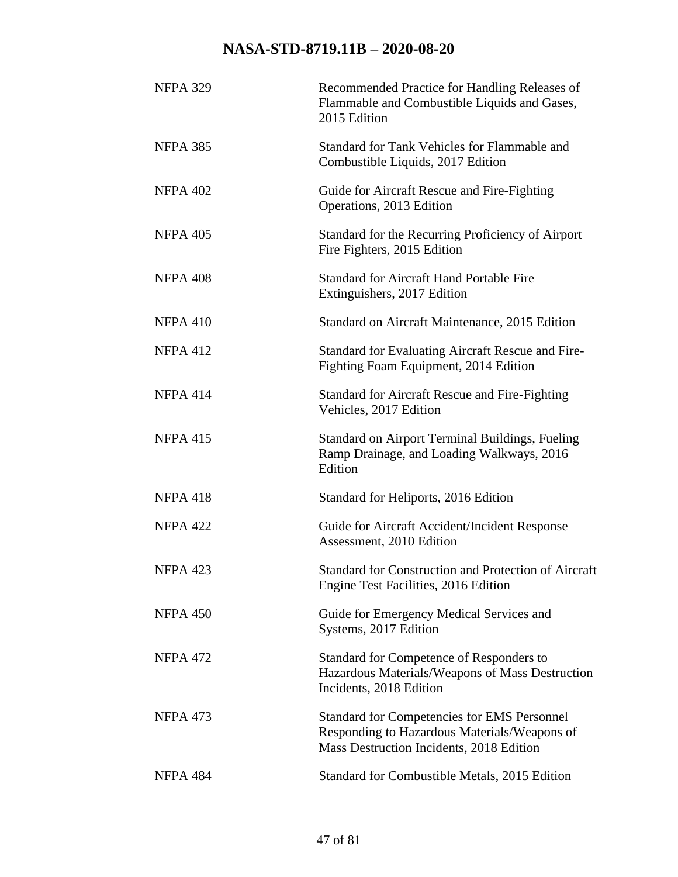| <b>NFPA 329</b> | Recommended Practice for Handling Releases of<br>Flammable and Combustible Liquids and Gases,<br>2015 Edition                                  |
|-----------------|------------------------------------------------------------------------------------------------------------------------------------------------|
| <b>NFPA 385</b> | Standard for Tank Vehicles for Flammable and<br>Combustible Liquids, 2017 Edition                                                              |
| <b>NFPA 402</b> | Guide for Aircraft Rescue and Fire-Fighting<br>Operations, 2013 Edition                                                                        |
| <b>NFPA 405</b> | Standard for the Recurring Proficiency of Airport<br>Fire Fighters, 2015 Edition                                                               |
| <b>NFPA 408</b> | <b>Standard for Aircraft Hand Portable Fire</b><br>Extinguishers, 2017 Edition                                                                 |
| <b>NFPA 410</b> | Standard on Aircraft Maintenance, 2015 Edition                                                                                                 |
| <b>NFPA 412</b> | <b>Standard for Evaluating Aircraft Rescue and Fire-</b><br>Fighting Foam Equipment, 2014 Edition                                              |
| <b>NFPA 414</b> | <b>Standard for Aircraft Rescue and Fire-Fighting</b><br>Vehicles, 2017 Edition                                                                |
| <b>NFPA 415</b> | <b>Standard on Airport Terminal Buildings, Fueling</b><br>Ramp Drainage, and Loading Walkways, 2016<br>Edition                                 |
| <b>NFPA 418</b> | Standard for Heliports, 2016 Edition                                                                                                           |
| <b>NFPA 422</b> | Guide for Aircraft Accident/Incident Response<br>Assessment, 2010 Edition                                                                      |
| <b>NFPA 423</b> | Standard for Construction and Protection of Aircraft<br>Engine Test Facilities, 2016 Edition                                                   |
| <b>NFPA 450</b> | Guide for Emergency Medical Services and<br>Systems, 2017 Edition                                                                              |
| <b>NFPA 472</b> | Standard for Competence of Responders to<br>Hazardous Materials/Weapons of Mass Destruction<br>Incidents, 2018 Edition                         |
| <b>NFPA 473</b> | <b>Standard for Competencies for EMS Personnel</b><br>Responding to Hazardous Materials/Weapons of<br>Mass Destruction Incidents, 2018 Edition |
| NFPA 484        | Standard for Combustible Metals, 2015 Edition                                                                                                  |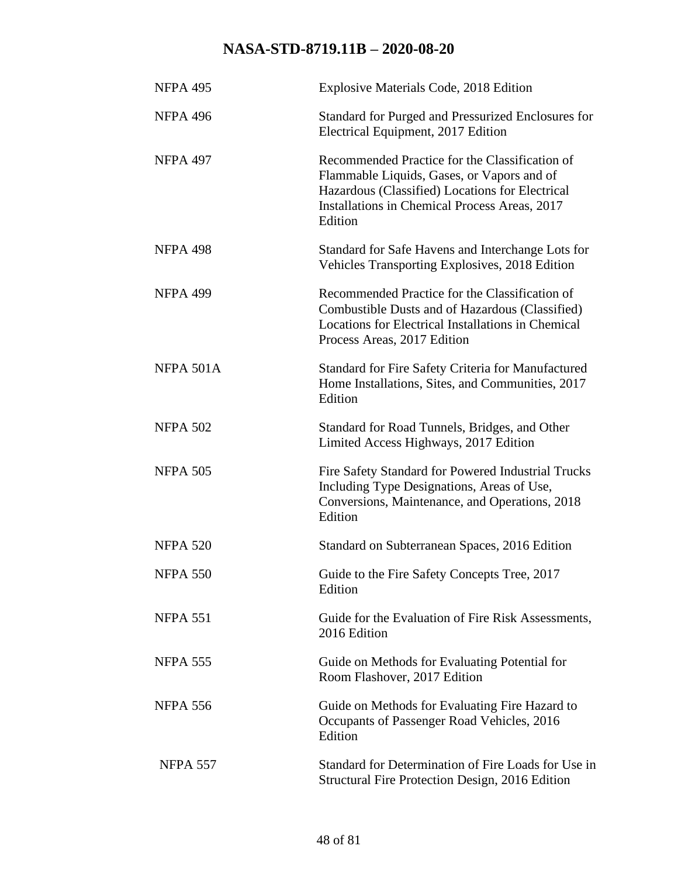| <b>NFPA 495</b> | Explosive Materials Code, 2018 Edition                                                                                                                                                                      |
|-----------------|-------------------------------------------------------------------------------------------------------------------------------------------------------------------------------------------------------------|
| <b>NFPA 496</b> | Standard for Purged and Pressurized Enclosures for<br>Electrical Equipment, 2017 Edition                                                                                                                    |
| <b>NFPA 497</b> | Recommended Practice for the Classification of<br>Flammable Liquids, Gases, or Vapors and of<br>Hazardous (Classified) Locations for Electrical<br>Installations in Chemical Process Areas, 2017<br>Edition |
| <b>NFPA 498</b> | Standard for Safe Havens and Interchange Lots for<br>Vehicles Transporting Explosives, 2018 Edition                                                                                                         |
| <b>NFPA 499</b> | Recommended Practice for the Classification of<br>Combustible Dusts and of Hazardous (Classified)<br>Locations for Electrical Installations in Chemical<br>Process Areas, 2017 Edition                      |
| NFPA 501A       | Standard for Fire Safety Criteria for Manufactured<br>Home Installations, Sites, and Communities, 2017<br>Edition                                                                                           |
| <b>NFPA 502</b> | Standard for Road Tunnels, Bridges, and Other<br>Limited Access Highways, 2017 Edition                                                                                                                      |
| <b>NFPA 505</b> | Fire Safety Standard for Powered Industrial Trucks<br>Including Type Designations, Areas of Use,<br>Conversions, Maintenance, and Operations, 2018<br>Edition                                               |
| <b>NFPA 520</b> | Standard on Subterranean Spaces, 2016 Edition                                                                                                                                                               |
| <b>NFPA 550</b> | Guide to the Fire Safety Concepts Tree, 2017<br>Edition                                                                                                                                                     |
| <b>NFPA 551</b> | Guide for the Evaluation of Fire Risk Assessments,<br>2016 Edition                                                                                                                                          |
| <b>NFPA 555</b> | Guide on Methods for Evaluating Potential for<br>Room Flashover, 2017 Edition                                                                                                                               |
| <b>NFPA 556</b> | Guide on Methods for Evaluating Fire Hazard to<br>Occupants of Passenger Road Vehicles, 2016<br>Edition                                                                                                     |
| <b>NFPA 557</b> | Standard for Determination of Fire Loads for Use in<br>Structural Fire Protection Design, 2016 Edition                                                                                                      |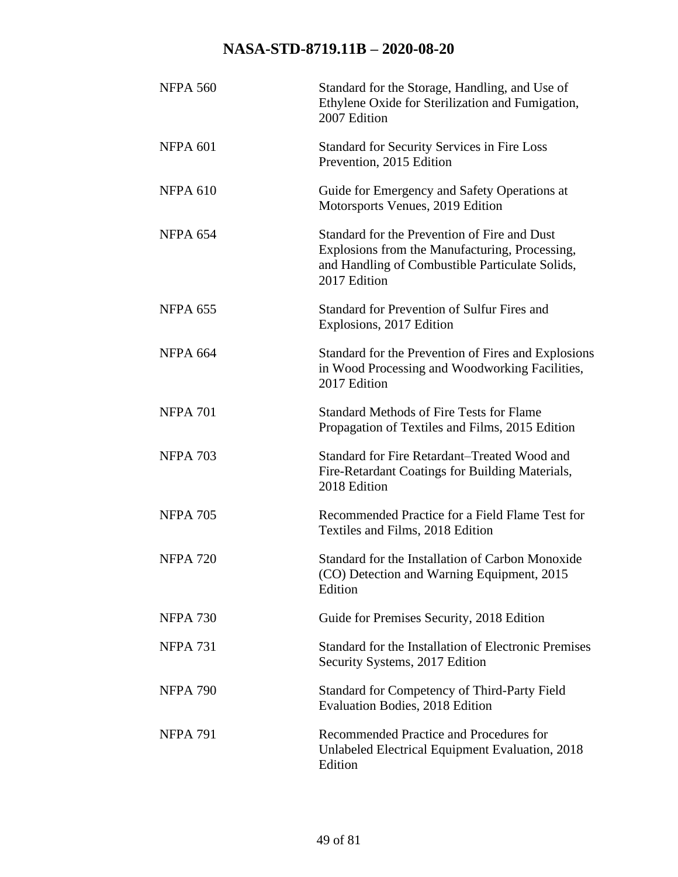| <b>NFPA 560</b> | Standard for the Storage, Handling, and Use of<br>Ethylene Oxide for Sterilization and Fumigation,<br>2007 Edition                                                |
|-----------------|-------------------------------------------------------------------------------------------------------------------------------------------------------------------|
| <b>NFPA 601</b> | <b>Standard for Security Services in Fire Loss</b><br>Prevention, 2015 Edition                                                                                    |
| <b>NFPA 610</b> | Guide for Emergency and Safety Operations at<br>Motorsports Venues, 2019 Edition                                                                                  |
| <b>NFPA 654</b> | Standard for the Prevention of Fire and Dust<br>Explosions from the Manufacturing, Processing,<br>and Handling of Combustible Particulate Solids,<br>2017 Edition |
| <b>NFPA 655</b> | Standard for Prevention of Sulfur Fires and<br>Explosions, 2017 Edition                                                                                           |
| <b>NFPA 664</b> | Standard for the Prevention of Fires and Explosions<br>in Wood Processing and Woodworking Facilities,<br>2017 Edition                                             |
| <b>NFPA 701</b> | <b>Standard Methods of Fire Tests for Flame</b><br>Propagation of Textiles and Films, 2015 Edition                                                                |
| <b>NFPA 703</b> | Standard for Fire Retardant–Treated Wood and<br>Fire-Retardant Coatings for Building Materials,<br>2018 Edition                                                   |
| <b>NFPA 705</b> | Recommended Practice for a Field Flame Test for<br>Textiles and Films, 2018 Edition                                                                               |
| <b>NFPA 720</b> | Standard for the Installation of Carbon Monoxide<br>(CO) Detection and Warning Equipment, 2015<br>Edition                                                         |
| <b>NFPA 730</b> | Guide for Premises Security, 2018 Edition                                                                                                                         |
| <b>NFPA 731</b> | Standard for the Installation of Electronic Premises<br>Security Systems, 2017 Edition                                                                            |
| <b>NFPA 790</b> | <b>Standard for Competency of Third-Party Field</b><br><b>Evaluation Bodies, 2018 Edition</b>                                                                     |
| <b>NFPA 791</b> | Recommended Practice and Procedures for<br>Unlabeled Electrical Equipment Evaluation, 2018<br>Edition                                                             |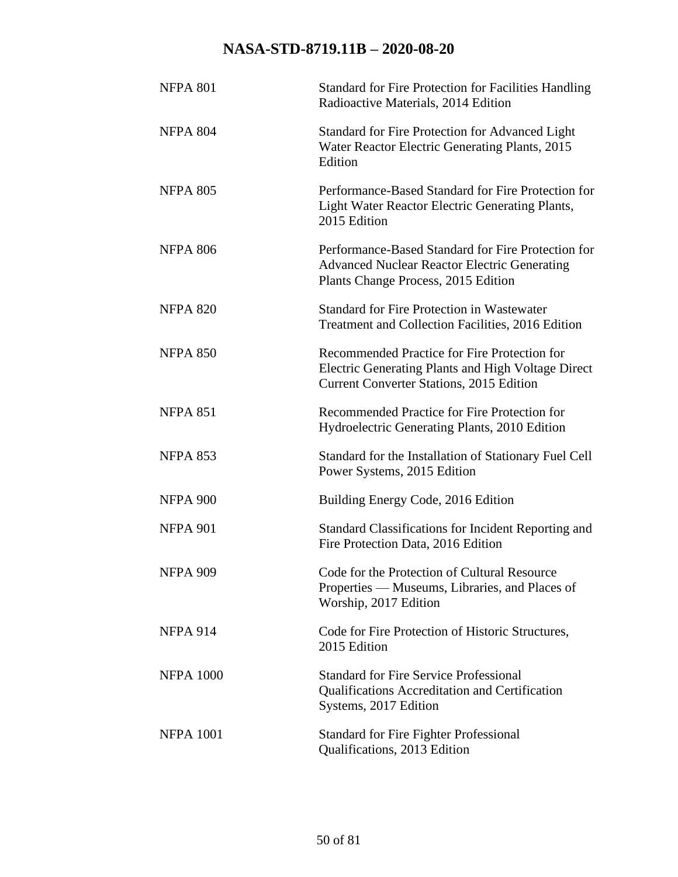| <b>NFPA 801</b>  | <b>Standard for Fire Protection for Facilities Handling</b><br>Radioactive Materials, 2014 Edition                                               |
|------------------|--------------------------------------------------------------------------------------------------------------------------------------------------|
| <b>NFPA 804</b>  | Standard for Fire Protection for Advanced Light<br>Water Reactor Electric Generating Plants, 2015<br>Edition                                     |
| <b>NFPA 805</b>  | Performance-Based Standard for Fire Protection for<br>Light Water Reactor Electric Generating Plants,<br>2015 Edition                            |
| <b>NFPA 806</b>  | Performance-Based Standard for Fire Protection for<br><b>Advanced Nuclear Reactor Electric Generating</b><br>Plants Change Process, 2015 Edition |
| <b>NFPA 820</b>  | <b>Standard for Fire Protection in Wastewater</b><br>Treatment and Collection Facilities, 2016 Edition                                           |
| <b>NFPA 850</b>  | Recommended Practice for Fire Protection for<br>Electric Generating Plants and High Voltage Direct<br>Current Converter Stations, 2015 Edition   |
| <b>NFPA 851</b>  | Recommended Practice for Fire Protection for<br>Hydroelectric Generating Plants, 2010 Edition                                                    |
| <b>NFPA 853</b>  | Standard for the Installation of Stationary Fuel Cell<br>Power Systems, 2015 Edition                                                             |
| <b>NFPA 900</b>  | Building Energy Code, 2016 Edition                                                                                                               |
| <b>NFPA 901</b>  | Standard Classifications for Incident Reporting and<br>Fire Protection Data, 2016 Edition                                                        |
| <b>NFPA 909</b>  | Code for the Protection of Cultural Resource<br>Properties — Museums, Libraries, and Places of<br>Worship, 2017 Edition                          |
| <b>NFPA 914</b>  | Code for Fire Protection of Historic Structures,<br>2015 Edition                                                                                 |
| <b>NFPA 1000</b> | <b>Standard for Fire Service Professional</b><br><b>Qualifications Accreditation and Certification</b><br>Systems, 2017 Edition                  |
| <b>NFPA 1001</b> | Standard for Fire Fighter Professional<br>Qualifications, 2013 Edition                                                                           |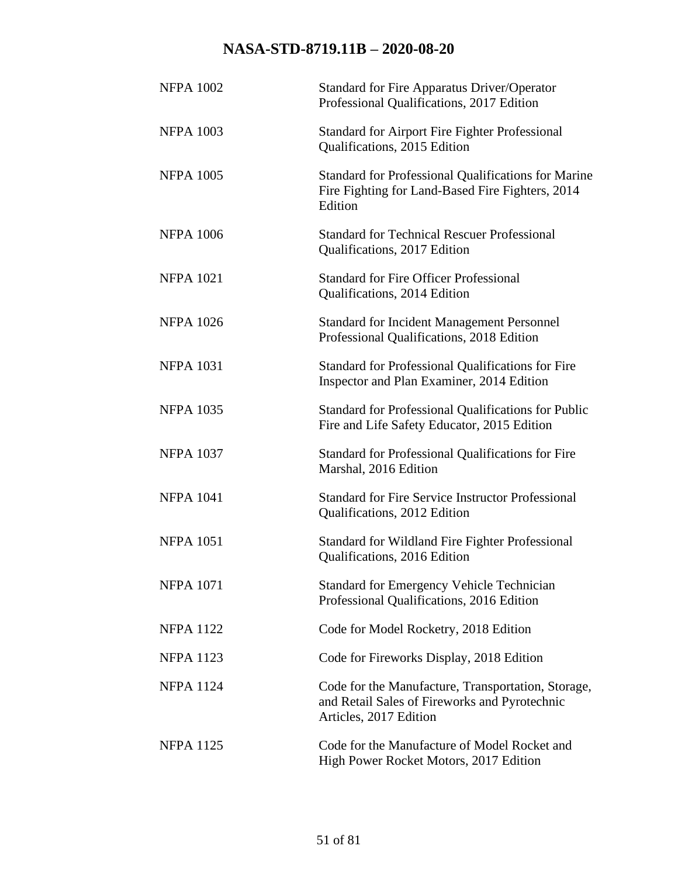| <b>NFPA 1002</b> | <b>Standard for Fire Apparatus Driver/Operator</b><br>Professional Qualifications, 2017 Edition                               |
|------------------|-------------------------------------------------------------------------------------------------------------------------------|
| <b>NFPA 1003</b> | <b>Standard for Airport Fire Fighter Professional</b><br>Qualifications, 2015 Edition                                         |
| <b>NFPA 1005</b> | <b>Standard for Professional Qualifications for Marine</b><br>Fire Fighting for Land-Based Fire Fighters, 2014<br>Edition     |
| <b>NFPA 1006</b> | <b>Standard for Technical Rescuer Professional</b><br>Qualifications, 2017 Edition                                            |
| <b>NFPA 1021</b> | <b>Standard for Fire Officer Professional</b><br>Qualifications, 2014 Edition                                                 |
| <b>NFPA 1026</b> | <b>Standard for Incident Management Personnel</b><br>Professional Qualifications, 2018 Edition                                |
| <b>NFPA 1031</b> | Standard for Professional Qualifications for Fire<br>Inspector and Plan Examiner, 2014 Edition                                |
| <b>NFPA 1035</b> | <b>Standard for Professional Qualifications for Public</b><br>Fire and Life Safety Educator, 2015 Edition                     |
| <b>NFPA 1037</b> | Standard for Professional Qualifications for Fire<br>Marshal, 2016 Edition                                                    |
| <b>NFPA 1041</b> | <b>Standard for Fire Service Instructor Professional</b><br>Qualifications, 2012 Edition                                      |
| <b>NFPA 1051</b> | Standard for Wildland Fire Fighter Professional<br>Qualifications, 2016 Edition                                               |
| <b>NFPA 1071</b> | <b>Standard for Emergency Vehicle Technician</b><br>Professional Qualifications, 2016 Edition                                 |
| <b>NFPA 1122</b> | Code for Model Rocketry, 2018 Edition                                                                                         |
| <b>NFPA 1123</b> | Code for Fireworks Display, 2018 Edition                                                                                      |
| <b>NFPA 1124</b> | Code for the Manufacture, Transportation, Storage,<br>and Retail Sales of Fireworks and Pyrotechnic<br>Articles, 2017 Edition |
| <b>NFPA 1125</b> | Code for the Manufacture of Model Rocket and<br>High Power Rocket Motors, 2017 Edition                                        |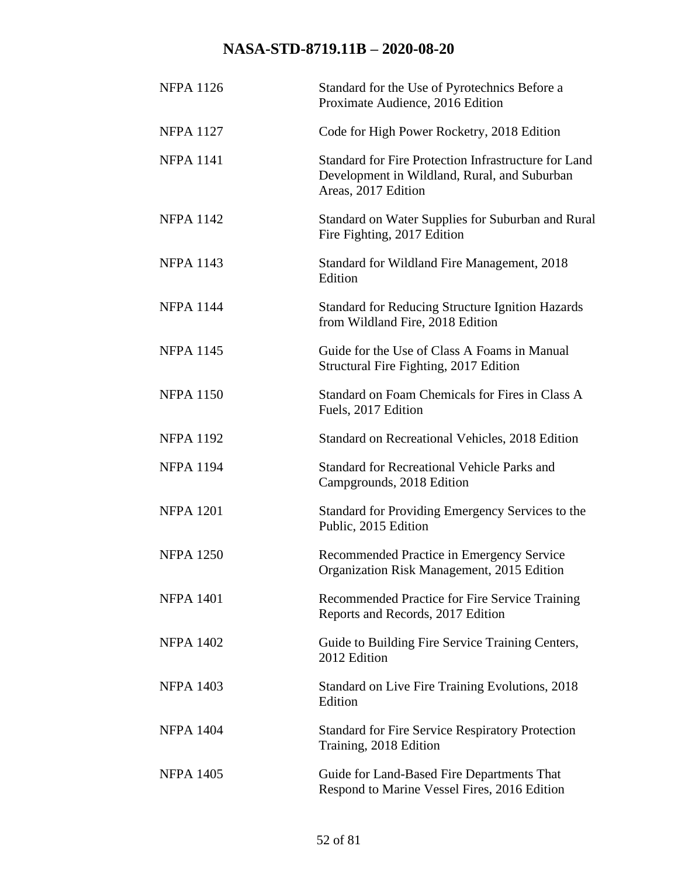| <b>NFPA 1126</b> | Standard for the Use of Pyrotechnics Before a<br>Proximate Audience, 2016 Edition                                           |
|------------------|-----------------------------------------------------------------------------------------------------------------------------|
| <b>NFPA 1127</b> | Code for High Power Rocketry, 2018 Edition                                                                                  |
| <b>NFPA 1141</b> | Standard for Fire Protection Infrastructure for Land<br>Development in Wildland, Rural, and Suburban<br>Areas, 2017 Edition |
| <b>NFPA 1142</b> | Standard on Water Supplies for Suburban and Rural<br>Fire Fighting, 2017 Edition                                            |
| <b>NFPA 1143</b> | Standard for Wildland Fire Management, 2018<br>Edition                                                                      |
| <b>NFPA 1144</b> | <b>Standard for Reducing Structure Ignition Hazards</b><br>from Wildland Fire, 2018 Edition                                 |
| <b>NFPA 1145</b> | Guide for the Use of Class A Foams in Manual<br>Structural Fire Fighting, 2017 Edition                                      |
| <b>NFPA 1150</b> | Standard on Foam Chemicals for Fires in Class A<br>Fuels, 2017 Edition                                                      |
| <b>NFPA 1192</b> | Standard on Recreational Vehicles, 2018 Edition                                                                             |
| <b>NFPA 1194</b> | <b>Standard for Recreational Vehicle Parks and</b><br>Campgrounds, 2018 Edition                                             |
| <b>NFPA 1201</b> | Standard for Providing Emergency Services to the<br>Public, 2015 Edition                                                    |
| <b>NFPA 1250</b> | Recommended Practice in Emergency Service<br>Organization Risk Management, 2015 Edition                                     |
| <b>NFPA 1401</b> | Recommended Practice for Fire Service Training<br>Reports and Records, 2017 Edition                                         |
| <b>NFPA 1402</b> | Guide to Building Fire Service Training Centers,<br>2012 Edition                                                            |
| <b>NFPA 1403</b> | Standard on Live Fire Training Evolutions, 2018<br>Edition                                                                  |
| <b>NFPA 1404</b> | <b>Standard for Fire Service Respiratory Protection</b><br>Training, 2018 Edition                                           |
| <b>NFPA 1405</b> | Guide for Land-Based Fire Departments That<br>Respond to Marine Vessel Fires, 2016 Edition                                  |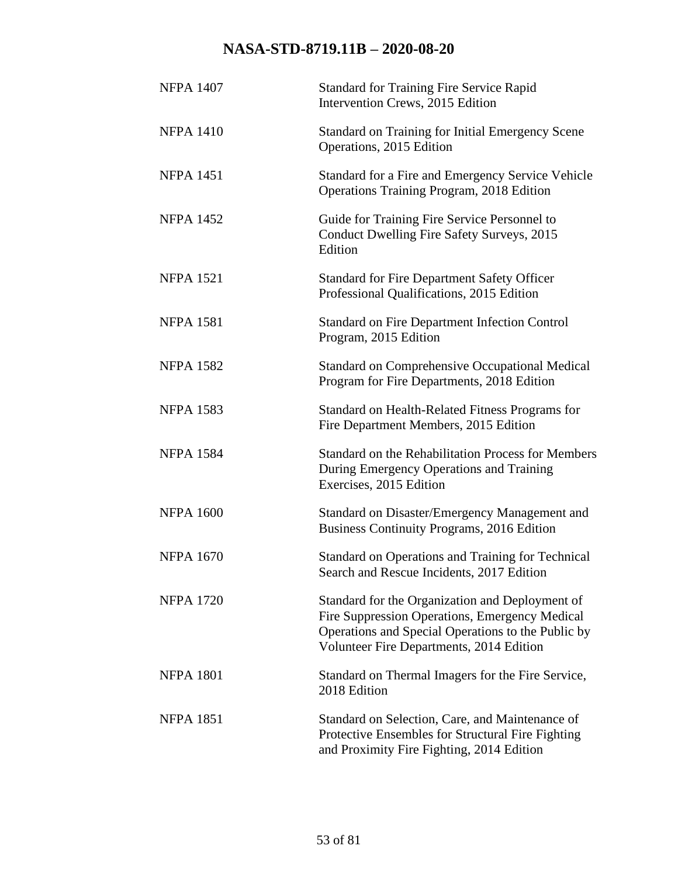| <b>NFPA 1407</b> | <b>Standard for Training Fire Service Rapid</b><br>Intervention Crews, 2015 Edition                                                                                                                 |
|------------------|-----------------------------------------------------------------------------------------------------------------------------------------------------------------------------------------------------|
| <b>NFPA 1410</b> | <b>Standard on Training for Initial Emergency Scene</b><br>Operations, 2015 Edition                                                                                                                 |
| <b>NFPA 1451</b> | Standard for a Fire and Emergency Service Vehicle<br>Operations Training Program, 2018 Edition                                                                                                      |
| <b>NFPA 1452</b> | Guide for Training Fire Service Personnel to<br>Conduct Dwelling Fire Safety Surveys, 2015<br>Edition                                                                                               |
| <b>NFPA 1521</b> | <b>Standard for Fire Department Safety Officer</b><br>Professional Qualifications, 2015 Edition                                                                                                     |
| <b>NFPA 1581</b> | <b>Standard on Fire Department Infection Control</b><br>Program, 2015 Edition                                                                                                                       |
| <b>NFPA 1582</b> | <b>Standard on Comprehensive Occupational Medical</b><br>Program for Fire Departments, 2018 Edition                                                                                                 |
| <b>NFPA 1583</b> | Standard on Health-Related Fitness Programs for<br>Fire Department Members, 2015 Edition                                                                                                            |
| <b>NFPA 1584</b> | Standard on the Rehabilitation Process for Members<br>During Emergency Operations and Training<br>Exercises, 2015 Edition                                                                           |
| <b>NFPA 1600</b> | Standard on Disaster/Emergency Management and<br><b>Business Continuity Programs, 2016 Edition</b>                                                                                                  |
| <b>NFPA 1670</b> | Standard on Operations and Training for Technical<br>Search and Rescue Incidents, 2017 Edition                                                                                                      |
| <b>NFPA 1720</b> | Standard for the Organization and Deployment of<br>Fire Suppression Operations, Emergency Medical<br>Operations and Special Operations to the Public by<br>Volunteer Fire Departments, 2014 Edition |
| <b>NFPA 1801</b> | Standard on Thermal Imagers for the Fire Service,<br>2018 Edition                                                                                                                                   |
| <b>NFPA 1851</b> | Standard on Selection, Care, and Maintenance of<br>Protective Ensembles for Structural Fire Fighting<br>and Proximity Fire Fighting, 2014 Edition                                                   |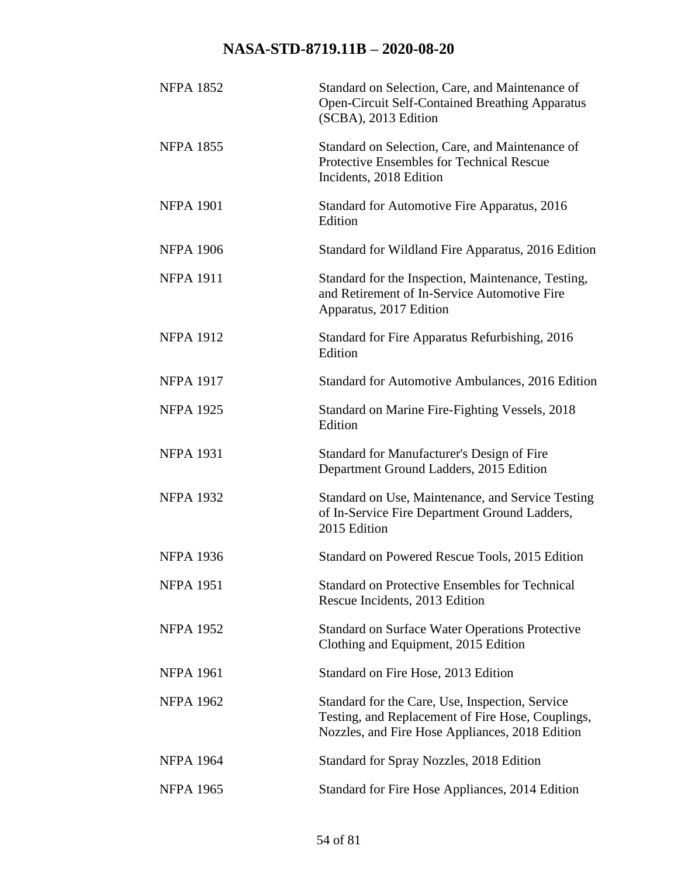| <b>NFPA 1852</b> | Standard on Selection, Care, and Maintenance of<br><b>Open-Circuit Self-Contained Breathing Apparatus</b><br>(SCBA), 2013 Edition                       |
|------------------|---------------------------------------------------------------------------------------------------------------------------------------------------------|
| <b>NFPA 1855</b> | Standard on Selection, Care, and Maintenance of<br>Protective Ensembles for Technical Rescue<br>Incidents, 2018 Edition                                 |
| <b>NFPA 1901</b> | Standard for Automotive Fire Apparatus, 2016<br>Edition                                                                                                 |
| <b>NFPA 1906</b> | Standard for Wildland Fire Apparatus, 2016 Edition                                                                                                      |
| <b>NFPA 1911</b> | Standard for the Inspection, Maintenance, Testing,<br>and Retirement of In-Service Automotive Fire<br>Apparatus, 2017 Edition                           |
| <b>NFPA 1912</b> | Standard for Fire Apparatus Refurbishing, 2016<br>Edition                                                                                               |
| <b>NFPA 1917</b> | Standard for Automotive Ambulances, 2016 Edition                                                                                                        |
| <b>NFPA 1925</b> | Standard on Marine Fire-Fighting Vessels, 2018<br>Edition                                                                                               |
| <b>NFPA 1931</b> | Standard for Manufacturer's Design of Fire<br>Department Ground Ladders, 2015 Edition                                                                   |
| <b>NFPA 1932</b> | Standard on Use, Maintenance, and Service Testing<br>of In-Service Fire Department Ground Ladders,<br>2015 Edition                                      |
| <b>NFPA 1936</b> | Standard on Powered Rescue Tools, 2015 Edition                                                                                                          |
| <b>NFPA 1951</b> | <b>Standard on Protective Ensembles for Technical</b><br>Rescue Incidents, 2013 Edition                                                                 |
| <b>NFPA 1952</b> | <b>Standard on Surface Water Operations Protective</b><br>Clothing and Equipment, 2015 Edition                                                          |
| <b>NFPA 1961</b> | Standard on Fire Hose, 2013 Edition                                                                                                                     |
| <b>NFPA 1962</b> | Standard for the Care, Use, Inspection, Service<br>Testing, and Replacement of Fire Hose, Couplings,<br>Nozzles, and Fire Hose Appliances, 2018 Edition |
| <b>NFPA 1964</b> | Standard for Spray Nozzles, 2018 Edition                                                                                                                |
| <b>NFPA 1965</b> | Standard for Fire Hose Appliances, 2014 Edition                                                                                                         |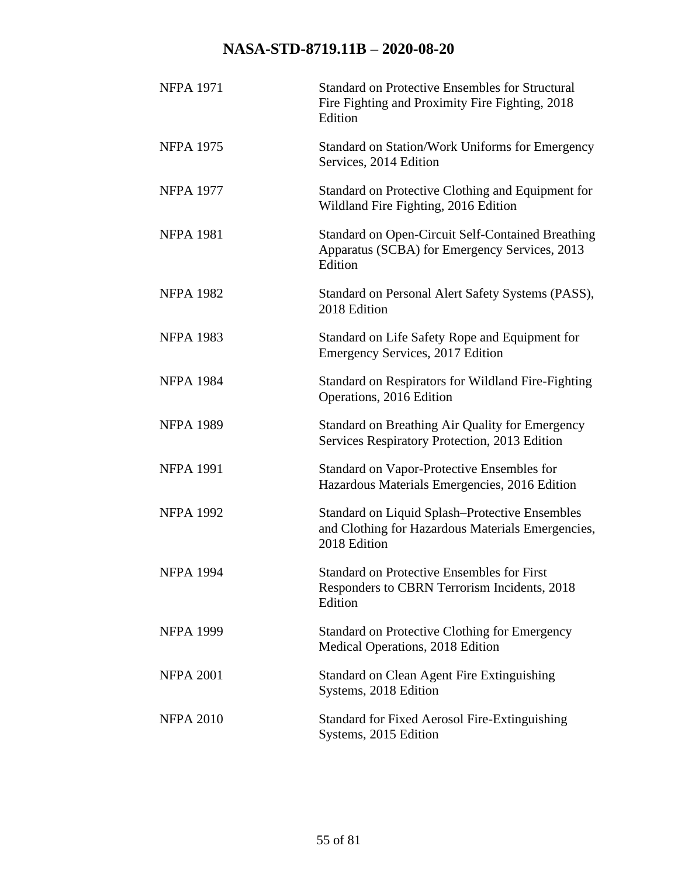| <b>NFPA 1971</b> | <b>Standard on Protective Ensembles for Structural</b><br>Fire Fighting and Proximity Fire Fighting, 2018<br>Edition       |
|------------------|----------------------------------------------------------------------------------------------------------------------------|
| <b>NFPA 1975</b> | Standard on Station/Work Uniforms for Emergency<br>Services, 2014 Edition                                                  |
| <b>NFPA 1977</b> | Standard on Protective Clothing and Equipment for<br>Wildland Fire Fighting, 2016 Edition                                  |
| <b>NFPA 1981</b> | <b>Standard on Open-Circuit Self-Contained Breathing</b><br>Apparatus (SCBA) for Emergency Services, 2013<br>Edition       |
| <b>NFPA 1982</b> | Standard on Personal Alert Safety Systems (PASS),<br>2018 Edition                                                          |
| <b>NFPA 1983</b> | Standard on Life Safety Rope and Equipment for<br>Emergency Services, 2017 Edition                                         |
| <b>NFPA 1984</b> | <b>Standard on Respirators for Wildland Fire-Fighting</b><br>Operations, 2016 Edition                                      |
| <b>NFPA 1989</b> | Standard on Breathing Air Quality for Emergency<br>Services Respiratory Protection, 2013 Edition                           |
| <b>NFPA 1991</b> | Standard on Vapor-Protective Ensembles for<br>Hazardous Materials Emergencies, 2016 Edition                                |
| <b>NFPA 1992</b> | <b>Standard on Liquid Splash–Protective Ensembles</b><br>and Clothing for Hazardous Materials Emergencies,<br>2018 Edition |
| <b>NFPA 1994</b> | <b>Standard on Protective Ensembles for First</b><br>Responders to CBRN Terrorism Incidents, 2018<br>Edition               |
| <b>NFPA 1999</b> | <b>Standard on Protective Clothing for Emergency</b><br>Medical Operations, 2018 Edition                                   |
| <b>NFPA 2001</b> | <b>Standard on Clean Agent Fire Extinguishing</b><br>Systems, 2018 Edition                                                 |
| <b>NFPA 2010</b> | <b>Standard for Fixed Aerosol Fire-Extinguishing</b><br>Systems, 2015 Edition                                              |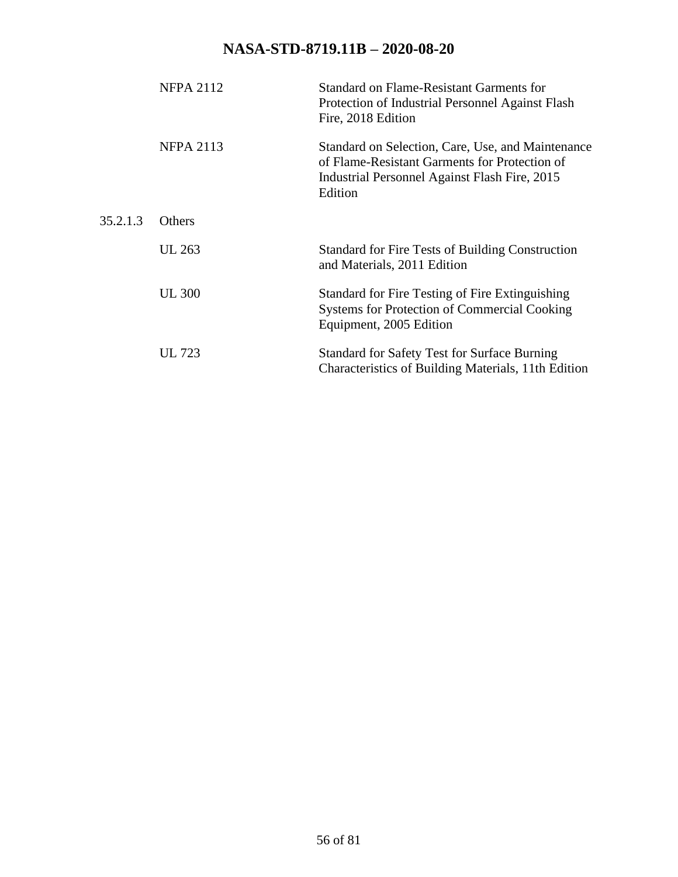|          | <b>NFPA 2112</b> | Standard on Flame-Resistant Garments for<br>Protection of Industrial Personnel Against Flash<br>Fire, 2018 Edition                                             |
|----------|------------------|----------------------------------------------------------------------------------------------------------------------------------------------------------------|
|          | <b>NFPA 2113</b> | Standard on Selection, Care, Use, and Maintenance<br>of Flame-Resistant Garments for Protection of<br>Industrial Personnel Against Flash Fire, 2015<br>Edition |
| 35.2.1.3 | Others           |                                                                                                                                                                |
|          | UL 263           | <b>Standard for Fire Tests of Building Construction</b><br>and Materials, 2011 Edition                                                                         |
|          | <b>UL 300</b>    | Standard for Fire Testing of Fire Extinguishing<br><b>Systems for Protection of Commercial Cooking</b><br>Equipment, 2005 Edition                              |
|          | UL 723           | <b>Standard for Safety Test for Surface Burning</b><br>Characteristics of Building Materials, 11th Edition                                                     |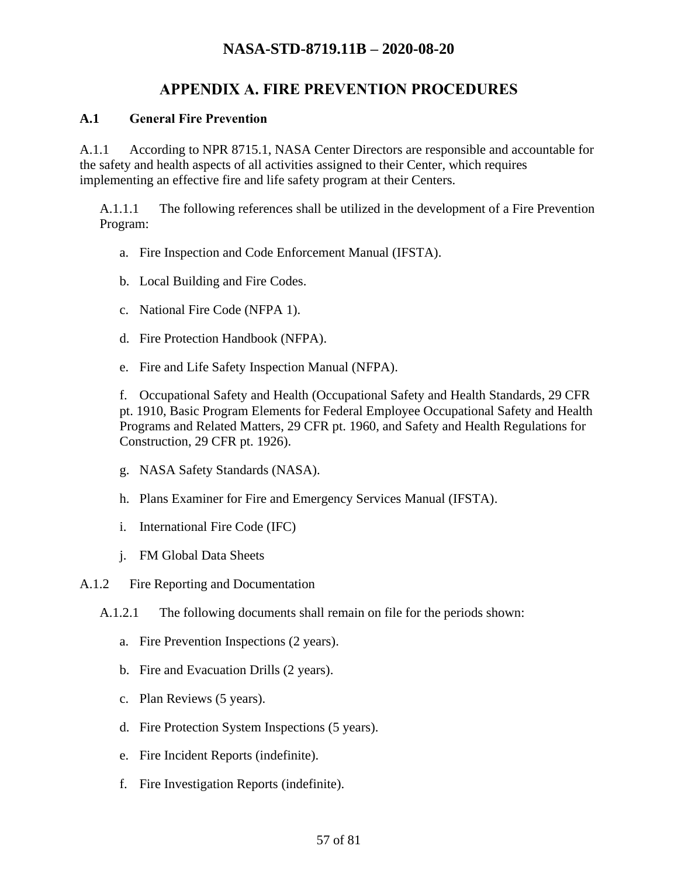# **APPENDIX A. FIRE PREVENTION PROCEDURES**

#### **A.1 General Fire Prevention**

A.1.1 According to NPR 8715.1, NASA Center Directors are responsible and accountable for the safety and health aspects of all activities assigned to their Center, which requires implementing an effective fire and life safety program at their Centers.

A.1.1.1 The following references shall be utilized in the development of a Fire Prevention Program:

- a. Fire Inspection and Code Enforcement Manual (IFSTA).
- b. Local Building and Fire Codes.
- c. National Fire Code (NFPA 1).
- d. Fire Protection Handbook (NFPA).
- e. Fire and Life Safety Inspection Manual (NFPA).

f. Occupational Safety and Health (Occupational Safety and Health Standards, 29 CFR pt. 1910, Basic Program Elements for Federal Employee Occupational Safety and Health Programs and Related Matters, 29 CFR pt. 1960, and Safety and Health Regulations for Construction, 29 CFR pt. 1926).

- g. NASA Safety Standards (NASA).
- h. Plans Examiner for Fire and Emergency Services Manual (IFSTA).
- i. International Fire Code (IFC)
- j. FM Global Data Sheets

A.1.2 Fire Reporting and Documentation

- <span id="page-56-0"></span>A.1.2.1 The following documents shall remain on file for the periods shown:
	- a. Fire Prevention Inspections (2 years).
	- b. Fire and Evacuation Drills (2 years).
	- c. Plan Reviews (5 years).
	- d. Fire Protection System Inspections (5 years).
	- e. Fire Incident Reports (indefinite).
	- f. Fire Investigation Reports (indefinite).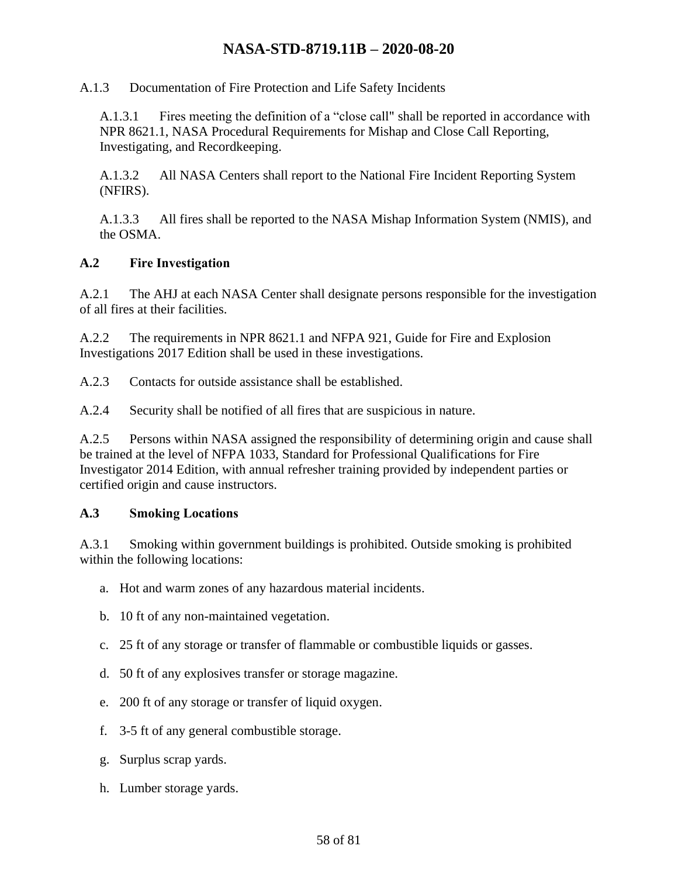A.1.3 Documentation of Fire Protection and Life Safety Incidents

A.1.3.1 Fires meeting the definition of a "close call" shall be reported in accordance with NPR 8621.1, NASA Procedural Requirements for Mishap and Close Call Reporting, Investigating, and Recordkeeping.

A.1.3.2 All NASA Centers shall report to the National Fire Incident Reporting System (NFIRS).

A.1.3.3 All fires shall be reported to the NASA Mishap Information System (NMIS), and the OSMA.

#### **A.2 Fire Investigation**

A.2.1 The AHJ at each NASA Center shall designate persons responsible for the investigation of all fires at their facilities.

A.2.2 The requirements in NPR 8621.1 and NFPA 921, Guide for Fire and Explosion Investigations 2017 Edition shall be used in these investigations.

A.2.3 Contacts for outside assistance shall be established.

A.2.4 Security shall be notified of all fires that are suspicious in nature.

A.2.5 Persons within NASA assigned the responsibility of determining origin and cause shall be trained at the level of NFPA 1033, Standard for Professional Qualifications for Fire Investigator 2014 Edition, with annual refresher training provided by independent parties or certified origin and cause instructors.

#### **A.3 Smoking Locations**

A.3.1 Smoking within government buildings is prohibited. Outside smoking is prohibited within the following locations:

- a. Hot and warm zones of any hazardous material incidents.
- b. 10 ft of any non-maintained vegetation.
- c. 25 ft of any storage or transfer of flammable or combustible liquids or gasses.
- d. 50 ft of any explosives transfer or storage magazine.
- e. 200 ft of any storage or transfer of liquid oxygen.
- f. 3-5 ft of any general combustible storage.
- g. Surplus scrap yards.
- h. Lumber storage yards.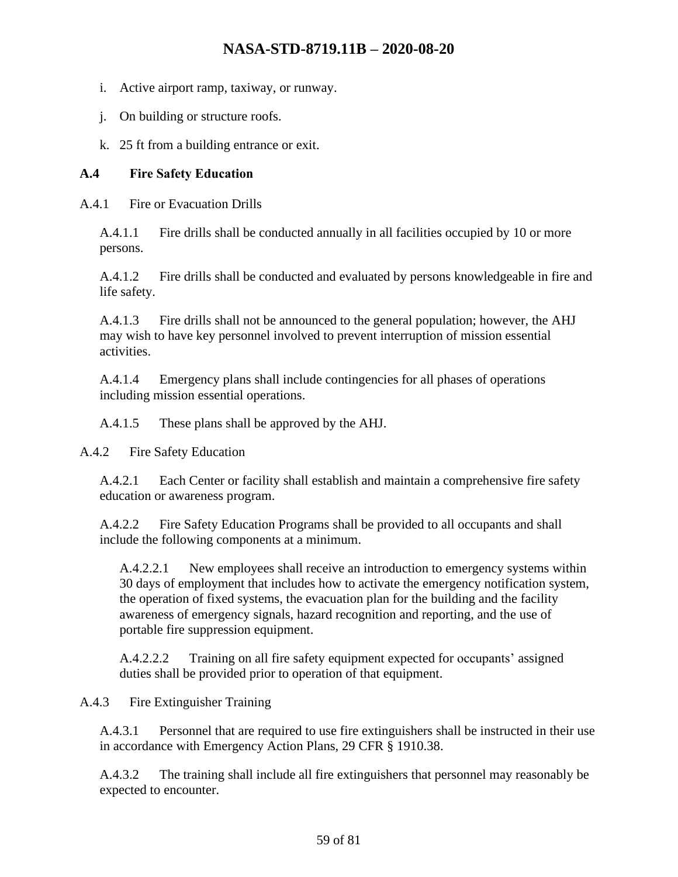- i. Active airport ramp, taxiway, or runway.
- j. On building or structure roofs.
- k. 25 ft from a building entrance or exit.

#### **A.4 Fire Safety Education**

A.4.1 Fire or Evacuation Drills

A.4.1.1 Fire drills shall be conducted annually in all facilities occupied by 10 or more persons.

A.4.1.2 Fire drills shall be conducted and evaluated by persons knowledgeable in fire and life safety.

A.4.1.3 Fire drills shall not be announced to the general population; however, the AHJ may wish to have key personnel involved to prevent interruption of mission essential activities.

A.4.1.4 Emergency plans shall include contingencies for all phases of operations including mission essential operations.

A.4.1.5 These plans shall be approved by the AHJ.

A.4.2 Fire Safety Education

A.4.2.1 Each Center or facility shall establish and maintain a comprehensive fire safety education or awareness program.

A.4.2.2 Fire Safety Education Programs shall be provided to all occupants and shall include the following components at a minimum.

A.4.2.2.1 New employees shall receive an introduction to emergency systems within 30 days of employment that includes how to activate the emergency notification system, the operation of fixed systems, the evacuation plan for the building and the facility awareness of emergency signals, hazard recognition and reporting, and the use of portable fire suppression equipment.

A.4.2.2.2 Training on all fire safety equipment expected for occupants' assigned duties shall be provided prior to operation of that equipment.

### A.4.3 Fire Extinguisher Training

A.4.3.1 Personnel that are required to use fire extinguishers shall be instructed in their use in accordance with Emergency Action Plans, 29 CFR § 1910.38.

A.4.3.2 The training shall include all fire extinguishers that personnel may reasonably be expected to encounter.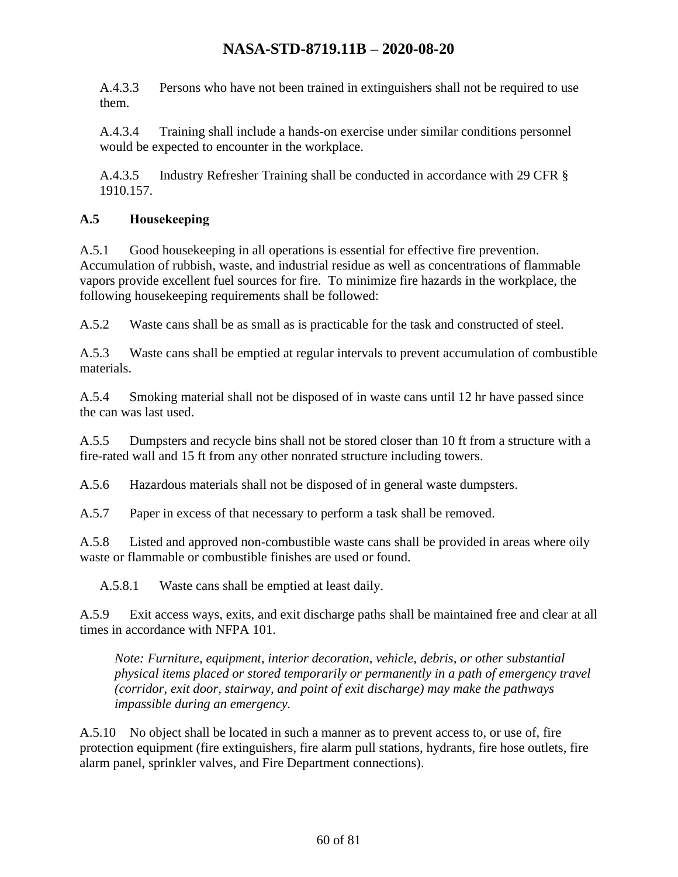A.4.3.3 Persons who have not been trained in extinguishers shall not be required to use them.

A.4.3.4 Training shall include a hands-on exercise under similar conditions personnel would be expected to encounter in the workplace.

A.4.3.5 Industry Refresher Training shall be conducted in accordance with 29 CFR § 1910.157.

### **A.5 Housekeeping**

A.5.1 Good housekeeping in all operations is essential for effective fire prevention. Accumulation of rubbish, waste, and industrial residue as well as concentrations of flammable vapors provide excellent fuel sources for fire. To minimize fire hazards in the workplace, the following housekeeping requirements shall be followed:

A.5.2 Waste cans shall be as small as is practicable for the task and constructed of steel.

A.5.3 Waste cans shall be emptied at regular intervals to prevent accumulation of combustible materials.

A.5.4 Smoking material shall not be disposed of in waste cans until 12 hr have passed since the can was last used.

A.5.5 Dumpsters and recycle bins shall not be stored closer than 10 ft from a structure with a fire-rated wall and 15 ft from any other nonrated structure including towers.

A.5.6 Hazardous materials shall not be disposed of in general waste dumpsters.

A.5.7 Paper in excess of that necessary to perform a task shall be removed.

A.5.8 Listed and approved non-combustible waste cans shall be provided in areas where oily waste or flammable or combustible finishes are used or found.

A.5.8.1 Waste cans shall be emptied at least daily.

A.5.9 Exit access ways, exits, and exit discharge paths shall be maintained free and clear at all times in accordance with NFPA 101.

*Note: Furniture, equipment, interior decoration, vehicle, debris, or other substantial physical items placed or stored temporarily or permanently in a path of emergency travel (corridor, exit door, stairway, and point of exit discharge) may make the pathways impassible during an emergency.*

A.5.10 No object shall be located in such a manner as to prevent access to, or use of, fire protection equipment (fire extinguishers, fire alarm pull stations, hydrants, fire hose outlets, fire alarm panel, sprinkler valves, and Fire Department connections).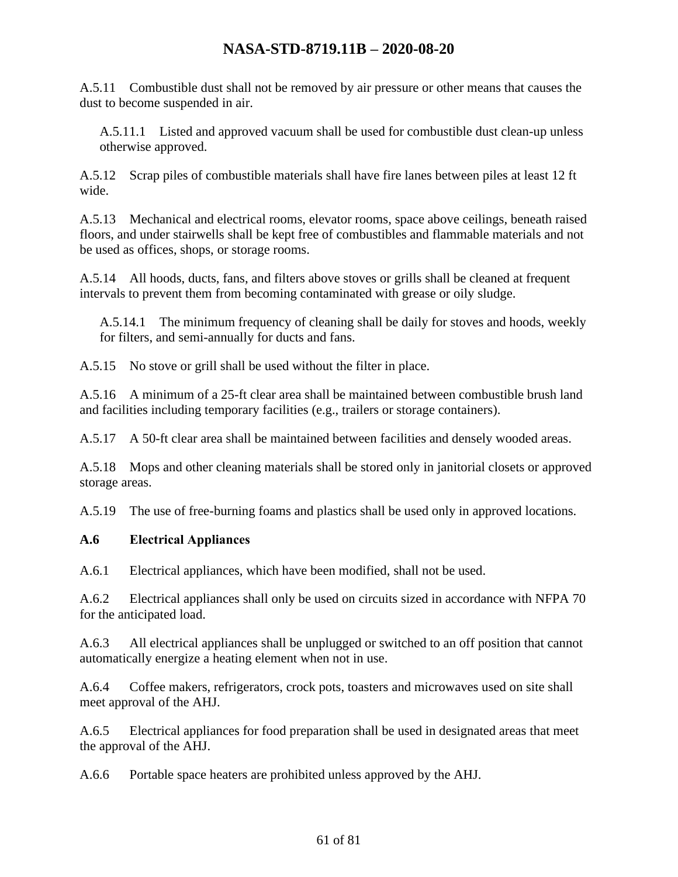A.5.11 Combustible dust shall not be removed by air pressure or other means that causes the dust to become suspended in air.

A.5.11.1 Listed and approved vacuum shall be used for combustible dust clean-up unless otherwise approved.

A.5.12 Scrap piles of combustible materials shall have fire lanes between piles at least 12 ft wide.

A.5.13 Mechanical and electrical rooms, elevator rooms, space above ceilings, beneath raised floors, and under stairwells shall be kept free of combustibles and flammable materials and not be used as offices, shops, or storage rooms.

A.5.14 All hoods, ducts, fans, and filters above stoves or grills shall be cleaned at frequent intervals to prevent them from becoming contaminated with grease or oily sludge.

A.5.14.1 The minimum frequency of cleaning shall be daily for stoves and hoods, weekly for filters, and semi-annually for ducts and fans.

A.5.15 No stove or grill shall be used without the filter in place.

A.5.16 A minimum of a 25-ft clear area shall be maintained between combustible brush land and facilities including temporary facilities (e.g., trailers or storage containers).

A.5.17 A 50-ft clear area shall be maintained between facilities and densely wooded areas.

A.5.18 Mops and other cleaning materials shall be stored only in janitorial closets or approved storage areas.

A.5.19 The use of free-burning foams and plastics shall be used only in approved locations.

#### **A.6 Electrical Appliances**

A.6.1 Electrical appliances, which have been modified, shall not be used.

A.6.2 Electrical appliances shall only be used on circuits sized in accordance with NFPA 70 for the anticipated load.

A.6.3 All electrical appliances shall be unplugged or switched to an off position that cannot automatically energize a heating element when not in use.

A.6.4 Coffee makers, refrigerators, crock pots, toasters and microwaves used on site shall meet approval of the AHJ.

A.6.5 Electrical appliances for food preparation shall be used in designated areas that meet the approval of the AHJ.

A.6.6 Portable space heaters are prohibited unless approved by the AHJ.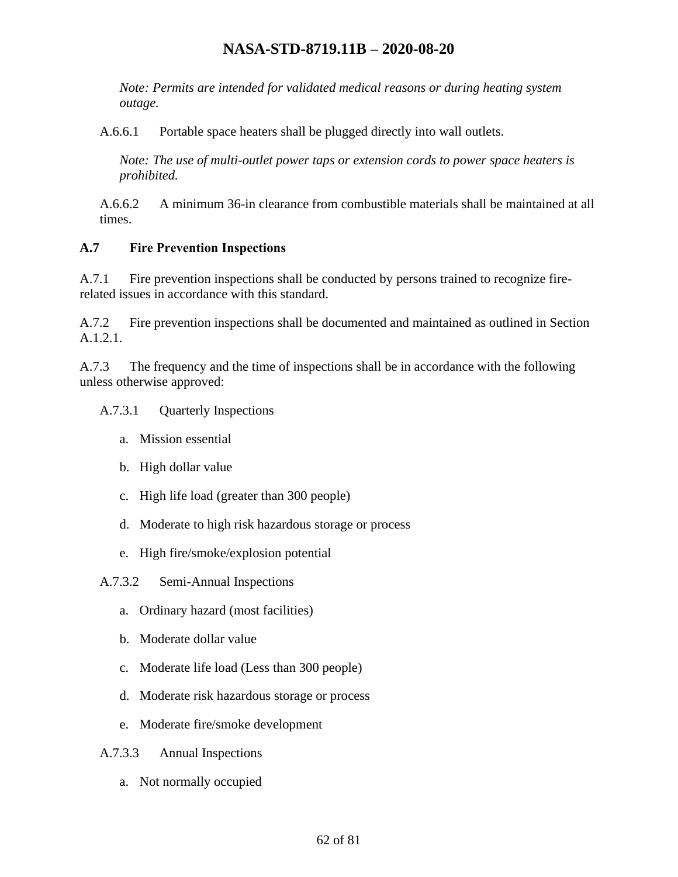*Note: Permits are intended for validated medical reasons or during heating system outage.*

A.6.6.1 Portable space heaters shall be plugged directly into wall outlets.

*Note: The use of multi-outlet power taps or extension cords to power space heaters is prohibited.*

A.6.6.2 A minimum 36-in clearance from combustible materials shall be maintained at all times.

#### **A.7 Fire Prevention Inspections**

A.7.1 Fire prevention inspections shall be conducted by persons trained to recognize firerelated issues in accordance with this standard.

A.7.2 Fire prevention inspections shall be documented and maintained as outlined in Section [A.1.2.1.](#page-56-0)

A.7.3 The frequency and the time of inspections shall be in accordance with the following unless otherwise approved:

#### A.7.3.1 Quarterly Inspections

- a. Mission essential
- b. High dollar value
- c. High life load (greater than 300 people)
- d. Moderate to high risk hazardous storage or process
- e. High fire/smoke/explosion potential

A.7.3.2 Semi-Annual Inspections

- a. Ordinary hazard (most facilities)
- b. Moderate dollar value
- c. Moderate life load (Less than 300 people)
- d. Moderate risk hazardous storage or process
- e. Moderate fire/smoke development
- A.7.3.3 Annual Inspections
	- a. Not normally occupied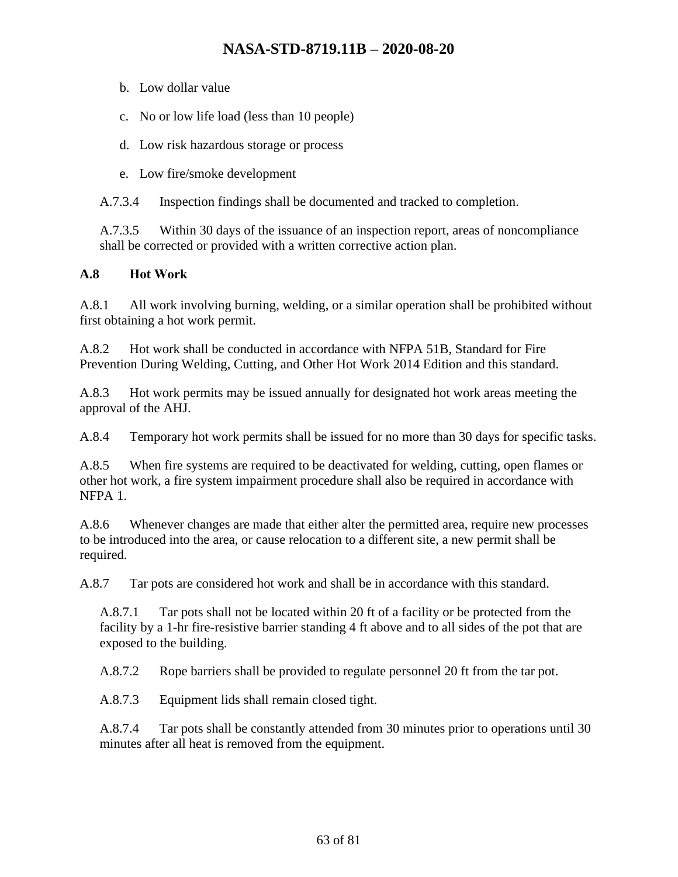- b. Low dollar value
- c. No or low life load (less than 10 people)
- d. Low risk hazardous storage or process
- e. Low fire/smoke development

A.7.3.4 Inspection findings shall be documented and tracked to completion.

A.7.3.5 Within 30 days of the issuance of an inspection report, areas of noncompliance shall be corrected or provided with a written corrective action plan.

#### **A.8 Hot Work**

A.8.1 All work involving burning, welding, or a similar operation shall be prohibited without first obtaining a hot work permit.

A.8.2 Hot work shall be conducted in accordance with NFPA 51B, Standard for Fire Prevention During Welding, Cutting, and Other Hot Work 2014 Edition and this standard.

A.8.3 Hot work permits may be issued annually for designated hot work areas meeting the approval of the AHJ.

A.8.4 Temporary hot work permits shall be issued for no more than 30 days for specific tasks.

A.8.5 When fire systems are required to be deactivated for welding, cutting, open flames or other hot work, a fire system impairment procedure shall also be required in accordance with NFPA 1.

A.8.6 Whenever changes are made that either alter the permitted area, require new processes to be introduced into the area, or cause relocation to a different site, a new permit shall be required.

A.8.7 Tar pots are considered hot work and shall be in accordance with this standard.

A.8.7.1 Tar pots shall not be located within 20 ft of a facility or be protected from the facility by a 1-hr fire-resistive barrier standing 4 ft above and to all sides of the pot that are exposed to the building.

A.8.7.2 Rope barriers shall be provided to regulate personnel 20 ft from the tar pot.

A.8.7.3 Equipment lids shall remain closed tight.

A.8.7.4 Tar pots shall be constantly attended from 30 minutes prior to operations until 30 minutes after all heat is removed from the equipment.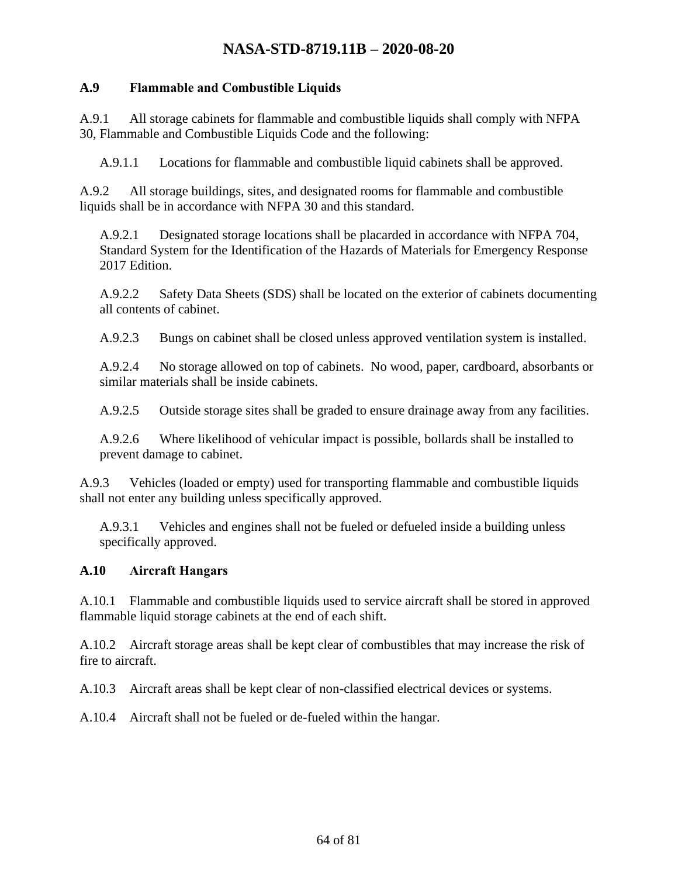#### **A.9 Flammable and Combustible Liquids**

A.9.1 All storage cabinets for flammable and combustible liquids shall comply with NFPA 30, Flammable and Combustible Liquids Code and the following:

A.9.1.1 Locations for flammable and combustible liquid cabinets shall be approved.

A.9.2 All storage buildings, sites, and designated rooms for flammable and combustible liquids shall be in accordance with NFPA 30 and this standard.

A.9.2.1 Designated storage locations shall be placarded in accordance with NFPA 704, Standard System for the Identification of the Hazards of Materials for Emergency Response 2017 Edition.

A.9.2.2 Safety Data Sheets (SDS) shall be located on the exterior of cabinets documenting all contents of cabinet.

A.9.2.3 Bungs on cabinet shall be closed unless approved ventilation system is installed.

A.9.2.4 No storage allowed on top of cabinets. No wood, paper, cardboard, absorbants or similar materials shall be inside cabinets.

A.9.2.5 Outside storage sites shall be graded to ensure drainage away from any facilities.

A.9.2.6 Where likelihood of vehicular impact is possible, bollards shall be installed to prevent damage to cabinet.

A.9.3 Vehicles (loaded or empty) used for transporting flammable and combustible liquids shall not enter any building unless specifically approved.

A.9.3.1 Vehicles and engines shall not be fueled or defueled inside a building unless specifically approved.

### **A.10 Aircraft Hangars**

A.10.1 Flammable and combustible liquids used to service aircraft shall be stored in approved flammable liquid storage cabinets at the end of each shift.

A.10.2 Aircraft storage areas shall be kept clear of combustibles that may increase the risk of fire to aircraft.

A.10.3 Aircraft areas shall be kept clear of non-classified electrical devices or systems.

A.10.4 Aircraft shall not be fueled or de-fueled within the hangar.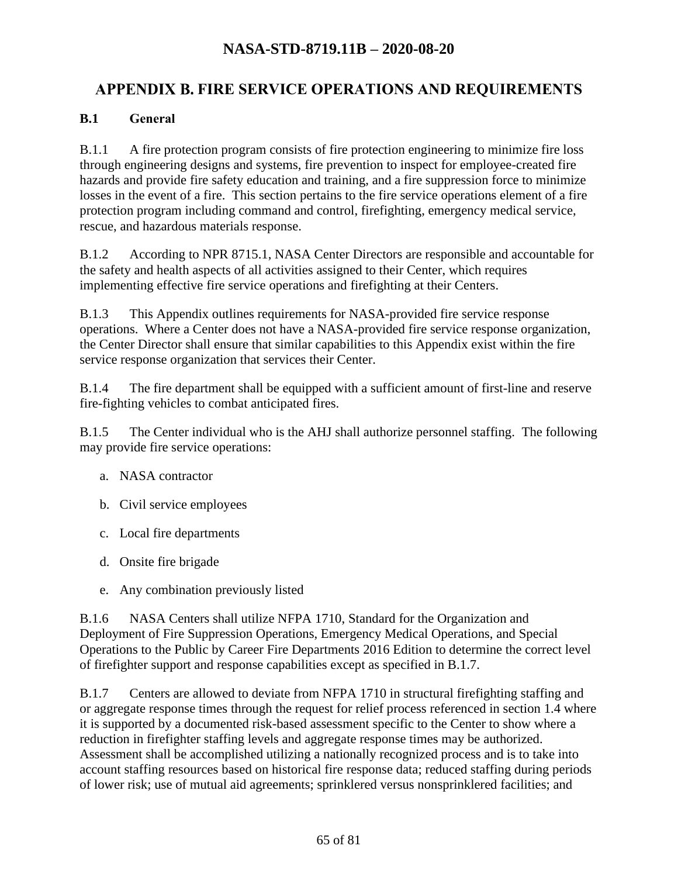# **FIRE SERVICE OPERATIONS AND REQUIREMENTS**

#### **B.1 General**

B.1.1 A fire protection program consists of fire protection engineering to minimize fire loss through engineering designs and systems, fire prevention to inspect for employee-created fire hazards and provide fire safety education and training, and a fire suppression force to minimize losses in the event of a fire. This section pertains to the fire service operations element of a fire protection program including command and control, firefighting, emergency medical service, rescue, and hazardous materials response.

B.1.2 According to NPR 8715.1, NASA Center Directors are responsible and accountable for the safety and health aspects of all activities assigned to their Center, which requires implementing effective fire service operations and firefighting at their Centers.

B.1.3 This Appendix outlines requirements for NASA-provided fire service response operations. Where a Center does not have a NASA-provided fire service response organization, the Center Director shall ensure that similar capabilities to this Appendix exist within the fire service response organization that services their Center.

B.1.4 The fire department shall be equipped with a sufficient amount of first-line and reserve fire-fighting vehicles to combat anticipated fires.

B.1.5 The Center individual who is the AHJ shall authorize personnel staffing. The following may provide fire service operations:

- a. NASA contractor
- b. Civil service employees
- c. Local fire departments
- d. Onsite fire brigade
- e. Any combination previously listed

B.1.6 NASA Centers shall utilize NFPA 1710, Standard for the Organization and Deployment of Fire Suppression Operations, Emergency Medical Operations, and Special Operations to the Public by Career Fire Departments 2016 Edition to determine the correct level of firefighter support and response capabilities except as specified in B.1.7.

B.1.7 Centers are allowed to deviate from NFPA 1710 in structural firefighting staffing and or aggregate response times through the request for relief process referenced in section 1.4 where it is supported by a documented risk-based assessment specific to the Center to show where a reduction in firefighter staffing levels and aggregate response times may be authorized. Assessment shall be accomplished utilizing a nationally recognized process and is to take into account staffing resources based on historical fire response data; reduced staffing during periods of lower risk; use of mutual aid agreements; sprinklered versus nonsprinklered facilities; and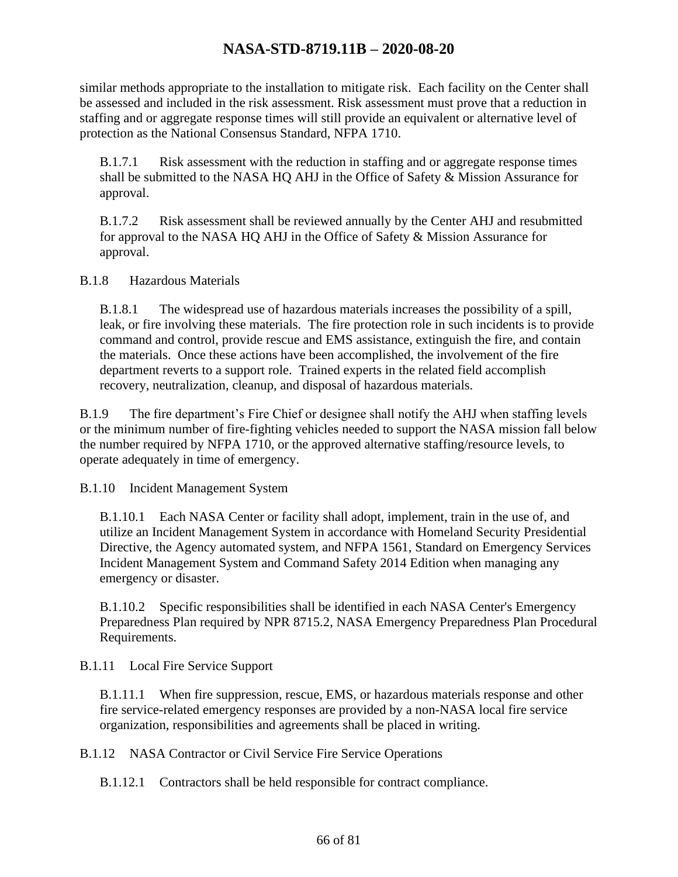similar methods appropriate to the installation to mitigate risk. Each facility on the Center shall be assessed and included in the risk assessment. Risk assessment must prove that a reduction in staffing and or aggregate response times will still provide an equivalent or alternative level of protection as the National Consensus Standard, NFPA 1710.

B.1.7.1 Risk assessment with the reduction in staffing and or aggregate response times shall be submitted to the NASA HQ AHJ in the Office of Safety & Mission Assurance for approval.

B.1.7.2 Risk assessment shall be reviewed annually by the Center AHJ and resubmitted for approval to the NASA HQ AHJ in the Office of Safety & Mission Assurance for approval.

B.1.8 Hazardous Materials

B.1.8.1 The widespread use of hazardous materials increases the possibility of a spill, leak, or fire involving these materials. The fire protection role in such incidents is to provide command and control, provide rescue and EMS assistance, extinguish the fire, and contain the materials. Once these actions have been accomplished, the involvement of the fire department reverts to a support role. Trained experts in the related field accomplish recovery, neutralization, cleanup, and disposal of hazardous materials.

B.1.9 The fire department's Fire Chief or designee shall notify the AHJ when staffing levels or the minimum number of fire-fighting vehicles needed to support the NASA mission fall below the number required by NFPA 1710, or the approved alternative staffing/resource levels, to operate adequately in time of emergency.

B.1.10 Incident Management System

B.1.10.1 Each NASA Center or facility shall adopt, implement, train in the use of, and utilize an Incident Management System in accordance with Homeland Security Presidential Directive, the Agency automated system, and NFPA 1561, Standard on Emergency Services Incident Management System and Command Safety 2014 Edition when managing any emergency or disaster.

B.1.10.2 Specific responsibilities shall be identified in each NASA Center's Emergency Preparedness Plan required by NPR 8715.2, NASA Emergency Preparedness Plan Procedural Requirements.

B.1.11 Local Fire Service Support

B.1.11.1 When fire suppression, rescue, EMS, or hazardous materials response and other fire service-related emergency responses are provided by a non-NASA local fire service organization, responsibilities and agreements shall be placed in writing.

B.1.12 NASA Contractor or Civil Service Fire Service Operations

B.1.12.1 Contractors shall be held responsible for contract compliance.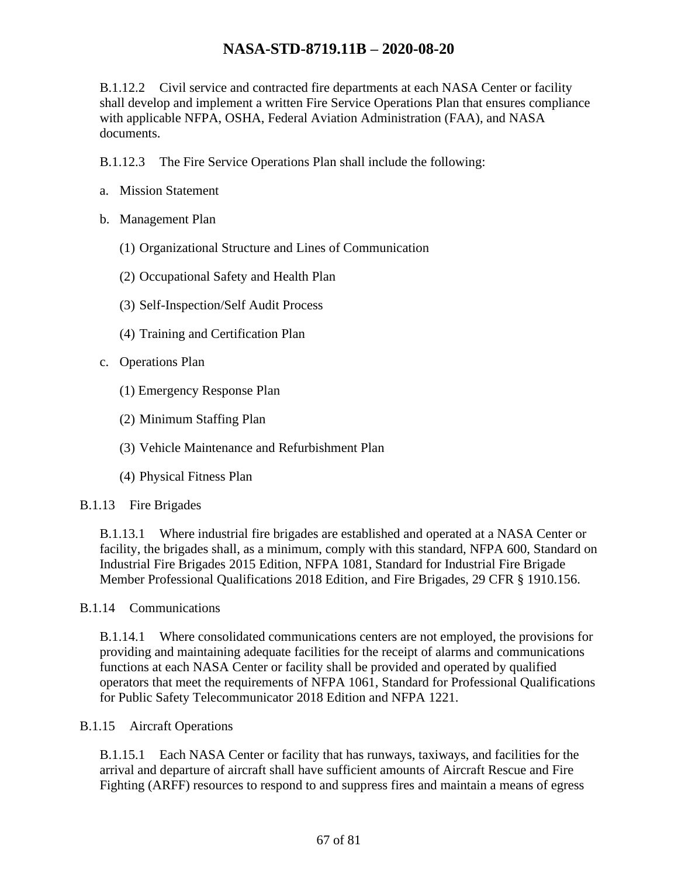B.1.12.2 Civil service and contracted fire departments at each NASA Center or facility shall develop and implement a written Fire Service Operations Plan that ensures compliance with applicable NFPA, OSHA, Federal Aviation Administration (FAA), and NASA documents.

B.1.12.3 The Fire Service Operations Plan shall include the following:

- a. Mission Statement
- b. Management Plan
	- (1) Organizational Structure and Lines of Communication
	- (2) Occupational Safety and Health Plan
	- (3) Self-Inspection/Self Audit Process
	- (4) Training and Certification Plan
- c. Operations Plan
	- (1) Emergency Response Plan
	- (2) Minimum Staffing Plan
	- (3) Vehicle Maintenance and Refurbishment Plan
	- (4) Physical Fitness Plan

#### B.1.13 Fire Brigades

B.1.13.1 Where industrial fire brigades are established and operated at a NASA Center or facility, the brigades shall, as a minimum, comply with this standard, NFPA 600, Standard on Industrial Fire Brigades 2015 Edition, NFPA 1081, Standard for Industrial Fire Brigade Member Professional Qualifications 2018 Edition, and Fire Brigades, 29 CFR § 1910.156.

B.1.14 Communications

B.1.14.1 Where consolidated communications centers are not employed, the provisions for providing and maintaining adequate facilities for the receipt of alarms and communications functions at each NASA Center or facility shall be provided and operated by qualified operators that meet the requirements of NFPA 1061, Standard for Professional Qualifications for Public Safety Telecommunicator 2018 Edition and NFPA 1221.

#### B.1.15 Aircraft Operations

B.1.15.1 Each NASA Center or facility that has runways, taxiways, and facilities for the arrival and departure of aircraft shall have sufficient amounts of Aircraft Rescue and Fire Fighting (ARFF) resources to respond to and suppress fires and maintain a means of egress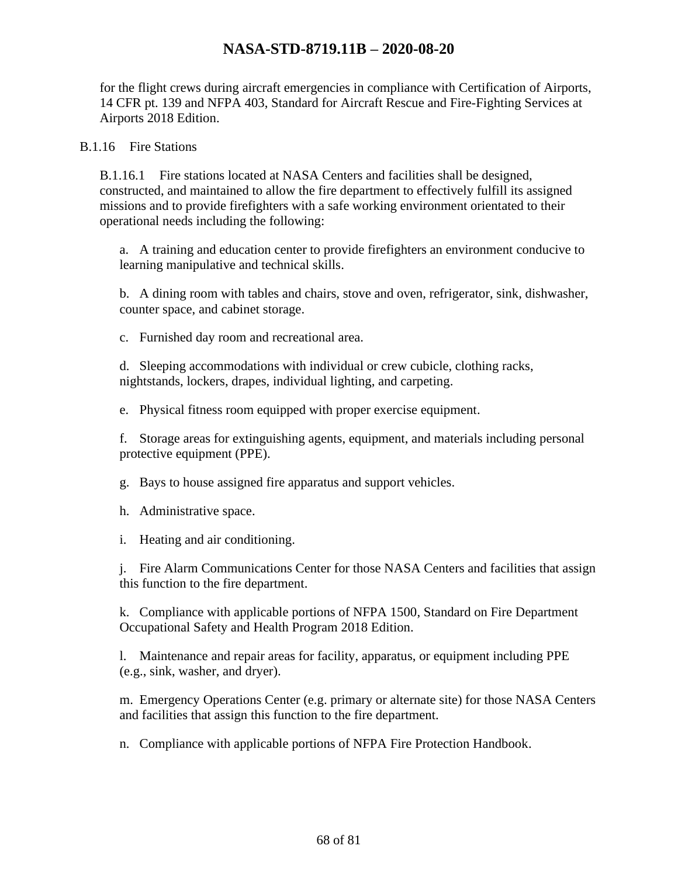for the flight crews during aircraft emergencies in compliance with Certification of Airports, 14 CFR pt. 139 and NFPA 403, Standard for Aircraft Rescue and Fire-Fighting Services at Airports 2018 Edition.

#### B.1.16 Fire Stations

B.1.16.1 Fire stations located at NASA Centers and facilities shall be designed, constructed, and maintained to allow the fire department to effectively fulfill its assigned missions and to provide firefighters with a safe working environment orientated to their operational needs including the following:

a. A training and education center to provide firefighters an environment conducive to learning manipulative and technical skills.

b. A dining room with tables and chairs, stove and oven, refrigerator, sink, dishwasher, counter space, and cabinet storage.

c. Furnished day room and recreational area.

d. Sleeping accommodations with individual or crew cubicle, clothing racks, nightstands, lockers, drapes, individual lighting, and carpeting.

e. Physical fitness room equipped with proper exercise equipment.

f. Storage areas for extinguishing agents, equipment, and materials including personal protective equipment (PPE).

g. Bays to house assigned fire apparatus and support vehicles.

h. Administrative space.

i. Heating and air conditioning.

j. Fire Alarm Communications Center for those NASA Centers and facilities that assign this function to the fire department.

k. Compliance with applicable portions of NFPA 1500, Standard on Fire Department Occupational Safety and Health Program 2018 Edition.

l. Maintenance and repair areas for facility, apparatus, or equipment including PPE (e.g., sink, washer, and dryer).

m. Emergency Operations Center (e.g. primary or alternate site) for those NASA Centers and facilities that assign this function to the fire department.

n. Compliance with applicable portions of NFPA Fire Protection Handbook.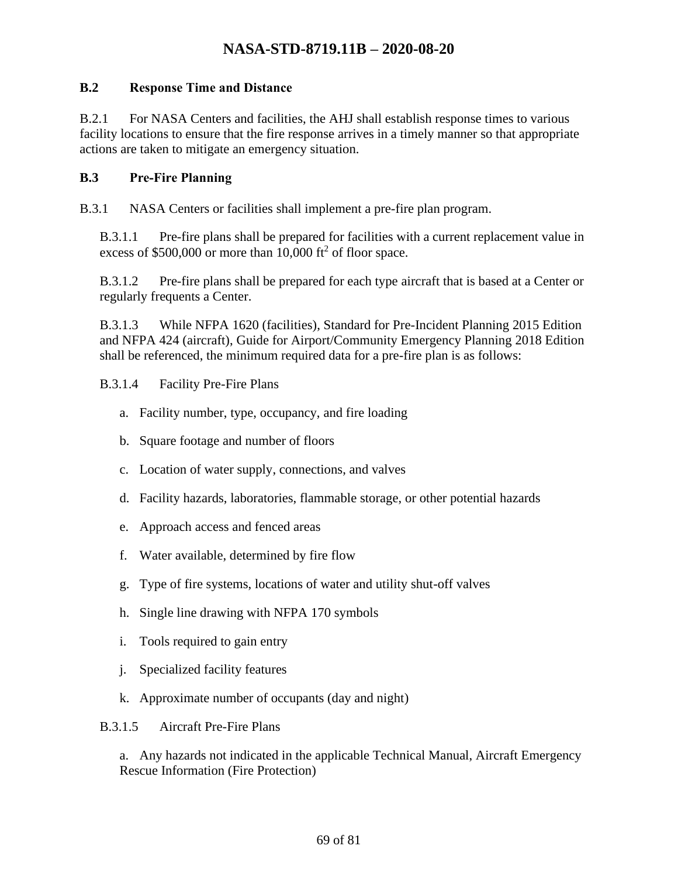#### **B.2 Response Time and Distance**

B.2.1 For NASA Centers and facilities, the AHJ shall establish response times to various facility locations to ensure that the fire response arrives in a timely manner so that appropriate actions are taken to mitigate an emergency situation.

#### **B.3 Pre-Fire Planning**

B.3.1 NASA Centers or facilities shall implement a pre-fire plan program.

B.3.1.1 Pre-fire plans shall be prepared for facilities with a current replacement value in excess of  $$500,000$  or more than 10,000 ft<sup>2</sup> of floor space.

B.3.1.2 Pre-fire plans shall be prepared for each type aircraft that is based at a Center or regularly frequents a Center.

B.3.1.3 While NFPA 1620 (facilities), Standard for Pre-Incident Planning 2015 Edition and NFPA 424 (aircraft), Guide for Airport/Community Emergency Planning 2018 Edition shall be referenced, the minimum required data for a pre-fire plan is as follows:

#### B.3.1.4 Facility Pre-Fire Plans

- a. Facility number, type, occupancy, and fire loading
- b. Square footage and number of floors
- c. Location of water supply, connections, and valves
- d. Facility hazards, laboratories, flammable storage, or other potential hazards
- e. Approach access and fenced areas
- f. Water available, determined by fire flow
- g. Type of fire systems, locations of water and utility shut-off valves
- h. Single line drawing with NFPA 170 symbols
- i. Tools required to gain entry
- j. Specialized facility features
- k. Approximate number of occupants (day and night)

B.3.1.5 Aircraft Pre-Fire Plans

a. Any hazards not indicated in the applicable Technical Manual, Aircraft Emergency Rescue Information (Fire Protection)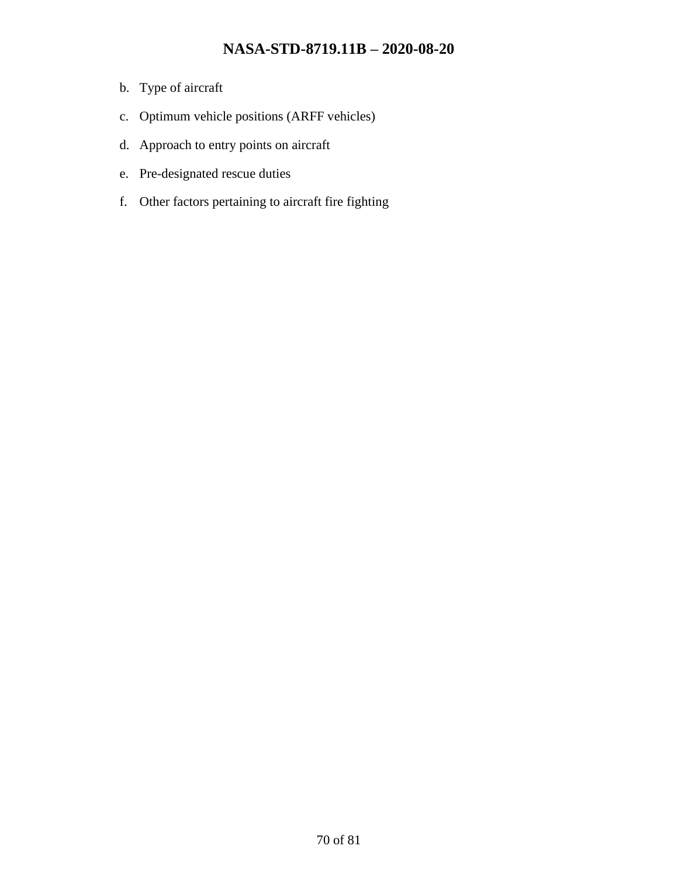- b. Type of aircraft
- c. Optimum vehicle positions (ARFF vehicles)
- d. Approach to entry points on aircraft
- e. Pre-designated rescue duties
- f. Other factors pertaining to aircraft fire fighting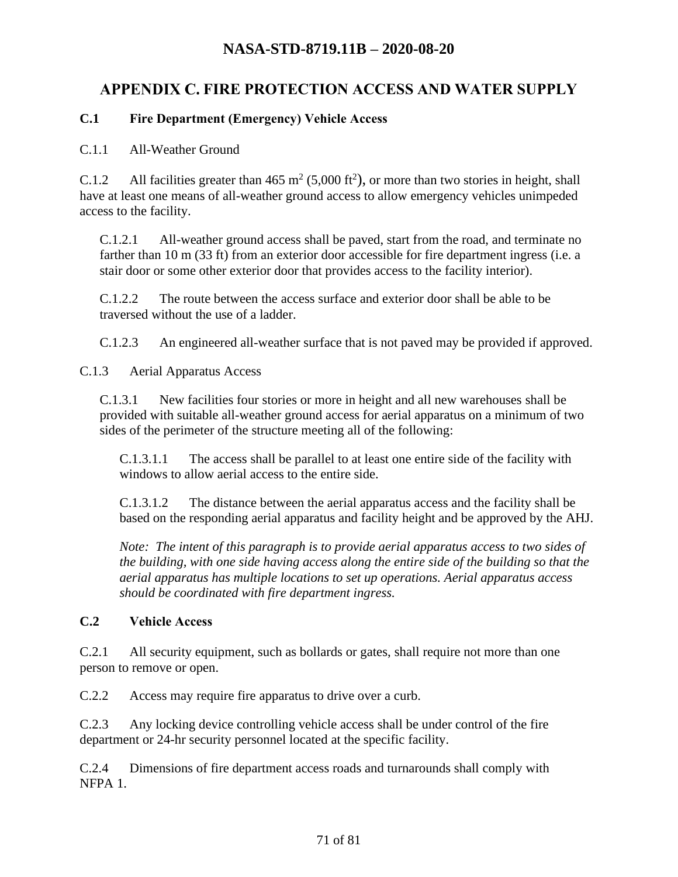# **APPENDIX C. FIRE PROTECTION ACCESS AND WATER SUPPLY**

#### **C.1 Fire Department (Emergency) Vehicle Access**

#### C.1.1 All-Weather Ground

C.1.2 All facilities greater than  $465 \text{ m}^2 (5,000 \text{ ft}^2)$ , or more than two stories in height, shall have at least one means of all-weather ground access to allow emergency vehicles unimpeded access to the facility.

C.1.2.1 All-weather ground access shall be paved, start from the road, and terminate no farther than 10 m (33 ft) from an exterior door accessible for fire department ingress (i.e. a stair door or some other exterior door that provides access to the facility interior).

C.1.2.2 The route between the access surface and exterior door shall be able to be traversed without the use of a ladder.

C.1.2.3 An engineered all-weather surface that is not paved may be provided if approved.

C.1.3 Aerial Apparatus Access

C.1.3.1 New facilities four stories or more in height and all new warehouses shall be provided with suitable all-weather ground access for aerial apparatus on a minimum of two sides of the perimeter of the structure meeting all of the following:

C.1.3.1.1 The access shall be parallel to at least one entire side of the facility with windows to allow aerial access to the entire side.

C.1.3.1.2 The distance between the aerial apparatus access and the facility shall be based on the responding aerial apparatus and facility height and be approved by the AHJ.

*Note: The intent of this paragraph is to provide aerial apparatus access to two sides of the building, with one side having access along the entire side of the building so that the aerial apparatus has multiple locations to set up operations. Aerial apparatus access should be coordinated with fire department ingress.* 

#### **C.2 Vehicle Access**

C.2.1 All security equipment, such as bollards or gates, shall require not more than one person to remove or open.

C.2.2 Access may require fire apparatus to drive over a curb.

C.2.3 Any locking device controlling vehicle access shall be under control of the fire department or 24-hr security personnel located at the specific facility.

C.2.4 Dimensions of fire department access roads and turnarounds shall comply with NFPA 1.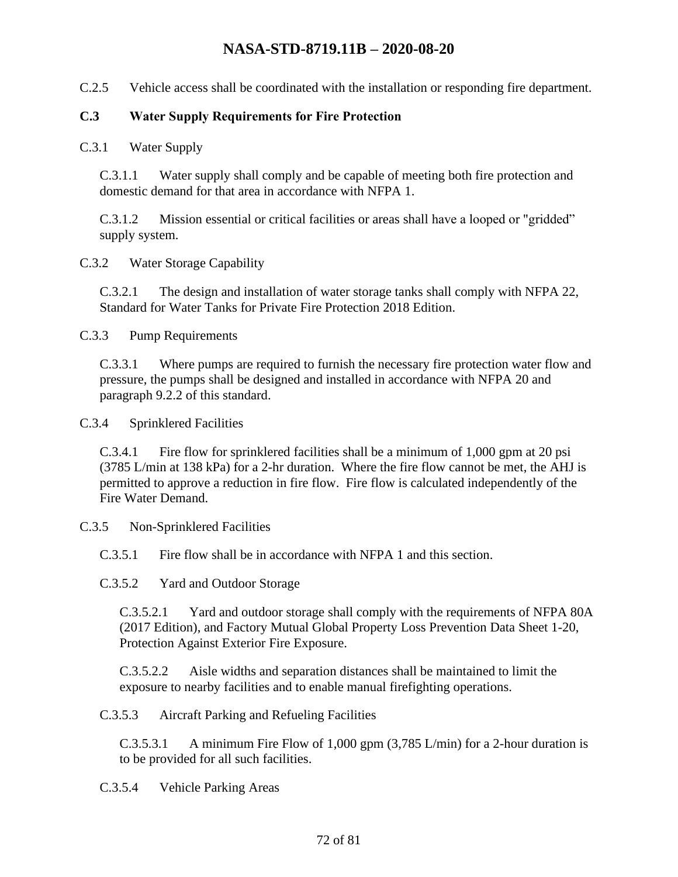C.2.5 Vehicle access shall be coordinated with the installation or responding fire department.

#### **C.3 Water Supply Requirements for Fire Protection**

C.3.1 Water Supply

C.3.1.1 Water supply shall comply and be capable of meeting both fire protection and domestic demand for that area in accordance with NFPA 1.

C.3.1.2 Mission essential or critical facilities or areas shall have a looped or "gridded" supply system.

C.3.2 Water Storage Capability

C.3.2.1 The design and installation of water storage tanks shall comply with NFPA 22, Standard for Water Tanks for Private Fire Protection 2018 Edition.

C.3.3 Pump Requirements

C.3.3.1 Where pumps are required to furnish the necessary fire protection water flow and pressure, the pumps shall be designed and installed in accordance with NFPA 20 and paragraph 9.2.2 of this standard.

C.3.4 Sprinklered Facilities

C.3.4.1 Fire flow for sprinklered facilities shall be a minimum of 1,000 gpm at 20 psi (3785 L/min at 138 kPa) for a 2-hr duration. Where the fire flow cannot be met, the AHJ is permitted to approve a reduction in fire flow. Fire flow is calculated independently of the Fire Water Demand.

C.3.5 Non-Sprinklered Facilities

C.3.5.1 Fire flow shall be in accordance with NFPA 1 and this section.

C.3.5.2 Yard and Outdoor Storage

C.3.5.2.1 Yard and outdoor storage shall comply with the requirements of NFPA 80A (2017 Edition), and Factory Mutual Global Property Loss Prevention Data Sheet 1-20, Protection Against Exterior Fire Exposure.

C.3.5.2.2 Aisle widths and separation distances shall be maintained to limit the exposure to nearby facilities and to enable manual firefighting operations.

C.3.5.3 Aircraft Parking and Refueling Facilities

C.3.5.3.1 A minimum Fire Flow of 1,000 gpm (3,785 L/min) for a 2-hour duration is to be provided for all such facilities.

C.3.5.4 Vehicle Parking Areas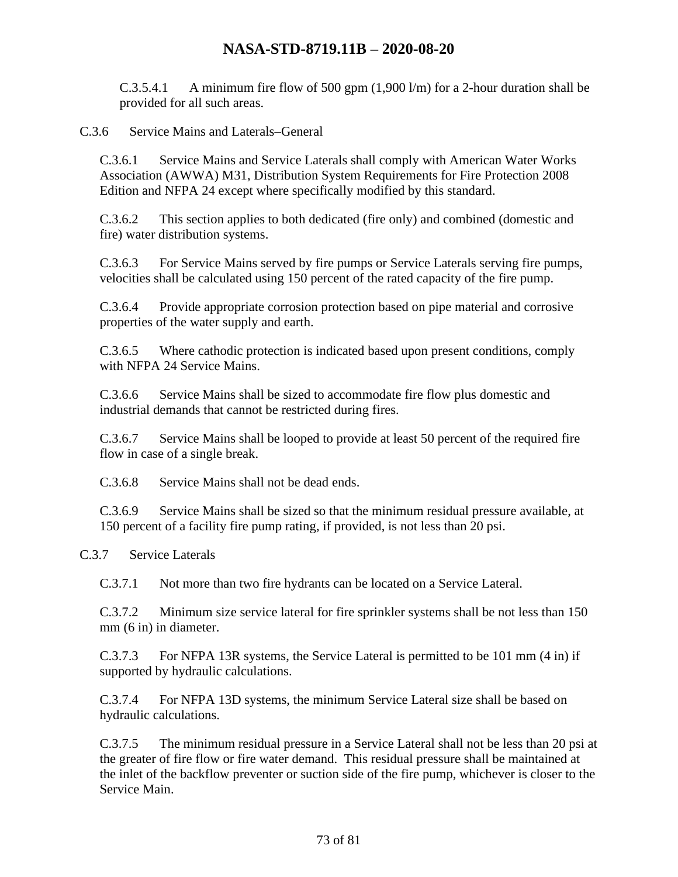C.3.5.4.1 A minimum fire flow of 500 gpm  $(1,900 \text{ l/m})$  for a 2-hour duration shall be provided for all such areas.

C.3.6 Service Mains and Laterals–General

C.3.6.1 Service Mains and Service Laterals shall comply with American Water Works Association (AWWA) M31, Distribution System Requirements for Fire Protection 2008 Edition and NFPA 24 except where specifically modified by this standard.

C.3.6.2 This section applies to both dedicated (fire only) and combined (domestic and fire) water distribution systems.

C.3.6.3 For Service Mains served by fire pumps or Service Laterals serving fire pumps, velocities shall be calculated using 150 percent of the rated capacity of the fire pump.

C.3.6.4 Provide appropriate corrosion protection based on pipe material and corrosive properties of the water supply and earth.

C.3.6.5 Where cathodic protection is indicated based upon present conditions, comply with NFPA 24 Service Mains.

C.3.6.6 Service Mains shall be sized to accommodate fire flow plus domestic and industrial demands that cannot be restricted during fires.

C.3.6.7 Service Mains shall be looped to provide at least 50 percent of the required fire flow in case of a single break.

C.3.6.8 Service Mains shall not be dead ends.

C.3.6.9 Service Mains shall be sized so that the minimum residual pressure available, at 150 percent of a facility fire pump rating, if provided, is not less than 20 psi.

C.3.7 Service Laterals

C.3.7.1 Not more than two fire hydrants can be located on a Service Lateral.

C.3.7.2 Minimum size service lateral for fire sprinkler systems shall be not less than 150 mm (6 in) in diameter.

C.3.7.3 For NFPA 13R systems, the Service Lateral is permitted to be 101 mm (4 in) if supported by hydraulic calculations.

C.3.7.4 For NFPA 13D systems, the minimum Service Lateral size shall be based on hydraulic calculations.

C.3.7.5 The minimum residual pressure in a Service Lateral shall not be less than 20 psi at the greater of fire flow or fire water demand. This residual pressure shall be maintained at the inlet of the backflow preventer or suction side of the fire pump, whichever is closer to the Service Main.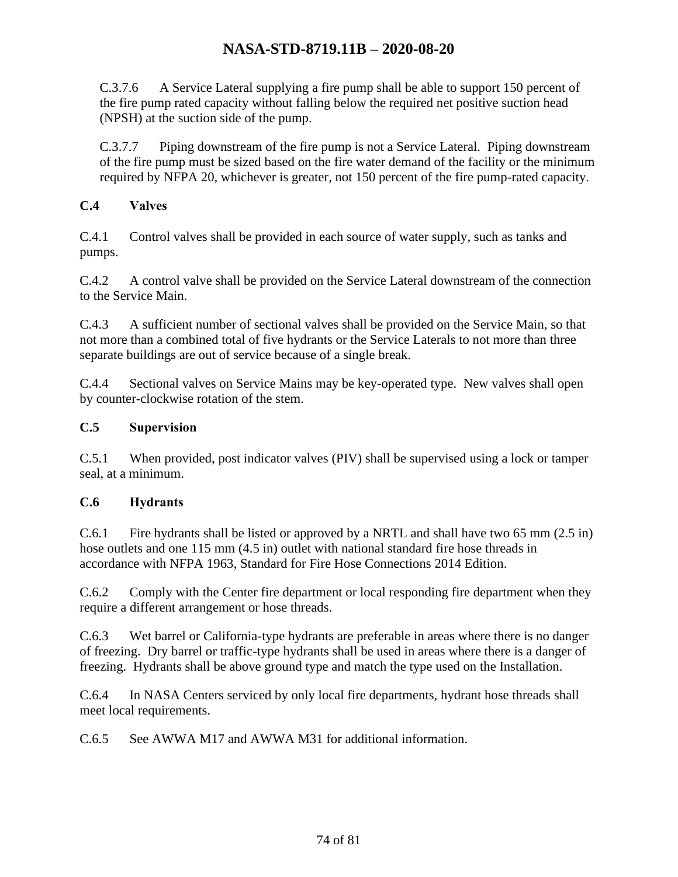C.3.7.6 A Service Lateral supplying a fire pump shall be able to support 150 percent of the fire pump rated capacity without falling below the required net positive suction head (NPSH) at the suction side of the pump.

C.3.7.7 Piping downstream of the fire pump is not a Service Lateral. Piping downstream of the fire pump must be sized based on the fire water demand of the facility or the minimum required by NFPA 20, whichever is greater, not 150 percent of the fire pump-rated capacity.

### **C.4 Valves**

C.4.1 Control valves shall be provided in each source of water supply, such as tanks and pumps.

C.4.2 A control valve shall be provided on the Service Lateral downstream of the connection to the Service Main.

C.4.3 A sufficient number of sectional valves shall be provided on the Service Main, so that not more than a combined total of five hydrants or the Service Laterals to not more than three separate buildings are out of service because of a single break.

C.4.4 Sectional valves on Service Mains may be key-operated type. New valves shall open by counter-clockwise rotation of the stem.

## **C.5 Supervision**

C.5.1 When provided, post indicator valves (PIV) shall be supervised using a lock or tamper seal, at a minimum.

### **C.6 Hydrants**

C.6.1 Fire hydrants shall be listed or approved by a NRTL and shall have two 65 mm (2.5 in) hose outlets and one 115 mm (4.5 in) outlet with national standard fire hose threads in accordance with NFPA 1963, Standard for Fire Hose Connections 2014 Edition.

C.6.2 Comply with the Center fire department or local responding fire department when they require a different arrangement or hose threads.

C.6.3 Wet barrel or California-type hydrants are preferable in areas where there is no danger of freezing. Dry barrel or traffic-type hydrants shall be used in areas where there is a danger of freezing. Hydrants shall be above ground type and match the type used on the Installation.

C.6.4 In NASA Centers serviced by only local fire departments, hydrant hose threads shall meet local requirements.

C.6.5 See AWWA M17 and AWWA M31 for additional information.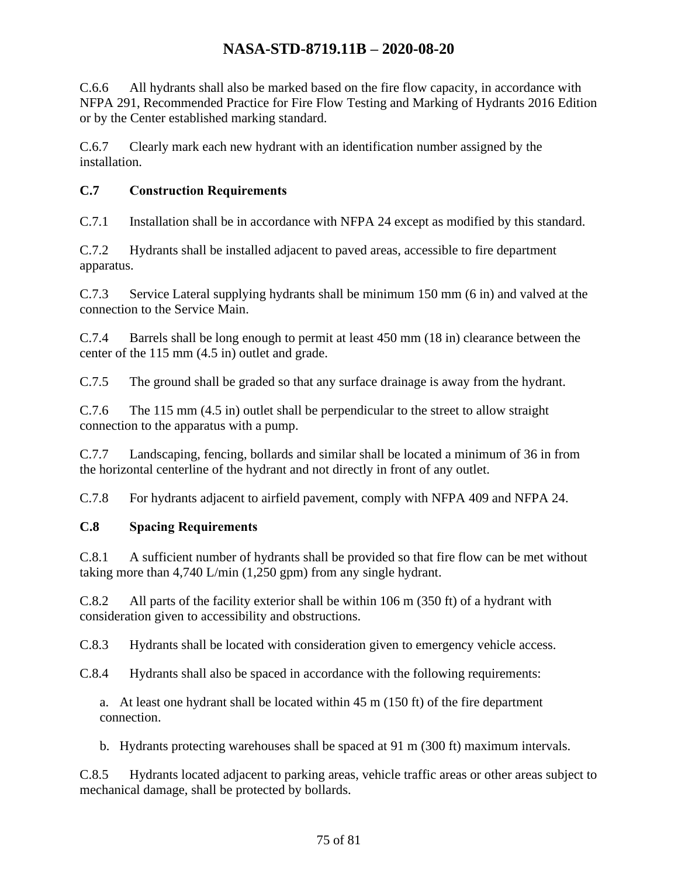C.6.6 All hydrants shall also be marked based on the fire flow capacity, in accordance with NFPA 291, Recommended Practice for Fire Flow Testing and Marking of Hydrants 2016 Edition or by the Center established marking standard.

C.6.7 Clearly mark each new hydrant with an identification number assigned by the installation.

## **C.7 Construction Requirements**

C.7.1 Installation shall be in accordance with NFPA 24 except as modified by this standard.

C.7.2 Hydrants shall be installed adjacent to paved areas, accessible to fire department apparatus.

C.7.3 Service Lateral supplying hydrants shall be minimum 150 mm (6 in) and valved at the connection to the Service Main.

C.7.4 Barrels shall be long enough to permit at least 450 mm (18 in) clearance between the center of the 115 mm (4.5 in) outlet and grade.

C.7.5 The ground shall be graded so that any surface drainage is away from the hydrant.

C.7.6 The 115 mm (4.5 in) outlet shall be perpendicular to the street to allow straight connection to the apparatus with a pump.

C.7.7 Landscaping, fencing, bollards and similar shall be located a minimum of 36 in from the horizontal centerline of the hydrant and not directly in front of any outlet.

C.7.8 For hydrants adjacent to airfield pavement, comply with NFPA 409 and NFPA 24.

## **C.8 Spacing Requirements**

C.8.1 A sufficient number of hydrants shall be provided so that fire flow can be met without taking more than 4,740 L/min (1,250 gpm) from any single hydrant.

C.8.2 All parts of the facility exterior shall be within 106 m (350 ft) of a hydrant with consideration given to accessibility and obstructions.

C.8.3 Hydrants shall be located with consideration given to emergency vehicle access.

C.8.4 Hydrants shall also be spaced in accordance with the following requirements:

a. At least one hydrant shall be located within 45 m (150 ft) of the fire department connection.

b. Hydrants protecting warehouses shall be spaced at 91 m (300 ft) maximum intervals.

C.8.5 Hydrants located adjacent to parking areas, vehicle traffic areas or other areas subject to mechanical damage, shall be protected by bollards.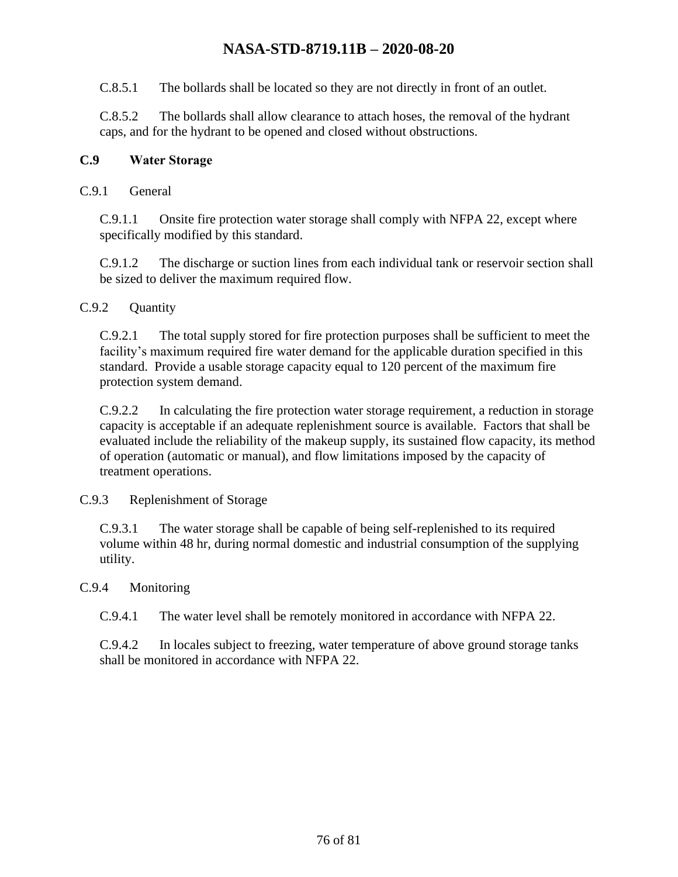C.8.5.1 The bollards shall be located so they are not directly in front of an outlet.

C.8.5.2 The bollards shall allow clearance to attach hoses, the removal of the hydrant caps, and for the hydrant to be opened and closed without obstructions.

#### **C.9 Water Storage**

C.9.1 General

C.9.1.1 Onsite fire protection water storage shall comply with NFPA 22, except where specifically modified by this standard.

C.9.1.2 The discharge or suction lines from each individual tank or reservoir section shall be sized to deliver the maximum required flow.

### C.9.2 Ouantity

C.9.2.1 The total supply stored for fire protection purposes shall be sufficient to meet the facility's maximum required fire water demand for the applicable duration specified in this standard. Provide a usable storage capacity equal to 120 percent of the maximum fire protection system demand.

C.9.2.2 In calculating the fire protection water storage requirement, a reduction in storage capacity is acceptable if an adequate replenishment source is available. Factors that shall be evaluated include the reliability of the makeup supply, its sustained flow capacity, its method of operation (automatic or manual), and flow limitations imposed by the capacity of treatment operations.

C.9.3 Replenishment of Storage

C.9.3.1 The water storage shall be capable of being self-replenished to its required volume within 48 hr, during normal domestic and industrial consumption of the supplying utility.

#### C.9.4 Monitoring

C.9.4.1 The water level shall be remotely monitored in accordance with NFPA 22.

C.9.4.2 In locales subject to freezing, water temperature of above ground storage tanks shall be monitored in accordance with NFPA 22.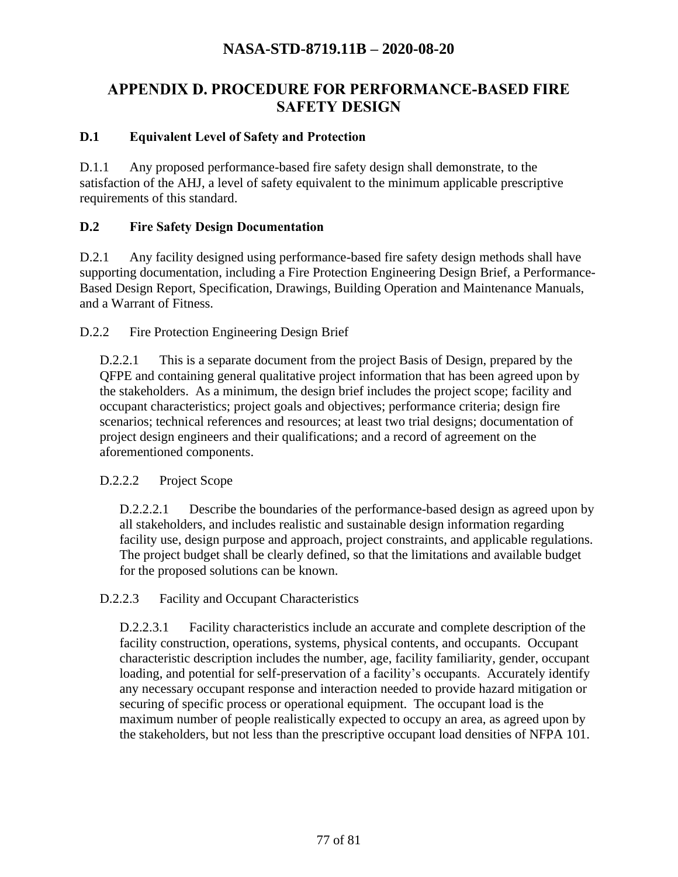# **APPENDIX D. PROCEDURE FOR PERFORMANCE-BASED FIRE SAFETY DESIGN**

### **D.1 Equivalent Level of Safety and Protection**

D.1.1 Any proposed performance-based fire safety design shall demonstrate, to the satisfaction of the AHJ, a level of safety equivalent to the minimum applicable prescriptive requirements of this standard.

#### **D.2 Fire Safety Design Documentation**

D.2.1 Any facility designed using performance-based fire safety design methods shall have supporting documentation, including a Fire Protection Engineering Design Brief, a Performance-Based Design Report, Specification, Drawings, Building Operation and Maintenance Manuals, and a Warrant of Fitness.

D.2.2 Fire Protection Engineering Design Brief

D.2.2.1 This is a separate document from the project Basis of Design, prepared by the QFPE and containing general qualitative project information that has been agreed upon by the stakeholders. As a minimum, the design brief includes the project scope; facility and occupant characteristics; project goals and objectives; performance criteria; design fire scenarios; technical references and resources; at least two trial designs; documentation of project design engineers and their qualifications; and a record of agreement on the aforementioned components.

#### D.2.2.2 Project Scope

D.2.2.2.1 Describe the boundaries of the performance-based design as agreed upon by all stakeholders, and includes realistic and sustainable design information regarding facility use, design purpose and approach, project constraints, and applicable regulations. The project budget shall be clearly defined, so that the limitations and available budget for the proposed solutions can be known.

#### D.2.2.3 Facility and Occupant Characteristics

D.2.2.3.1 Facility characteristics include an accurate and complete description of the facility construction, operations, systems, physical contents, and occupants. Occupant characteristic description includes the number, age, facility familiarity, gender, occupant loading, and potential for self-preservation of a facility's occupants. Accurately identify any necessary occupant response and interaction needed to provide hazard mitigation or securing of specific process or operational equipment. The occupant load is the maximum number of people realistically expected to occupy an area, as agreed upon by the stakeholders, but not less than the prescriptive occupant load densities of NFPA 101.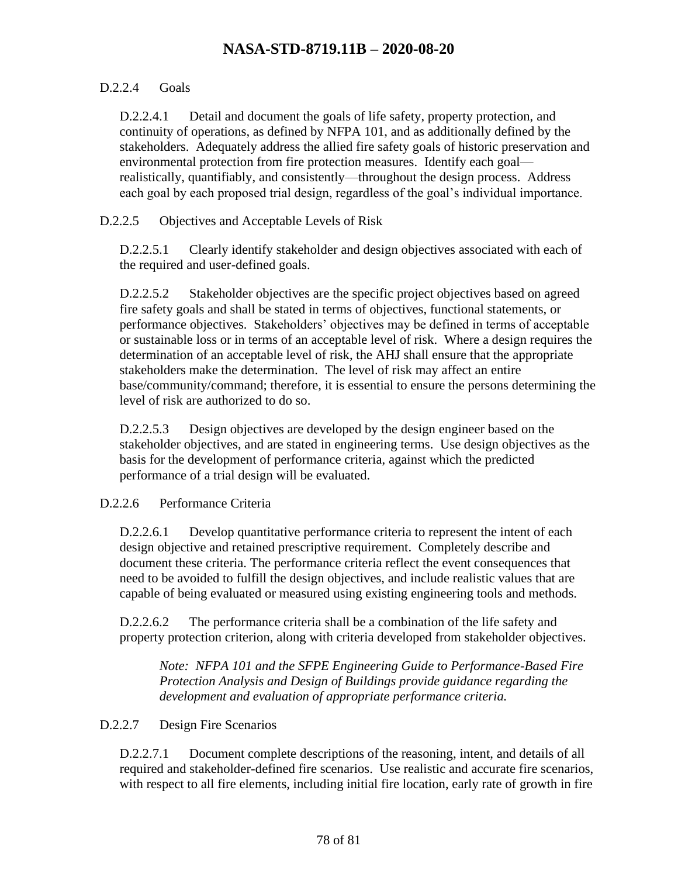### D.2.2.4 Goals

D.2.2.4.1 Detail and document the goals of life safety, property protection, and continuity of operations, as defined by NFPA 101, and as additionally defined by the stakeholders. Adequately address the allied fire safety goals of historic preservation and environmental protection from fire protection measures. Identify each goal realistically, quantifiably, and consistently—throughout the design process. Address each goal by each proposed trial design, regardless of the goal's individual importance.

D.2.2.5 Objectives and Acceptable Levels of Risk

D.2.2.5.1 Clearly identify stakeholder and design objectives associated with each of the required and user-defined goals.

D.2.2.5.2 Stakeholder objectives are the specific project objectives based on agreed fire safety goals and shall be stated in terms of objectives, functional statements, or performance objectives. Stakeholders' objectives may be defined in terms of acceptable or sustainable loss or in terms of an acceptable level of risk. Where a design requires the determination of an acceptable level of risk, the AHJ shall ensure that the appropriate stakeholders make the determination. The level of risk may affect an entire base/community/command; therefore, it is essential to ensure the persons determining the level of risk are authorized to do so.

D.2.2.5.3 Design objectives are developed by the design engineer based on the stakeholder objectives, and are stated in engineering terms. Use design objectives as the basis for the development of performance criteria, against which the predicted performance of a trial design will be evaluated.

### D.2.2.6 Performance Criteria

D.2.2.6.1 Develop quantitative performance criteria to represent the intent of each design objective and retained prescriptive requirement. Completely describe and document these criteria. The performance criteria reflect the event consequences that need to be avoided to fulfill the design objectives, and include realistic values that are capable of being evaluated or measured using existing engineering tools and methods.

D.2.2.6.2 The performance criteria shall be a combination of the life safety and property protection criterion, along with criteria developed from stakeholder objectives.

*Note: NFPA 101 and the SFPE Engineering Guide to Performance-Based Fire Protection Analysis and Design of Buildings provide guidance regarding the development and evaluation of appropriate performance criteria.* 

### D.2.2.7 Design Fire Scenarios

D.2.2.7.1 Document complete descriptions of the reasoning, intent, and details of all required and stakeholder-defined fire scenarios. Use realistic and accurate fire scenarios, with respect to all fire elements, including initial fire location, early rate of growth in fire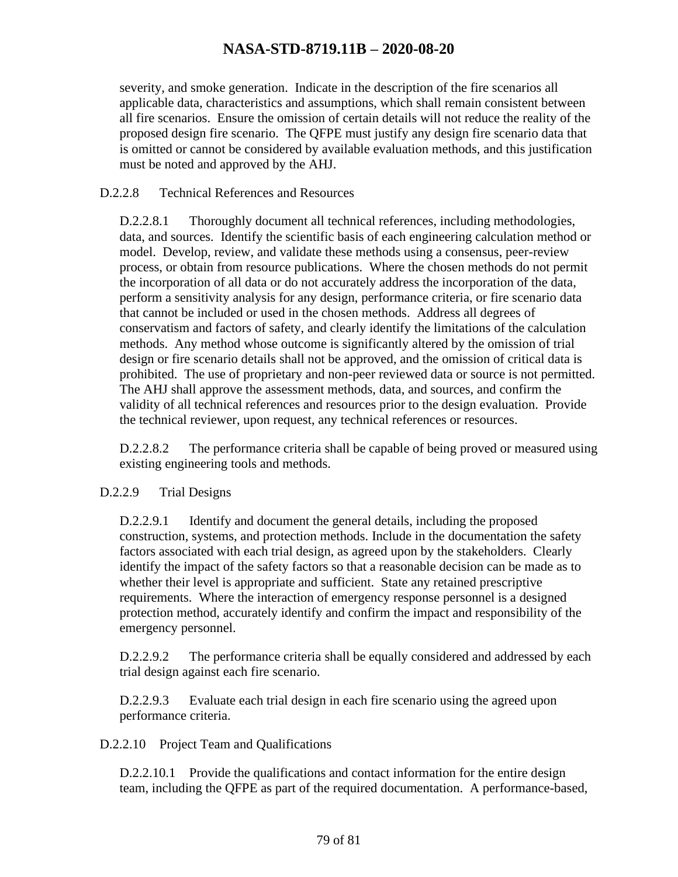severity, and smoke generation. Indicate in the description of the fire scenarios all applicable data, characteristics and assumptions, which shall remain consistent between all fire scenarios. Ensure the omission of certain details will not reduce the reality of the proposed design fire scenario. The QFPE must justify any design fire scenario data that is omitted or cannot be considered by available evaluation methods, and this justification must be noted and approved by the AHJ.

#### D.2.2.8 Technical References and Resources

D.2.2.8.1 Thoroughly document all technical references, including methodologies, data, and sources. Identify the scientific basis of each engineering calculation method or model. Develop, review, and validate these methods using a consensus, peer-review process, or obtain from resource publications. Where the chosen methods do not permit the incorporation of all data or do not accurately address the incorporation of the data, perform a sensitivity analysis for any design, performance criteria, or fire scenario data that cannot be included or used in the chosen methods. Address all degrees of conservatism and factors of safety, and clearly identify the limitations of the calculation methods. Any method whose outcome is significantly altered by the omission of trial design or fire scenario details shall not be approved, and the omission of critical data is prohibited. The use of proprietary and non-peer reviewed data or source is not permitted. The AHJ shall approve the assessment methods, data, and sources, and confirm the validity of all technical references and resources prior to the design evaluation. Provide the technical reviewer, upon request, any technical references or resources.

D.2.2.8.2 The performance criteria shall be capable of being proved or measured using existing engineering tools and methods.

#### D.2.2.9 Trial Designs

D.2.2.9.1 Identify and document the general details, including the proposed construction, systems, and protection methods. Include in the documentation the safety factors associated with each trial design, as agreed upon by the stakeholders. Clearly identify the impact of the safety factors so that a reasonable decision can be made as to whether their level is appropriate and sufficient. State any retained prescriptive requirements. Where the interaction of emergency response personnel is a designed protection method, accurately identify and confirm the impact and responsibility of the emergency personnel.

D.2.2.9.2 The performance criteria shall be equally considered and addressed by each trial design against each fire scenario.

D.2.2.9.3 Evaluate each trial design in each fire scenario using the agreed upon performance criteria.

#### D.2.2.10 Project Team and Qualifications

D.2.2.10.1 Provide the qualifications and contact information for the entire design team, including the QFPE as part of the required documentation. A performance-based,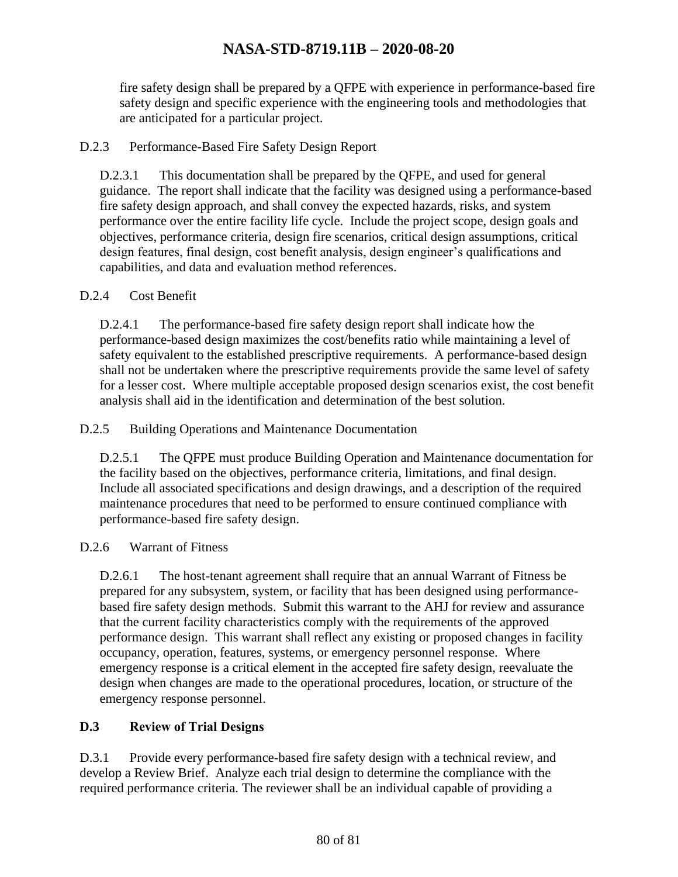fire safety design shall be prepared by a QFPE with experience in performance-based fire safety design and specific experience with the engineering tools and methodologies that are anticipated for a particular project.

### D.2.3 Performance-Based Fire Safety Design Report

D.2.3.1 This documentation shall be prepared by the QFPE, and used for general guidance. The report shall indicate that the facility was designed using a performance-based fire safety design approach, and shall convey the expected hazards, risks, and system performance over the entire facility life cycle. Include the project scope, design goals and objectives, performance criteria, design fire scenarios, critical design assumptions, critical design features, final design, cost benefit analysis, design engineer's qualifications and capabilities, and data and evaluation method references.

### D.2.4 Cost Benefit

D.2.4.1 The performance-based fire safety design report shall indicate how the performance-based design maximizes the cost/benefits ratio while maintaining a level of safety equivalent to the established prescriptive requirements. A performance-based design shall not be undertaken where the prescriptive requirements provide the same level of safety for a lesser cost. Where multiple acceptable proposed design scenarios exist, the cost benefit analysis shall aid in the identification and determination of the best solution.

### D.2.5 Building Operations and Maintenance Documentation

D.2.5.1 The QFPE must produce Building Operation and Maintenance documentation for the facility based on the objectives, performance criteria, limitations, and final design. Include all associated specifications and design drawings, and a description of the required maintenance procedures that need to be performed to ensure continued compliance with performance-based fire safety design.

### D.2.6 Warrant of Fitness

D.2.6.1 The host-tenant agreement shall require that an annual Warrant of Fitness be prepared for any subsystem, system, or facility that has been designed using performancebased fire safety design methods. Submit this warrant to the AHJ for review and assurance that the current facility characteristics comply with the requirements of the approved performance design. This warrant shall reflect any existing or proposed changes in facility occupancy, operation, features, systems, or emergency personnel response. Where emergency response is a critical element in the accepted fire safety design, reevaluate the design when changes are made to the operational procedures, location, or structure of the emergency response personnel.

### **D.3 Review of Trial Designs**

D.3.1 Provide every performance-based fire safety design with a technical review, and develop a Review Brief. Analyze each trial design to determine the compliance with the required performance criteria. The reviewer shall be an individual capable of providing a